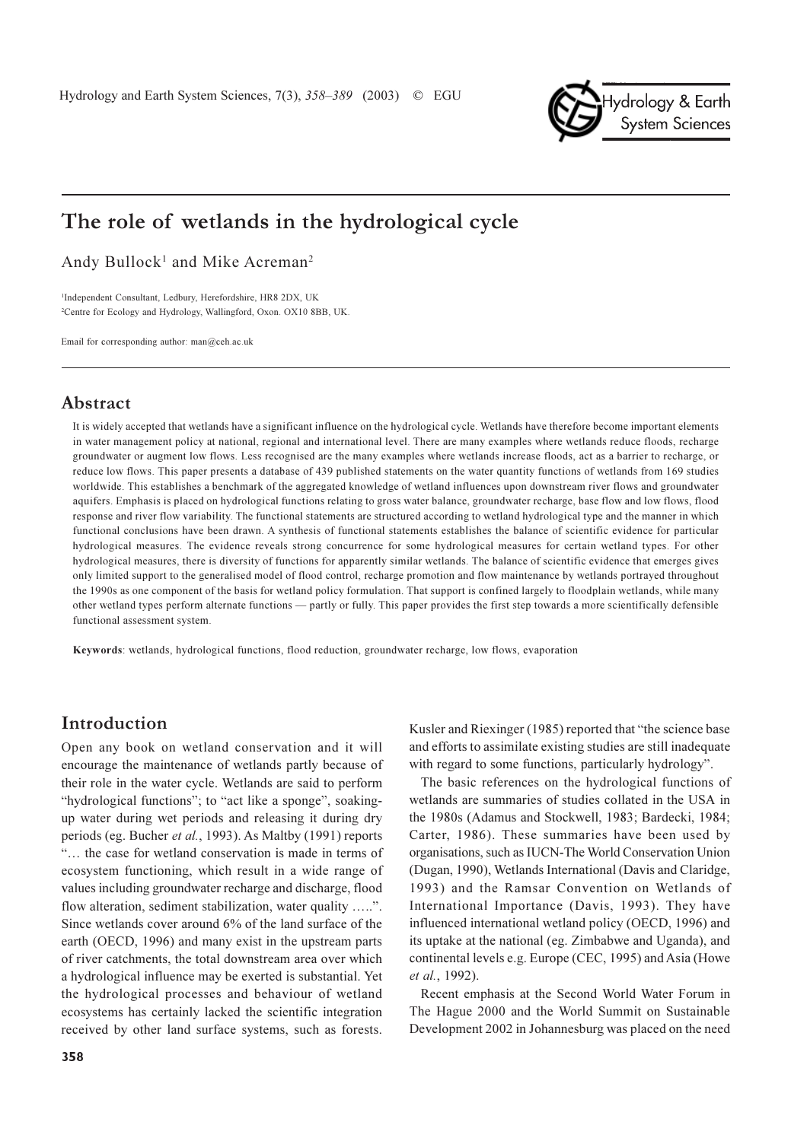

# The role of wetlands in the hydrological cycle

Andy Bullock<sup>1</sup> and Mike Acreman<sup>2</sup>

<sup>1</sup>Independent Consultant, Ledbury, Herefordshire, HR8 2DX, UK <sup>2</sup>Centre for Ecology and Hydrology, Wallingford, Oxon. OX10 8BB, UK.

Email for corresponding author: man@ceh.ac.uk

## Abstract

It is widely accepted that wetlands have a significant influence on the hydrological cycle. Wetlands have therefore become important elements in water management policy at national, regional and international level. There are many examples where wetlands reduce floods, recharge groundwater or augment low flows. Less recognised are the many examples where wetlands increase floods, act as a barrier to recharge, or reduce low flows. This paper presents a database of 439 published statements on the water quantity functions of wetlands from 169 studies worldwide. This establishes a benchmark of the aggregated knowledge of wetland influences upon downstream river flows and groundwater aquifers. Emphasis is placed on hydrological functions relating to gross water balance, groundwater recharge, base flow and low flows, flood response and river flow variability. The functional statements are structured according to wetland hydrological type and the manner in which functional conclusions have been drawn. A synthesis of functional statements establishes the balance of scientific evidence for particular hydrological measures. The evidence reveals strong concurrence for some hydrological measures for certain wetland types. For other hydrological measures, there is diversity of functions for apparently similar wetlands. The balance of scientific evidence that emerges gives only limited support to the generalised model of flood control, recharge promotion and flow maintenance by wetlands portrayed throughout the 1990s as one component of the basis for wetland policy formulation. That support is confined largely to floodplain wetlands, while many other wetland types perform alternate functions — partly or fully. This paper provides the first step towards a more scientifically defensible functional assessment system.

Keywords: wetlands, hydrological functions, flood reduction, groundwater recharge, low flows, evaporation

## Introduction

Open any book on wetland conservation and it will encourage the maintenance of wetlands partly because of their role in the water cycle. Wetlands are said to perform "hydrological functions"; to "act like a sponge", soakingup water during wet periods and releasing it during dry periods (eg. Bucher et al., 1993). As Maltby (1991) reports "... the case for wetland conservation is made in terms of ecosystem functioning, which result in a wide range of values including groundwater recharge and discharge, flood flow alteration, sediment stabilization, water quality .....". Since wetlands cover around 6% of the land surface of the earth (OECD, 1996) and many exist in the upstream parts of river catchments, the total downstream area over which a hydrological influence may be exerted is substantial. Yet the hydrological processes and behaviour of wetland ecosystems has certainly lacked the scientific integration received by other land surface systems, such as forests.

Kusler and Riexinger (1985) reported that "the science base and efforts to assimilate existing studies are still inadequate with regard to some functions, particularly hydrology".

The basic references on the hydrological functions of wetlands are summaries of studies collated in the USA in the 1980s (Adamus and Stockwell, 1983; Bardecki, 1984; Carter, 1986). These summaries have been used by organisations, such as IUCN-The World Conservation Union (Dugan, 1990), Wetlands International (Davis and Claridge, 1993) and the Ramsar Convention on Wetlands of International Importance (Davis, 1993). They have influenced international wetland policy (OECD, 1996) and its uptake at the national (eg. Zimbabwe and Uganda), and continental levels e.g. Europe (CEC, 1995) and Asia (Howe et al., 1992).

Recent emphasis at the Second World Water Forum in The Hague 2000 and the World Summit on Sustainable Development 2002 in Johannesburg was placed on the need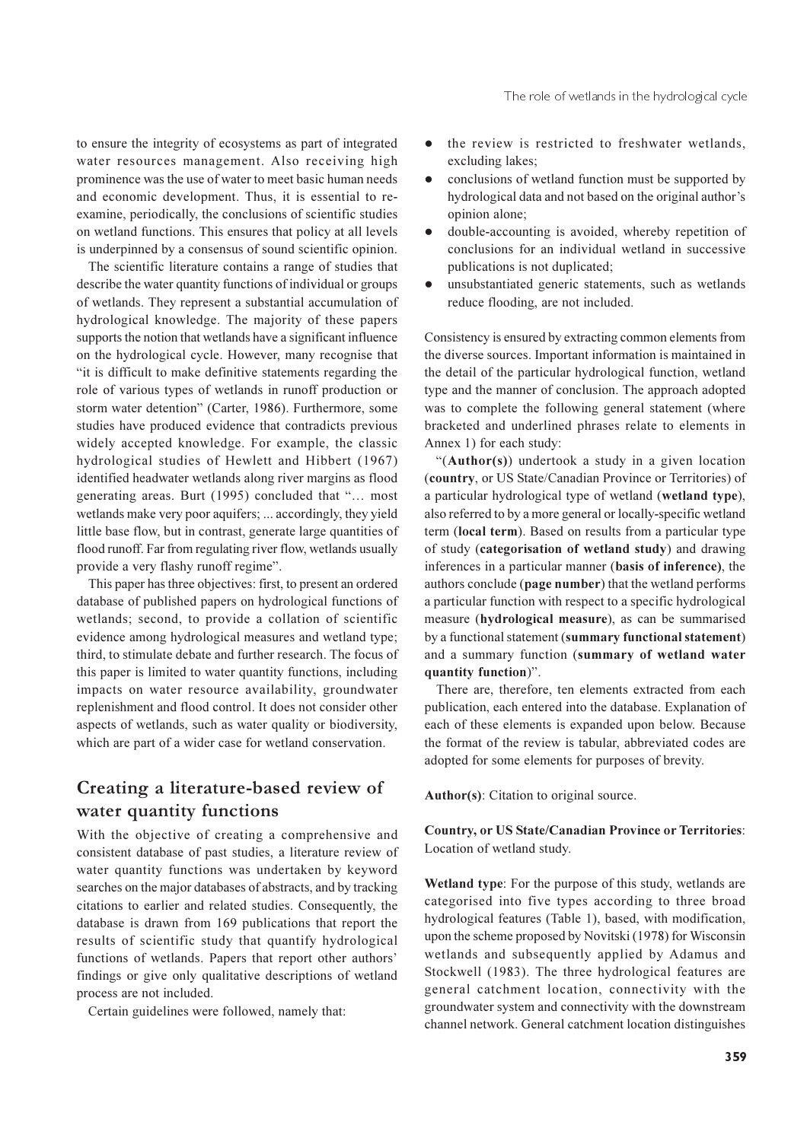to ensure the integrity of ecosystems as part of integrated water resources management. Also receiving high prominence was the use of water to meet basic human needs and economic development. Thus, it is essential to reexamine, periodically, the conclusions of scientific studies on wetland functions. This ensures that policy at all levels is underpinned by a consensus of sound scientific opinion.

The scientific literature contains a range of studies that describe the water quantity functions of individual or groups of wetlands. They represent a substantial accumulation of hydrological knowledge. The majority of these papers supports the notion that wetlands have a significant influence on the hydrological cycle. However, many recognise that "it is difficult to make definitive statements regarding the role of various types of wetlands in runoff production or storm water detention" (Carter, 1986). Furthermore, some studies have produced evidence that contradicts previous widely accepted knowledge. For example, the classic hydrological studies of Hewlett and Hibbert (1967) identified headwater wetlands along river margins as flood generating areas. Burt (1995) concluded that "... most wetlands make very poor aquifers; ... accordingly, they yield little base flow, but in contrast, generate large quantities of flood runoff. Far from regulating river flow, wetlands usually provide a very flashy runoff regime".

This paper has three objectives: first, to present an ordered database of published papers on hydrological functions of wetlands; second, to provide a collation of scientific evidence among hydrological measures and wetland type; third, to stimulate debate and further research. The focus of this paper is limited to water quantity functions, including impacts on water resource availability, groundwater replenishment and flood control. It does not consider other aspects of wetlands, such as water quality or biodiversity, which are part of a wider case for wetland conservation.

# Creating a literature-based review of water quantity functions

With the objective of creating a comprehensive and consistent database of past studies, a literature review of water quantity functions was undertaken by keyword searches on the major databases of abstracts, and by tracking citations to earlier and related studies. Consequently, the database is drawn from 169 publications that report the results of scientific study that quantify hydrological functions of wetlands. Papers that report other authors' findings or give only qualitative descriptions of wetland process are not included.

Certain guidelines were followed, namely that:

- $\bullet$ the review is restricted to freshwater wetlands, excluding lakes:
- conclusions of wetland function must be supported by hydrological data and not based on the original author's opinion alone;
- $\bullet$ double-accounting is avoided, whereby repetition of conclusions for an individual wetland in successive publications is not duplicated;
- unsubstantiated generic statements, such as wetlands reduce flooding, are not included.

Consistency is ensured by extracting common elements from the diverse sources. Important information is maintained in the detail of the particular hydrological function, wetland type and the manner of conclusion. The approach adopted was to complete the following general statement (where bracketed and underlined phrases relate to elements in Annex 1) for each study:

"(Author(s)) undertook a study in a given location (country, or US State/Canadian Province or Territories) of a particular hydrological type of wetland (wetland type), also referred to by a more general or locally-specific wetland term (local term). Based on results from a particular type of study (categorisation of wetland study) and drawing inferences in a particular manner (basis of inference), the authors conclude (page number) that the wetland performs a particular function with respect to a specific hydrological measure (hydrological measure), as can be summarised by a functional statement (summary functional statement) and a summary function (summary of wetland water quantity function)".

There are, therefore, ten elements extracted from each publication, each entered into the database. Explanation of each of these elements is expanded upon below. Because the format of the review is tabular, abbreviated codes are adopted for some elements for purposes of brevity.

**Author(s):** Citation to original source.

**Country, or US State/Canadian Province or Territories:** Location of wetland study.

Wetland type: For the purpose of this study, wetlands are categorised into five types according to three broad hydrological features (Table 1), based, with modification, upon the scheme proposed by Novitski (1978) for Wisconsin wetlands and subsequently applied by Adamus and Stockwell (1983). The three hydrological features are general catchment location, connectivity with the groundwater system and connectivity with the downstream channel network. General catchment location distinguishes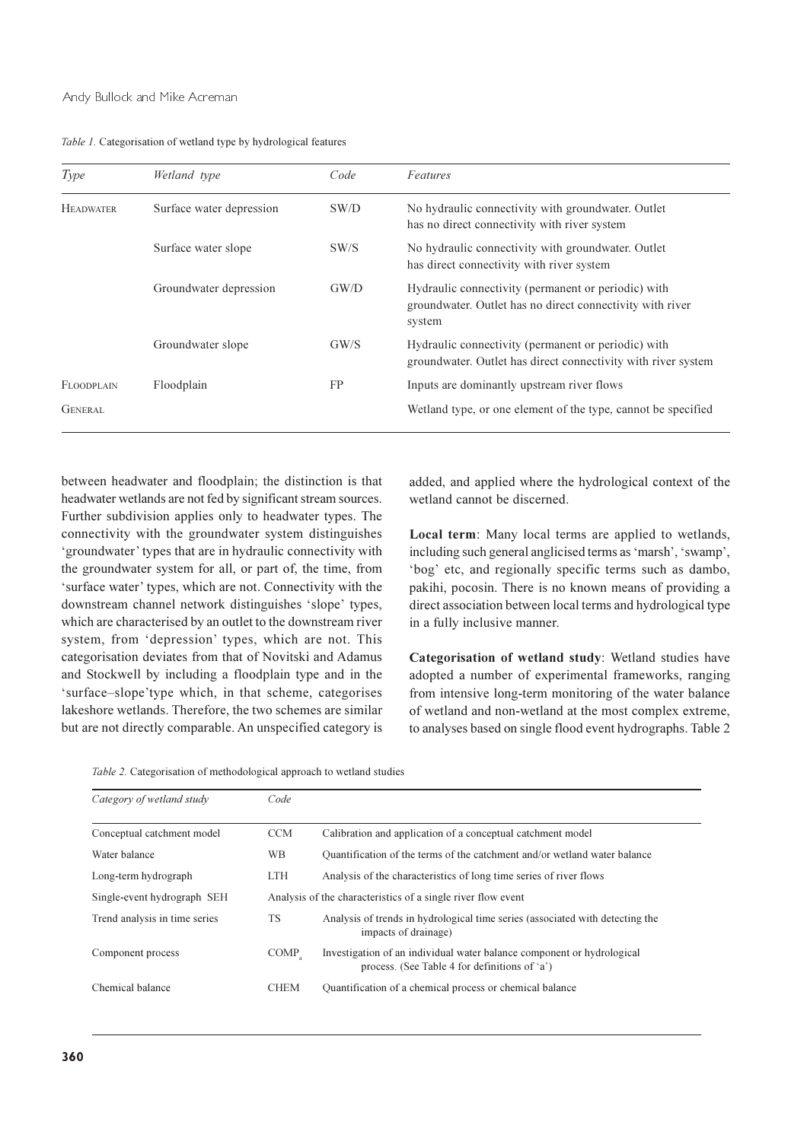| <i>Table 1.</i> Categorisation of wetland type by hydrological features |  |  |
|-------------------------------------------------------------------------|--|--|
|                                                                         |  |  |
|                                                                         |  |  |

| Type             | Wetland type             | Code | Features                                                                                                                   |
|------------------|--------------------------|------|----------------------------------------------------------------------------------------------------------------------------|
| <b>HEADWATER</b> | Surface water depression | SW/D | No hydraulic connectivity with groundwater. Outlet<br>has no direct connectivity with river system                         |
|                  | Surface water slope      | SW/S | No hydraulic connectivity with groundwater. Outlet<br>has direct connectivity with river system                            |
|                  | Groundwater depression   | GW/D | Hydraulic connectivity (permanent or periodic) with<br>groundwater. Outlet has no direct connectivity with river<br>system |
|                  | Groundwater slope        | GW/S | Hydraulic connectivity (permanent or periodic) with<br>groundwater. Outlet has direct connectivity with river system       |
| FLOODPLAIN       | Floodplain               | FP   | Inputs are dominantly upstream river flows                                                                                 |
| <b>GENERAL</b>   |                          |      | Wetland type, or one element of the type, cannot be specified                                                              |

between headwater and floodplain; the distinction is that headwater wetlands are not fed by significant stream sources. Further subdivision applies only to headwater types. The connectivity with the groundwater system distinguishes 'groundwater' types that are in hydraulic connectivity with the groundwater system for all, or part of, the time, from 'surface water' types, which are not. Connectivity with the downstream channel network distinguishes 'slope' types, which are characterised by an outlet to the downstream river system, from 'depression' types, which are not. This categorisation deviates from that of Novitski and Adamus and Stockwell by including a floodplain type and in the 'surface-slope'type which, in that scheme, categorises lakeshore wetlands. Therefore, the two schemes are similar but are not directly comparable. An unspecified category is

added, and applied where the hydrological context of the wetland cannot be discerned.

Local term: Many local terms are applied to wetlands, including such general anglicised terms as 'marsh', 'swamp', 'bog' etc, and regionally specific terms such as dambo, pakihi, pocosin. There is no known means of providing a direct association between local terms and hydrological type in a fully inclusive manner.

Categorisation of wetland study: Wetland studies have adopted a number of experimental frameworks, ranging from intensive long-term monitoring of the water balance of wetland and non-wetland at the most complex extreme, to analyses based on single flood event hydrographs. Table 2

Table 2. Categorisation of methodological approach to wetland studies

| Category of wetland study     | Code        |                                                                                                                         |
|-------------------------------|-------------|-------------------------------------------------------------------------------------------------------------------------|
| Conceptual catchment model    | <b>CCM</b>  | Calibration and application of a conceptual catchment model                                                             |
| Water balance                 | <b>WB</b>   | Quantification of the terms of the catchment and/or wetland water balance                                               |
| Long-term hydrograph          | <b>LTH</b>  | Analysis of the characteristics of long time series of river flows                                                      |
| Single-event hydrograph SEH   |             | Analysis of the characteristics of a single river flow event                                                            |
| Trend analysis in time series | <b>TS</b>   | Analysis of trends in hydrological time series (associated with detecting the<br>impacts of drainage)                   |
| Component process             | COMP        | Investigation of an individual water balance component or hydrological<br>process. (See Table 4 for definitions of 'a') |
| Chemical balance              | <b>CHEM</b> | Quantification of a chemical process or chemical balance                                                                |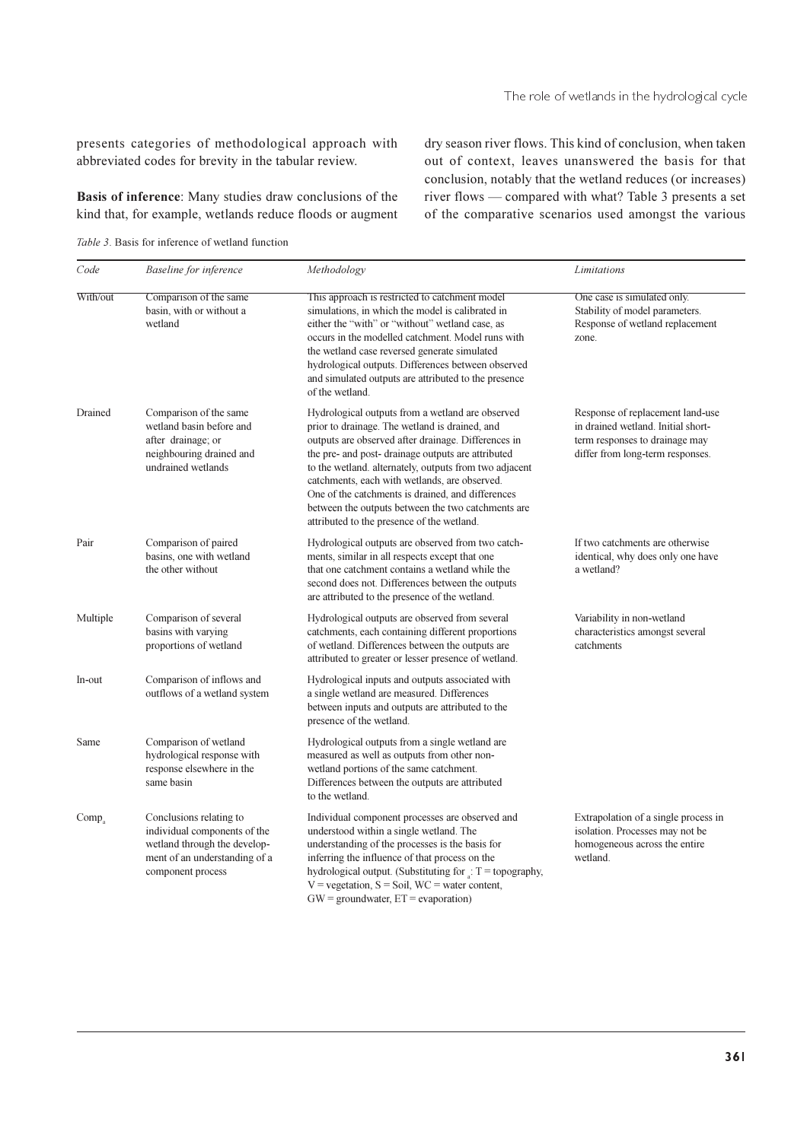presents categories of methodological approach with abbreviated codes for brevity in the tabular review.

Basis of inference: Many studies draw conclusions of the kind that, for example, wetlands reduce floods or augment

dry season river flows. This kind of conclusion, when taken out of context, leaves unanswered the basis for that conclusion, notably that the wetland reduces (or increases) river flows — compared with what? Table 3 presents a set of the comparative scenarios used amongst the various

| Code              | Baseline for inference<br>Methodology                                                                                                         |                                                                                                                                                                                                                                                                                                                                                                                                                                                                                     | Limitations                                                                                                                                  |
|-------------------|-----------------------------------------------------------------------------------------------------------------------------------------------|-------------------------------------------------------------------------------------------------------------------------------------------------------------------------------------------------------------------------------------------------------------------------------------------------------------------------------------------------------------------------------------------------------------------------------------------------------------------------------------|----------------------------------------------------------------------------------------------------------------------------------------------|
| With/out          | Comparison of the same<br>basin, with or without a<br>wetland                                                                                 | This approach is restricted to catchment model<br>simulations, in which the model is calibrated in<br>either the "with" or "without" wetland case, as<br>occurs in the modelled catchment. Model runs with<br>the wetland case reversed generate simulated<br>hydrological outputs. Differences between observed<br>and simulated outputs are attributed to the presence<br>of the wetland.                                                                                         | One case is simulated only.<br>Stability of model parameters.<br>Response of wetland replacement<br>zone.                                    |
| Drained           | Comparison of the same<br>wetland basin before and<br>after drainage; or<br>neighbouring drained and<br>undrained wetlands                    | Hydrological outputs from a wetland are observed<br>prior to drainage. The wetland is drained, and<br>outputs are observed after drainage. Differences in<br>the pre- and post- drainage outputs are attributed<br>to the wetland. alternately, outputs from two adjacent<br>catchments, each with wetlands, are observed.<br>One of the catchments is drained, and differences<br>between the outputs between the two catchments are<br>attributed to the presence of the wetland. | Response of replacement land-use<br>in drained wetland. Initial short-<br>term responses to drainage may<br>differ from long-term responses. |
| Pair              | Comparison of paired<br>basins, one with wetland<br>the other without                                                                         | Hydrological outputs are observed from two catch-<br>ments, similar in all respects except that one<br>that one catchment contains a wetland while the<br>second does not. Differences between the outputs<br>are attributed to the presence of the wetland.                                                                                                                                                                                                                        | If two catchments are otherwise<br>identical, why does only one have<br>a wetland?                                                           |
| Multiple          | Comparison of several<br>basins with varying<br>proportions of wetland                                                                        | Hydrological outputs are observed from several<br>catchments, each containing different proportions<br>of wetland. Differences between the outputs are<br>attributed to greater or lesser presence of wetland.                                                                                                                                                                                                                                                                      | Variability in non-wetland<br>characteristics amongst several<br>catchments                                                                  |
| In-out            | Comparison of inflows and<br>outflows of a wetland system                                                                                     | Hydrological inputs and outputs associated with<br>a single wetland are measured. Differences<br>between inputs and outputs are attributed to the<br>presence of the wetland.                                                                                                                                                                                                                                                                                                       |                                                                                                                                              |
| Same              | Comparison of wetland<br>hydrological response with<br>response elsewhere in the<br>same basin                                                | Hydrological outputs from a single wetland are<br>measured as well as outputs from other non-<br>wetland portions of the same catchment.<br>Differences between the outputs are attributed<br>to the wetland.                                                                                                                                                                                                                                                                       |                                                                                                                                              |
| Comp <sub>a</sub> | Conclusions relating to<br>individual components of the<br>wetland through the develop-<br>ment of an understanding of a<br>component process | Individual component processes are observed and<br>understood within a single wetland. The<br>understanding of the processes is the basis for<br>inferring the influence of that process on the<br>hydrological output. (Substituting for $\frac{1}{4}$ : T = topography,<br>$V = vegetation, S = Soil, WC = water content,$<br>$GW =$ groundwater, $ET =$ evaporation)                                                                                                             | Extrapolation of a single process in<br>isolation. Processes may not be<br>homogeneous across the entire<br>wetland.                         |

Table 3. Basis for inference of wetland function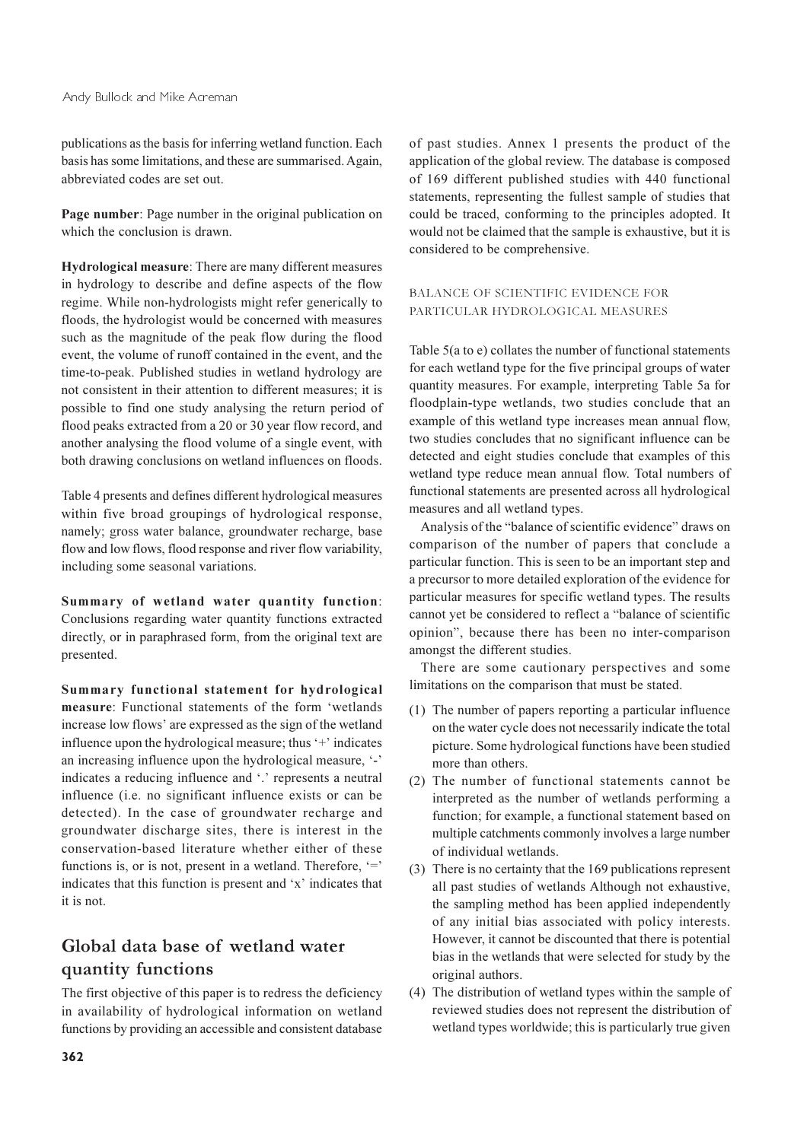publications as the basis for inferring wetland function. Each basis has some limitations, and these are summarised. Again, abbreviated codes are set out.

Page number: Page number in the original publication on which the conclusion is drawn.

Hydrological measure: There are many different measures in hydrology to describe and define aspects of the flow regime. While non-hydrologists might refer generically to floods, the hydrologist would be concerned with measures such as the magnitude of the peak flow during the flood event, the volume of runoff contained in the event, and the time-to-peak. Published studies in wetland hydrology are not consistent in their attention to different measures; it is possible to find one study analysing the return period of flood peaks extracted from a 20 or 30 year flow record, and another analysing the flood volume of a single event, with both drawing conclusions on wetland influences on floods.

Table 4 presents and defines different hydrological measures within five broad groupings of hydrological response, namely; gross water balance, groundwater recharge, base flow and low flows, flood response and river flow variability, including some seasonal variations.

Summary of wetland water quantity function: Conclusions regarding water quantity functions extracted directly, or in paraphrased form, from the original text are presented.

Summary functional statement for hydrological measure: Functional statements of the form 'wetlands increase low flows' are expressed as the sign of the wetland influence upon the hydrological measure; thus '+' indicates an increasing influence upon the hydrological measure, '-' indicates a reducing influence and '.' represents a neutral influence (i.e. no significant influence exists or can be detected). In the case of groundwater recharge and groundwater discharge sites, there is interest in the conservation-based literature whether either of these functions is, or is not, present in a wetland. Therefore, '=' indicates that this function is present and 'x' indicates that it is not.

# Global data base of wetland water quantity functions

The first objective of this paper is to redress the deficiency in availability of hydrological information on wetland functions by providing an accessible and consistent database

of past studies. Annex 1 presents the product of the application of the global review. The database is composed of 169 different published studies with 440 functional statements, representing the fullest sample of studies that could be traced, conforming to the principles adopted. It would not be claimed that the sample is exhaustive, but it is considered to be comprehensive.

## BALANCE OF SCIENTIFIC EVIDENCE FOR PARTICULAR HYDROLOGICAL MEASURES

Table 5(a to e) collates the number of functional statements for each wetland type for the five principal groups of water quantity measures. For example, interpreting Table 5a for floodplain-type wetlands, two studies conclude that an example of this wetland type increases mean annual flow, two studies concludes that no significant influence can be detected and eight studies conclude that examples of this wetland type reduce mean annual flow. Total numbers of functional statements are presented across all hydrological measures and all wetland types.

Analysis of the "balance of scientific evidence" draws on comparison of the number of papers that conclude a particular function. This is seen to be an important step and a precursor to more detailed exploration of the evidence for particular measures for specific wetland types. The results cannot yet be considered to reflect a "balance of scientific opinion", because there has been no inter-comparison amongst the different studies.

There are some cautionary perspectives and some limitations on the comparison that must be stated.

- (1) The number of papers reporting a particular influence on the water cycle does not necessarily indicate the total picture. Some hydrological functions have been studied more than others.
- (2) The number of functional statements cannot be interpreted as the number of wetlands performing a function; for example, a functional statement based on multiple catchments commonly involves a large number of individual wetlands.
- (3) There is no certainty that the 169 publications represent all past studies of wetlands Although not exhaustive, the sampling method has been applied independently of any initial bias associated with policy interests. However, it cannot be discounted that there is potential bias in the wetlands that were selected for study by the original authors.
- (4) The distribution of wetland types within the sample of reviewed studies does not represent the distribution of wetland types worldwide; this is particularly true given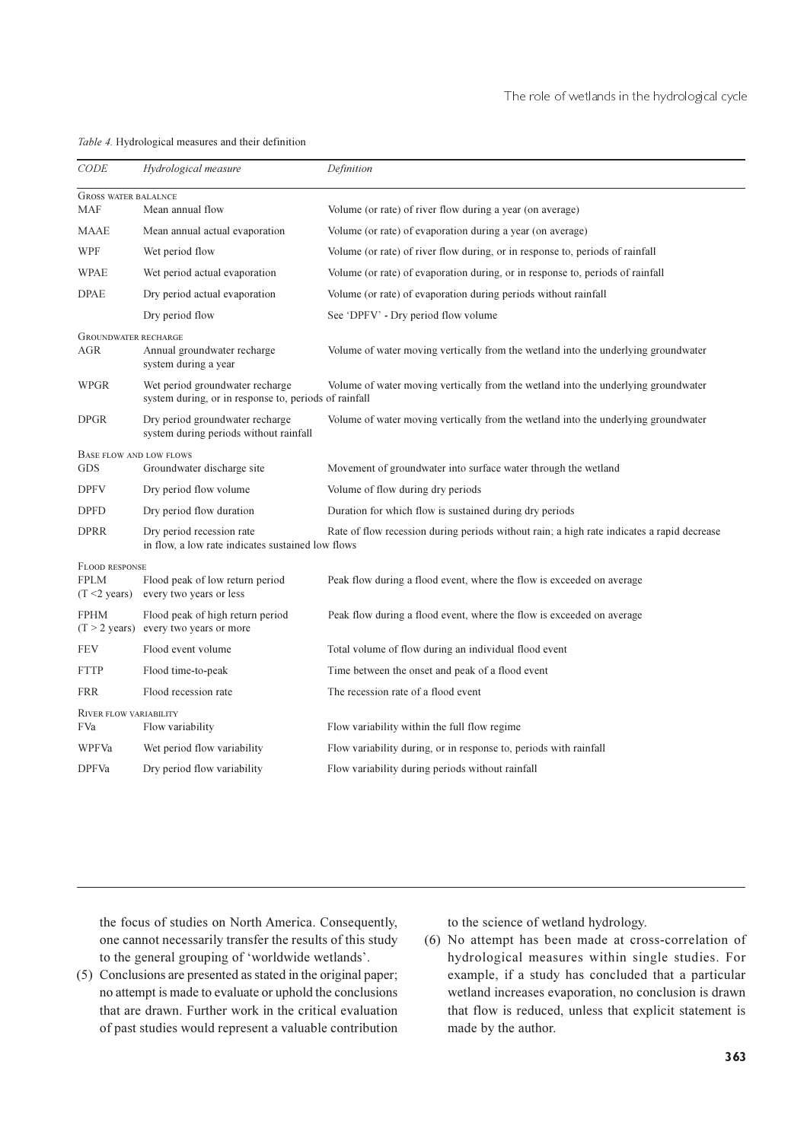#### Table 4. Hydrological measures and their definition

| <b>CODE</b>                           | Hydrological measure                                                                     | Definition                                                                                 |
|---------------------------------------|------------------------------------------------------------------------------------------|--------------------------------------------------------------------------------------------|
| <b>GROSS WATER BALALNCE</b>           |                                                                                          |                                                                                            |
| <b>MAF</b>                            | Mean annual flow                                                                         | Volume (or rate) of river flow during a year (on average)                                  |
| <b>MAAE</b>                           | Mean annual actual evaporation                                                           | Volume (or rate) of evaporation during a year (on average)                                 |
| <b>WPF</b>                            | Wet period flow                                                                          | Volume (or rate) of river flow during, or in response to, periods of rainfall              |
| WPAE                                  | Wet period actual evaporation                                                            | Volume (or rate) of evaporation during, or in response to, periods of rainfall             |
| <b>DPAE</b>                           | Dry period actual evaporation                                                            | Volume (or rate) of evaporation during periods without rainfall                            |
|                                       | Dry period flow                                                                          | See 'DPFV' - Dry period flow volume                                                        |
| <b>GROUNDWATER RECHARGE</b><br>AGR    | Annual groundwater recharge<br>system during a year                                      | Volume of water moving vertically from the wetland into the underlying groundwater         |
| <b>WPGR</b>                           | Wet period groundwater recharge<br>system during, or in response to, periods of rainfall | Volume of water moving vertically from the wetland into the underlying groundwater         |
| <b>DPGR</b>                           | Dry period groundwater recharge<br>system during periods without rainfall                | Volume of water moving vertically from the wetland into the underlying groundwater         |
| BASE FLOW AND LOW FLOWS<br><b>GDS</b> | Groundwater discharge site                                                               | Movement of groundwater into surface water through the wetland                             |
| <b>DPFV</b>                           | Dry period flow volume                                                                   | Volume of flow during dry periods                                                          |
| <b>DPFD</b>                           | Dry period flow duration                                                                 | Duration for which flow is sustained during dry periods                                    |
| <b>DPRR</b>                           | Dry period recession rate<br>in flow, a low rate indicates sustained low flows           | Rate of flow recession during periods without rain; a high rate indicates a rapid decrease |
| <b>FLOOD RESPONSE</b>                 |                                                                                          |                                                                                            |
| <b>FPLM</b><br>$(T \leq 2$ years)     | Flood peak of low return period<br>every two years or less                               | Peak flow during a flood event, where the flow is exceeded on average                      |
| <b>FPHM</b><br>$(T > 2$ years)        | Flood peak of high return period<br>every two years or more                              | Peak flow during a flood event, where the flow is exceeded on average                      |
| <b>FEV</b>                            | Flood event volume                                                                       | Total volume of flow during an individual flood event                                      |
| <b>FTTP</b>                           | Flood time-to-peak                                                                       | Time between the onset and peak of a flood event                                           |
| <b>FRR</b>                            | Flood recession rate                                                                     | The recession rate of a flood event                                                        |
| RIVER FLOW VARIABILITY<br>FVa         | Flow variability                                                                         | Flow variability within the full flow regime                                               |
| WPFVa                                 | Wet period flow variability                                                              | Flow variability during, or in response to, periods with rainfall                          |
| <b>DPFVa</b>                          | Dry period flow variability                                                              | Flow variability during periods without rainfall                                           |

the focus of studies on North America. Consequently, one cannot necessarily transfer the results of this study to the general grouping of 'worldwide wetlands'.

(5) Conclusions are presented as stated in the original paper; no attempt is made to evaluate or uphold the conclusions that are drawn. Further work in the critical evaluation of past studies would represent a valuable contribution

to the science of wetland hydrology.

(6) No attempt has been made at cross-correlation of hydrological measures within single studies. For example, if a study has concluded that a particular wetland increases evaporation, no conclusion is drawn that flow is reduced, unless that explicit statement is made by the author.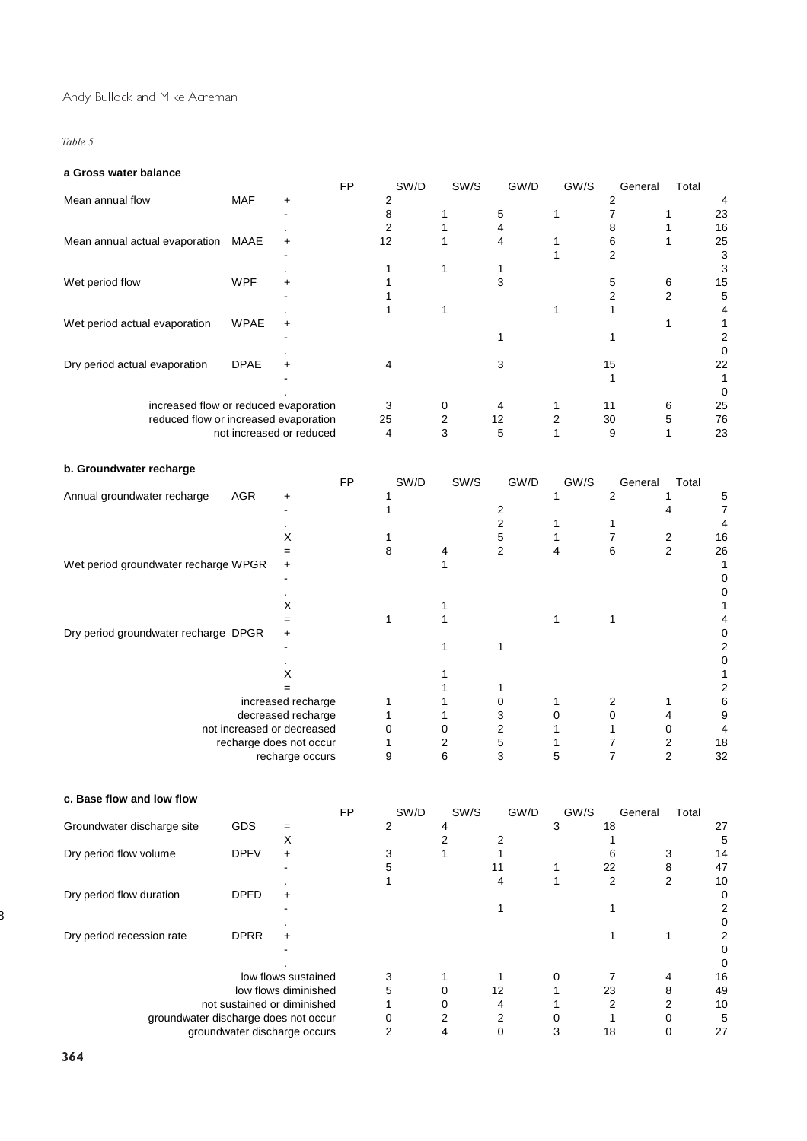#### Andy Bullock and Mike Acreman

#### *Table* 5

#### **a Gross water balance**

| Mean annual flow                      | <b>MAF</b>  |                                             |           | 2<br>8         | 1      | 5                       | 1            | 2<br>7         | 1                       | 4<br>23                      |
|---------------------------------------|-------------|---------------------------------------------|-----------|----------------|--------|-------------------------|--------------|----------------|-------------------------|------------------------------|
|                                       |             |                                             |           | $\overline{2}$ | 1      | 4                       |              | 8              | 1                       | 16                           |
| Mean annual actual evaporation        | MAAE        |                                             |           | 12             | 1      | 4                       | 1            | 6              | 1                       | 25                           |
|                                       |             |                                             |           |                |        |                         | 1            | 2              |                         | 3                            |
|                                       |             |                                             |           | 1              | 1      | 1                       |              |                |                         | 3                            |
| Wet period flow                       | <b>WPF</b>  | $\ddot{}$                                   |           | 1              |        | 3                       |              | 5              | 6                       | 15                           |
|                                       |             |                                             |           | 1              |        |                         |              | 2              | 2                       | 5                            |
|                                       |             |                                             |           | 1              | 1      |                         | 1            | 1              |                         | 4                            |
| Wet period actual evaporation         | WPAE        |                                             |           |                |        |                         |              |                | 1                       |                              |
|                                       |             |                                             |           |                |        | 1                       |              | 1              |                         | $\overline{\mathbf{c}}$<br>0 |
| Dry period actual evaporation         | <b>DPAE</b> |                                             |           | 4              |        | 3                       |              | 15<br>1        |                         | 22<br>1                      |
| increased flow or reduced evaporation |             |                                             |           | 3              | 0      | 4                       | 1            | 11             | 6                       | 0<br>25                      |
| reduced flow or increased evaporation |             |                                             |           | 25             | 2      | 12                      | 2            | 30             | 5                       | 76                           |
|                                       |             | not increased or reduced                    |           | 4              | 3      | 5                       | $\mathbf{1}$ | 9              | 1                       | 23                           |
| b. Groundwater recharge               |             |                                             |           |                |        |                         |              |                |                         |                              |
|                                       |             |                                             | <b>FP</b> | SW/D           | SW/S   | GW/D                    | GW/S         | General        | Total                   |                              |
| Annual groundwater recharge           | <b>AGR</b>  | +                                           |           | 1              |        |                         | 1            | $\overline{2}$ | 1                       | 5                            |
|                                       |             |                                             |           | 1              |        | 2                       |              |                | 4                       | 7                            |
|                                       |             |                                             |           |                |        | $\overline{2}$          | 1            | 1              |                         | 4                            |
|                                       |             | X                                           |           | 1              |        | 5                       | 1            | $\overline{7}$ | 2                       | 16                           |
|                                       |             | $=$                                         |           | 8              | 4      | $\sqrt{2}$              | 4            | 6              | $\overline{2}$          | 26                           |
| Wet period groundwater recharge WPGR  |             | +                                           |           |                | 1      |                         |              |                |                         | 1<br>0                       |
|                                       |             |                                             |           |                |        |                         |              |                |                         | 0                            |
|                                       |             | X                                           |           |                | 1      |                         |              |                |                         |                              |
|                                       |             | $=$                                         |           | 1              | 1      |                         | 1            | 1              |                         | 4                            |
| Dry period groundwater recharge DPGR  |             | +                                           |           |                |        |                         |              |                |                         | 0                            |
|                                       |             |                                             |           |                | 1      | 1                       |              |                |                         |                              |
|                                       |             |                                             |           |                |        |                         |              |                |                         | 0                            |
|                                       |             | X                                           |           |                | 1      |                         |              |                |                         |                              |
|                                       |             | $=$                                         |           |                |        | 1                       |              |                |                         | $\overline{\mathbf{c}}$      |
|                                       |             | increased recharge                          |           | 1              | 1      | 0                       | 1            | 2              | 1                       | 6                            |
|                                       |             | decreased recharge                          |           | 1              | 1      | 3                       | $\mathbf 0$  | $\mathbf 0$    | 4                       | 9                            |
|                                       |             | not increased or decreased                  |           | 0              | 0      | $\overline{\mathbf{c}}$ | 1            | 1              | 0                       | 4                            |
|                                       |             | recharge does not occur                     |           | 1              | 2      | 5                       | 1            | 7              | 2                       | 18                           |
|                                       |             | recharge occurs                             |           | 9              | 6      | 3                       | 5            | $\overline{7}$ | $\overline{2}$          | 32                           |
| c. Base flow and low flow             |             |                                             |           |                |        |                         |              |                |                         |                              |
|                                       |             |                                             | FP        | SW/D           | SW/S   | GW/D                    | GW/S         | General        | Total                   |                              |
| Groundwater discharge site            | GDS         | $=$                                         |           | 2              | 4      |                         | 3            | 18             |                         | 27                           |
|                                       |             | X                                           |           |                | 2      | 2                       |              | 1              |                         | 5                            |
| Dry period flow volume                | <b>DPFV</b> | $\ddag$                                     |           | 3              | 1      | 1                       |              | 6              | 3                       | 14                           |
|                                       |             |                                             |           | 5              |        | 11                      | 1            | 22             | 8                       | 47                           |
|                                       |             |                                             |           | 1              |        | 4                       | 1            | 2              | $\overline{\mathbf{c}}$ | 10                           |
| Dry period flow duration              | <b>DPFD</b> | +                                           |           |                |        |                         |              |                |                         | 0                            |
|                                       |             |                                             |           |                |        | 1                       |              | 1              |                         | $\overline{\mathbf{c}}$      |
|                                       |             |                                             |           |                |        |                         |              |                |                         | 0                            |
| Dry period recession rate             | <b>DPRR</b> | +                                           |           |                |        |                         |              | 1              | 1                       | $\overline{\mathbf{c}}$      |
|                                       |             |                                             |           |                |        |                         |              |                |                         | 0                            |
|                                       |             |                                             |           |                |        |                         |              |                |                         | 0                            |
|                                       |             | low flows sustained<br>low flows diminished |           | 3              | 1      | 1<br>12                 | 0            | 7              | 4                       | 16                           |
|                                       |             | not sustained or diminished                 |           | 5<br>1         | 0<br>0 | 4                       | 1<br>1       | 23<br>2        | 8<br>2                  | 49<br>10                     |
| groundwater discharge does not occur  |             |                                             |           | 0              | 2      | 2                       | 0            | 1              | 0                       | 5                            |
|                                       |             |                                             |           | 2              | 4      | 0                       | 3            | $18$           | 0                       | 27                           |
| groundwater discharge occurs          |             |                                             |           |                |        |                         |              |                |                         |                              |

FP SW/D SW/S GW/D GW/S General Total

3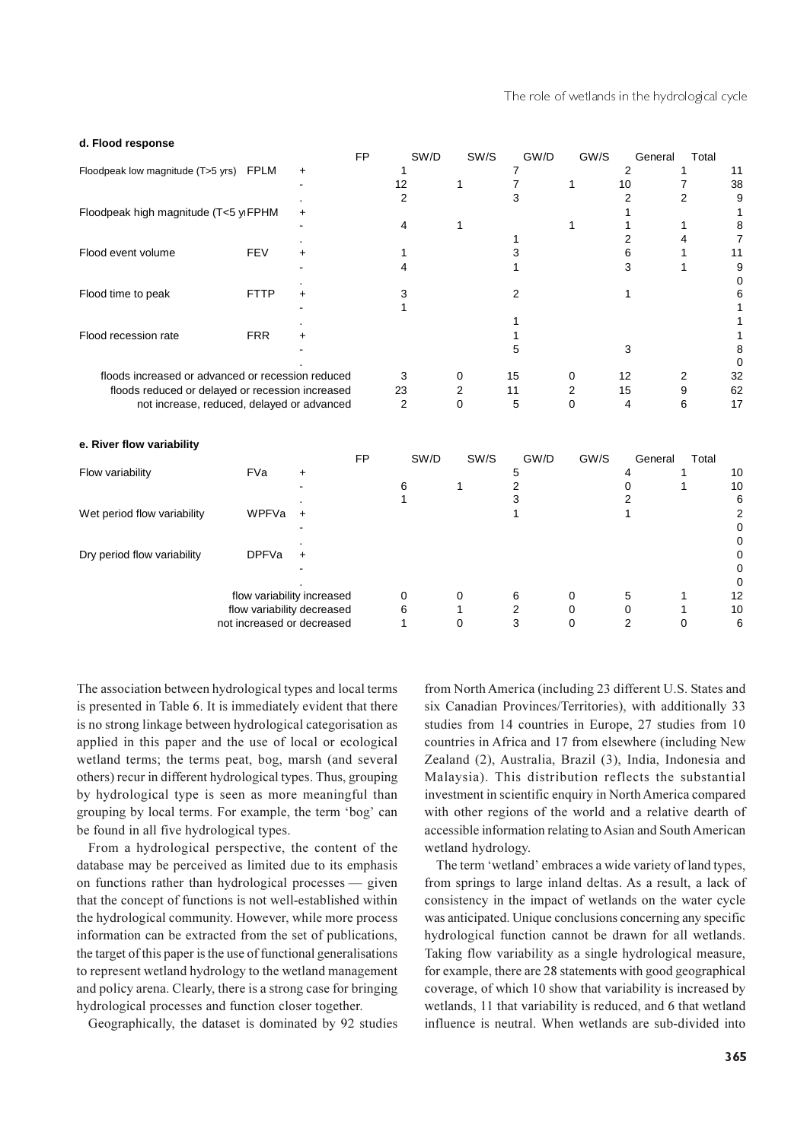|                                                   |                            |           | <b>FP</b> | SW/D           | SW/S         | GW/D           | GW/S     | General        | Total          |    |
|---------------------------------------------------|----------------------------|-----------|-----------|----------------|--------------|----------------|----------|----------------|----------------|----|
| Floodpeak low magnitude (T>5 yrs) FPLM            |                            | +         |           | 1              |              | 7              |          | $\overline{2}$ | 1              | 11 |
|                                                   |                            |           |           | 12             | 1            | $\overline{7}$ | 1        | 10             | 7              | 38 |
|                                                   |                            |           |           | $\overline{2}$ |              | 3              |          | 2              | $\overline{2}$ | 9  |
| Floodpeak high magnitude (T<5 y FPHM              |                            | $\ddot{}$ |           |                |              |                |          |                |                |    |
|                                                   |                            |           |           | 4              | 1            |                | 1        |                | 1              | 8  |
|                                                   |                            |           |           |                |              | 1              |          | 2              | 4              | 7  |
| Flood event volume                                | <b>FEV</b>                 | +         |           |                |              | 3              |          | 6              | 1              | 11 |
|                                                   |                            |           |           |                |              |                |          | 3              | 1              | 9  |
|                                                   |                            |           |           |                |              |                |          |                |                |    |
| Flood time to peak                                | <b>FTTP</b>                |           |           | 3              |              | 2              |          |                |                | 6  |
|                                                   |                            |           |           | 1              |              |                |          |                |                |    |
|                                                   |                            |           |           |                |              | 1              |          |                |                |    |
| Flood recession rate                              | <b>FRR</b>                 |           |           |                |              | 1              |          |                |                |    |
|                                                   |                            |           |           |                |              | 5              |          | 3              |                | 8  |
|                                                   |                            |           |           |                |              |                |          |                |                |    |
| floods increased or advanced or recession reduced |                            |           |           | 3              | 0            | 15             | 0        | 12             | 2              | 32 |
| floods reduced or delayed or recession increased  |                            |           |           | 23             | $\mathbf{2}$ | 11             | 2        | 15             | 9              | 62 |
| not increase, reduced, delayed or advanced        |                            |           |           | 2              | $\Omega$     | 5              | $\Omega$ | $\overline{4}$ | 6              | 17 |
| e. River flow variability                         |                            |           |           |                |              |                |          |                |                |    |
|                                                   |                            |           | <b>FP</b> | SW/D           | SW/S         | GW/D           | GW/S     | General        | Total          |    |
| Flow variability                                  | FVa                        | +         |           |                |              | 5              |          | 4              | 1              | 10 |
|                                                   |                            |           |           | 6              | 1            | 2              |          | 0              | 1              | 10 |
|                                                   |                            |           |           | 1              |              | 3              |          | 2              |                | 6  |
| Wet period flow variability                       | WPFVa                      | +         |           |                |              | 1              |          | 1              |                | 2  |
|                                                   |                            |           |           |                |              |                |          |                |                |    |
|                                                   |                            |           |           |                |              |                |          |                |                |    |
| Dry period flow variability                       | <b>DPFVa</b>               |           |           |                |              |                |          |                |                |    |
|                                                   |                            |           |           |                |              |                |          |                |                |    |
|                                                   |                            |           |           |                |              |                |          |                |                | 0  |
|                                                   | flow variability increased |           |           | 0              | 0            | 6              | 0        | 5              | 1              | 12 |
|                                                   | flow variability decreased |           |           | 6              |              | 2              | 0        | 0              | 1              | 10 |
|                                                   | not increased or decreased |           |           | 1              | $\Omega$     | 3              | $\Omega$ | $\overline{2}$ | 0              | 6  |
|                                                   |                            |           |           |                |              |                |          |                |                |    |

#### **d. Flood response**

The association between hydrological types and local terms is presented in Table 6. It is immediately evident that there is no strong linkage between hydrological categorisation as applied in this paper and the use of local or ecological wetland terms; the terms peat, bog, marsh (and several others) recur in different hydrological types. Thus, grouping by hydrological type is seen as more meaningful than grouping by local terms. For example, the term 'bog' can be found in all five hydrological types.

From a hydrological perspective, the content of the database may be perceived as limited due to its emphasis on functions rather than hydrological processes - given that the concept of functions is not well-established within the hydrological community. However, while more process information can be extracted from the set of publications, the target of this paper is the use of functional generalisations to represent wetland hydrology to the wetland management and policy arena. Clearly, there is a strong case for bringing hydrological processes and function closer together.

Geographically, the dataset is dominated by 92 studies

from North America (including 23 different U.S. States and six Canadian Provinces/Territories), with additionally 33 studies from 14 countries in Europe, 27 studies from 10 countries in Africa and 17 from elsewhere (including New Zealand (2), Australia, Brazil (3), India, Indonesia and Malaysia). This distribution reflects the substantial investment in scientific enquiry in North America compared with other regions of the world and a relative dearth of accessible information relating to Asian and South American wetland hydrology.

The term 'wetland' embraces a wide variety of land types, from springs to large inland deltas. As a result, a lack of consistency in the impact of wetlands on the water cycle was anticipated. Unique conclusions concerning any specific hydrological function cannot be drawn for all wetlands. Taking flow variability as a single hydrological measure, for example, there are 28 statements with good geographical coverage, of which 10 show that variability is increased by wetlands, 11 that variability is reduced, and 6 that wetland influence is neutral. When wetlands are sub-divided into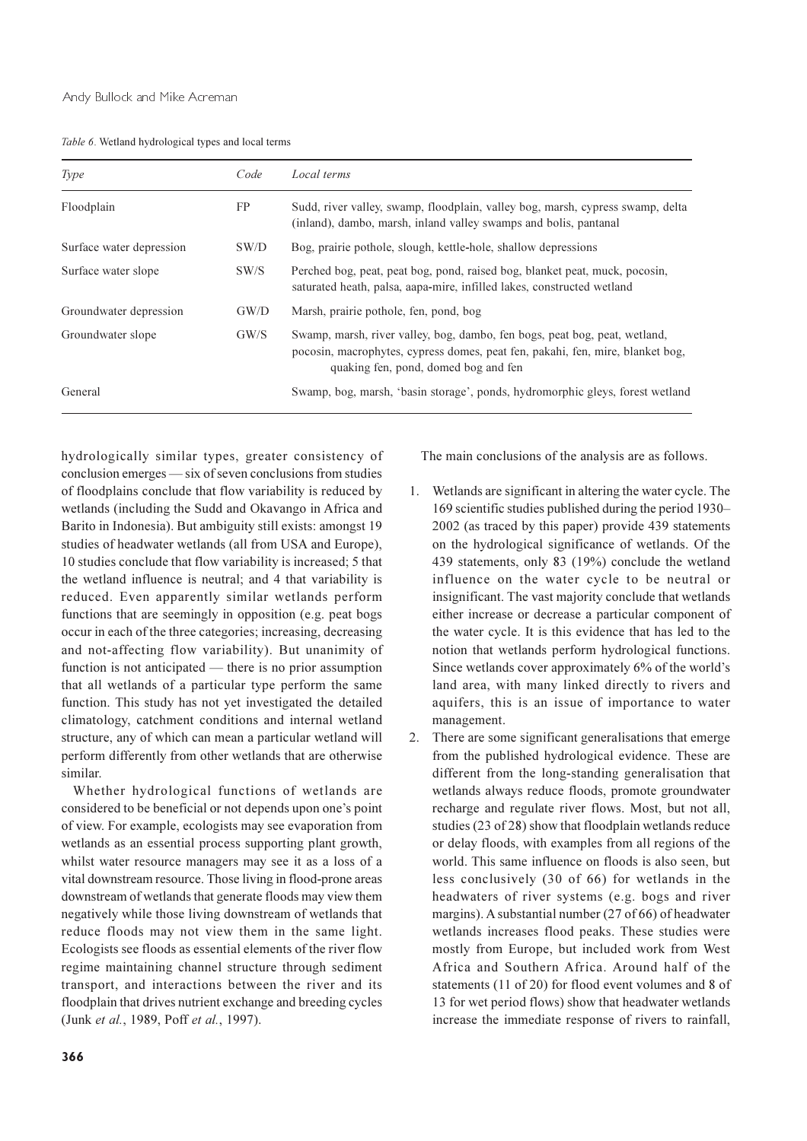|  | Table 6. Wetland hydrological types and local terms |  |  |
|--|-----------------------------------------------------|--|--|
|  |                                                     |  |  |

| Type                     | Code | Local terms                                                                                                                                                                                          |
|--------------------------|------|------------------------------------------------------------------------------------------------------------------------------------------------------------------------------------------------------|
| Floodplain               | FP   | Sudd, river valley, swamp, floodplain, valley bog, marsh, cypress swamp, delta<br>(inland), dambo, marsh, inland valley swamps and bolis, pantanal                                                   |
| Surface water depression | SW/D | Bog, prairie pothole, slough, kettle-hole, shallow depressions                                                                                                                                       |
| Surface water slope      | SW/S | Perched bog, peat, peat bog, pond, raised bog, blanket peat, muck, pocosin,<br>saturated heath, palsa, aapa-mire, infilled lakes, constructed wetland                                                |
| Groundwater depression   | GW/D | Marsh, prairie pothole, fen, pond, bog                                                                                                                                                               |
| Groundwater slope        | GW/S | Swamp, marsh, river valley, bog, dambo, fen bogs, peat bog, peat, wetland,<br>pocosin, macrophytes, cypress domes, peat fen, pakahi, fen, mire, blanket bog,<br>quaking fen, pond, domed bog and fen |
| General                  |      | Swamp, bog, marsh, 'basin storage', ponds, hydromorphic gleys, forest wetland                                                                                                                        |

hydrologically similar types, greater consistency of conclusion emerges — six of seven conclusions from studies of floodplains conclude that flow variability is reduced by wetlands (including the Sudd and Okavango in Africa and Barito in Indonesia). But ambiguity still exists: amongst 19 studies of headwater wetlands (all from USA and Europe), 10 studies conclude that flow variability is increased; 5 that the wetland influence is neutral; and 4 that variability is reduced. Even apparently similar wetlands perform functions that are seemingly in opposition (e.g. peat bogs occur in each of the three categories; increasing, decreasing and not-affecting flow variability). But unanimity of function is not anticipated  $-$  there is no prior assumption that all wetlands of a particular type perform the same function. This study has not yet investigated the detailed climatology, catchment conditions and internal wetland structure, any of which can mean a particular wetland will perform differently from other wetlands that are otherwise similar.

Whether hydrological functions of wetlands are considered to be beneficial or not depends upon one's point of view. For example, ecologists may see evaporation from wetlands as an essential process supporting plant growth, whilst water resource managers may see it as a loss of a vital downstream resource. Those living in flood-prone areas downstream of wetlands that generate floods may view them negatively while those living downstream of wetlands that reduce floods may not view them in the same light. Ecologists see floods as essential elements of the river flow regime maintaining channel structure through sediment transport, and interactions between the river and its floodplain that drives nutrient exchange and breeding cycles (Junk et al., 1989, Poff et al., 1997).

The main conclusions of the analysis are as follows.

- 1. Wetlands are significant in altering the water cycle. The 169 scientific studies published during the period 1930– 2002 (as traced by this paper) provide 439 statements on the hydrological significance of wetlands. Of the 439 statements, only 83 (19%) conclude the wetland influence on the water cycle to be neutral or insignificant. The vast majority conclude that wetlands either increase or decrease a particular component of the water cycle. It is this evidence that has led to the notion that wetlands perform hydrological functions. Since wetlands cover approximately 6% of the world's land area, with many linked directly to rivers and aquifers, this is an issue of importance to water management.
- There are some significant generalisations that emerge  $2.$ from the published hydrological evidence. These are different from the long-standing generalisation that wetlands always reduce floods, promote groundwater recharge and regulate river flows. Most, but not all, studies (23 of 28) show that floodplain wetlands reduce or delay floods, with examples from all regions of the world. This same influence on floods is also seen, but less conclusively (30 of 66) for wetlands in the headwaters of river systems (e.g. bogs and river margins). A substantial number (27 of 66) of headwater wetlands increases flood peaks. These studies were mostly from Europe, but included work from West Africa and Southern Africa. Around half of the statements (11 of 20) for flood event volumes and 8 of 13 for wet period flows) show that headwater wetlands increase the immediate response of rivers to rainfall,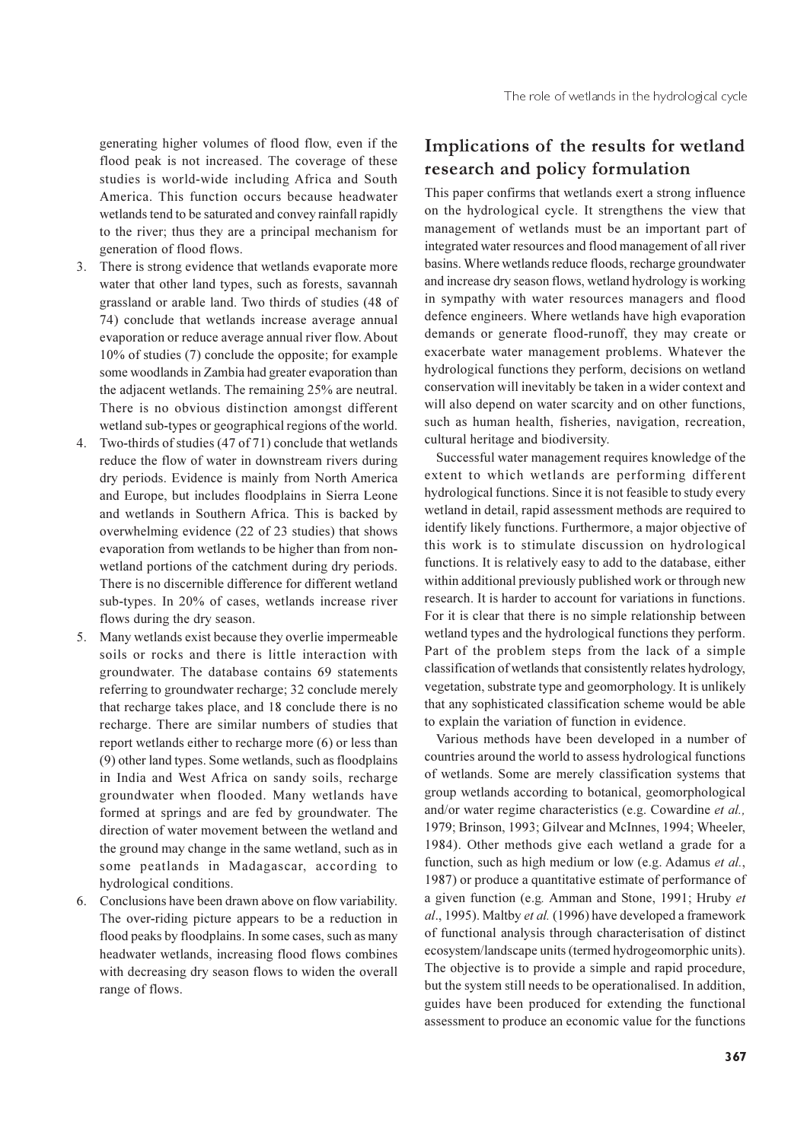generating higher volumes of flood flow, even if the flood peak is not increased. The coverage of these studies is world-wide including Africa and South America. This function occurs because headwater wetlands tend to be saturated and convey rainfall rapidly to the river: thus they are a principal mechanism for generation of flood flows.

- 3. There is strong evidence that wetlands evaporate more water that other land types, such as forests, savannah grassland or arable land. Two thirds of studies (48 of 74) conclude that wetlands increase average annual evaporation or reduce average annual river flow. About 10% of studies (7) conclude the opposite; for example some woodlands in Zambia had greater evaporation than the adjacent wetlands. The remaining 25% are neutral. There is no obvious distinction amongst different wetland sub-types or geographical regions of the world.
- 4. Two-thirds of studies (47 of 71) conclude that wetlands reduce the flow of water in downstream rivers during dry periods. Evidence is mainly from North America and Europe, but includes floodplains in Sierra Leone and wetlands in Southern Africa. This is backed by overwhelming evidence (22 of 23 studies) that shows evaporation from wetlands to be higher than from nonwetland portions of the catchment during dry periods. There is no discernible difference for different wetland sub-types. In 20% of cases, wetlands increase river flows during the dry season.
- 5. Many wetlands exist because they overlie impermeable soils or rocks and there is little interaction with groundwater. The database contains 69 statements referring to groundwater recharge; 32 conclude merely that recharge takes place, and 18 conclude there is no recharge. There are similar numbers of studies that report wetlands either to recharge more (6) or less than (9) other land types. Some wetlands, such as floodplains in India and West Africa on sandy soils, recharge groundwater when flooded. Many wetlands have formed at springs and are fed by groundwater. The direction of water movement between the wetland and the ground may change in the same wetland, such as in some peatlands in Madagascar, according to hydrological conditions.
- 6. Conclusions have been drawn above on flow variability. The over-riding picture appears to be a reduction in flood peaks by floodplains. In some cases, such as many headwater wetlands, increasing flood flows combines with decreasing dry season flows to widen the overall range of flows.

# Implications of the results for wetland research and policy formulation

This paper confirms that wetlands exert a strong influence on the hydrological cycle. It strengthens the view that management of wetlands must be an important part of integrated water resources and flood management of all river basins. Where wetlands reduce floods, recharge groundwater and increase dry season flows, wetland hydrology is working in sympathy with water resources managers and flood defence engineers. Where wetlands have high evaporation demands or generate flood-runoff, they may create or exacerbate water management problems. Whatever the hydrological functions they perform, decisions on wetland conservation will inevitably be taken in a wider context and will also depend on water scarcity and on other functions, such as human health, fisheries, navigation, recreation, cultural heritage and biodiversity.

Successful water management requires knowledge of the extent to which wetlands are performing different hydrological functions. Since it is not feasible to study every wetland in detail, rapid assessment methods are required to identify likely functions. Furthermore, a major objective of this work is to stimulate discussion on hydrological functions. It is relatively easy to add to the database, either within additional previously published work or through new research. It is harder to account for variations in functions. For it is clear that there is no simple relationship between wetland types and the hydrological functions they perform. Part of the problem steps from the lack of a simple classification of wetlands that consistently relates hydrology, vegetation, substrate type and geomorphology. It is unlikely that any sophisticated classification scheme would be able to explain the variation of function in evidence.

Various methods have been developed in a number of countries around the world to assess hydrological functions of wetlands. Some are merely classification systems that group wetlands according to botanical, geomorphological and/or water regime characteristics (e.g. Cowardine et al., 1979; Brinson, 1993; Gilvear and McInnes, 1994; Wheeler, 1984). Other methods give each wetland a grade for a function, such as high medium or low (e.g. Adamus et al., 1987) or produce a quantitative estimate of performance of a given function (e.g. Amman and Stone, 1991; Hruby et al., 1995). Maltby et al. (1996) have developed a framework of functional analysis through characterisation of distinct ecosystem/landscape units (termed hydrogeomorphic units). The objective is to provide a simple and rapid procedure, but the system still needs to be operationalised. In addition, guides have been produced for extending the functional assessment to produce an economic value for the functions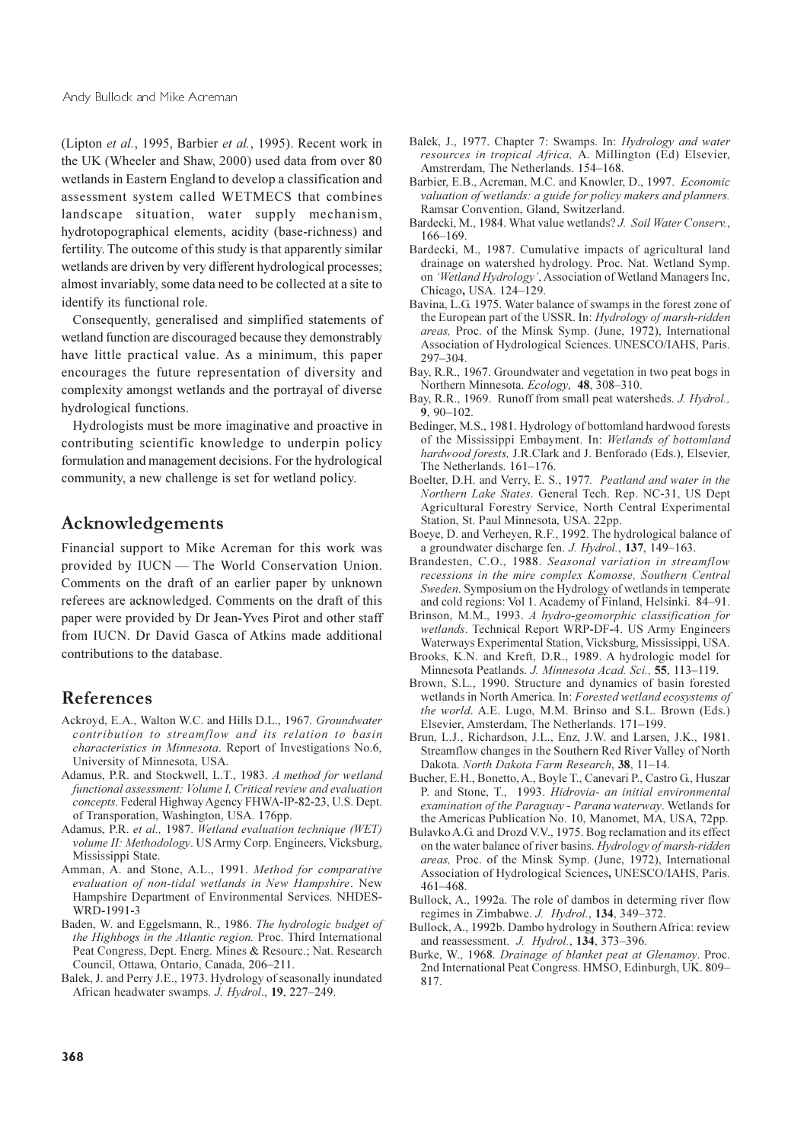(Lipton et al., 1995, Barbier et al., 1995). Recent work in the UK (Wheeler and Shaw, 2000) used data from over 80 wetlands in Eastern England to develop a classification and assessment system called WETMECS that combines landscape situation, water supply mechanism, hydrotopographical elements, acidity (base-richness) and fertility. The outcome of this study is that apparently similar wetlands are driven by very different hydrological processes; almost invariably, some data need to be collected at a site to identify its functional role.

Consequently, generalised and simplified statements of wetland function are discouraged because they demonstrably have little practical value. As a minimum, this paper encourages the future representation of diversity and complexity amongst wetlands and the portrayal of diverse hydrological functions.

Hydrologists must be more imaginative and proactive in contributing scientific knowledge to underpin policy formulation and management decisions. For the hydrological community, a new challenge is set for wetland policy.

## Acknowledgements

Financial support to Mike Acreman for this work was provided by IUCN — The World Conservation Union. Comments on the draft of an earlier paper by unknown referees are acknowledged. Comments on the draft of this paper were provided by Dr Jean-Yves Pirot and other staff from IUCN. Dr David Gasca of Atkins made additional contributions to the database.

## References

- Ackroyd, E.A., Walton W.C. and Hills D.L., 1967. Groundwater contribution to streamflow and its relation to basin characteristics in Minnesota. Report of Investigations No.6, University of Minnesota, USA.
- Adamus, P.R. and Stockwell, L.T., 1983. A method for wetland functional assessment: Volume I, Critical review and evaluation concepts. Federal Highway Agency FHWA-IP-82-23, U.S. Dept. of Transporation, Washington, USA. 176pp.
- Adamus, P.R. et al., 1987. Wetland evaluation technique (WET) volume II: Methodology. US Army Corp. Engineers, Vicksburg, Mississippi State.
- Amman, A. and Stone, A.L., 1991. Method for comparative evaluation of non-tidal wetlands in New Hampshire. New Hampshire Department of Environmental Services. NHDES-WRD-1991-3
- Baden, W. and Eggelsmann, R., 1986. The hydrologic budget of the Highbogs in the Atlantic region. Proc. Third International Peat Congress, Dept. Energ. Mines & Resourc.; Nat. Research Council, Ottawa, Ontario, Canada, 206-211.
- Balek, J. and Perry J.E., 1973. Hydrology of seasonally inundated African headwater swamps. J. Hydrol., 19, 227-249.
- Balek, J., 1977. Chapter 7: Swamps. In: Hydrology and water resources in tropical Africa, A. Millington (Ed) Elsevier, Amstrerdam, The Netherlands. 154-168.
- Barbier, E.B., Acreman, M.C. and Knowler, D., 1997. Economic valuation of wetlands: a guide for policy makers and planners. Ramsar Convention, Gland, Switzerland.
- Bardecki, M., 1984. What value wetlands? J. Soil Water Conserv., 166-169
- Bardecki, M., 1987. Cumulative impacts of agricultural land drainage on watershed hydrology. Proc. Nat. Wetland Symp. on 'Wetland Hydrology', Association of Wetland Managers Inc, Chicago, USA. 124-129.
- Bavina, L.G. 1975. Water balance of swamps in the forest zone of the European part of the USSR. In: Hydrology of marsh-ridden areas, Proc. of the Minsk Symp. (June, 1972), International Association of Hydrological Sciences. UNESCO/IAHS, Paris.  $297 - 304$
- Bay, R.R., 1967. Groundwater and vegetation in two peat bogs in Northern Minnesota. Ecology, 48, 308-310.
- Bay, R.R., 1969. Runoff from small peat watersheds. J. Hydrol.,  $9.90 - 102$
- Bedinger, M.S., 1981. Hydrology of bottomland hardwood forests of the Mississippi Embayment. In: Wetlands of bottomland hardwood forests, J.R.Clark and J. Benforado (Eds.), Elsevier, The Netherlands. 161-176.
- Boelter, D.H. and Verry, E. S., 1977. Peatland and water in the Northern Lake States. General Tech. Rep. NC-31, US Dept Agricultural Forestry Service, North Central Experimental Station, St. Paul Minnesota, USA. 22pp.
- Boeye, D. and Verheyen, R.F., 1992. The hydrological balance of a groundwater discharge fen. J. Hydrol., 137, 149-163.
- Brandesten, C.O., 1988. Seasonal variation in streamflow recessions in the mire complex Komosse, Southern Central Sweden. Symposium on the Hydrology of wetlands in temperate and cold regions: Vol 1. Academy of Finland, Helsinki. 84-91.
- Brinson, M.M., 1993. A hydro-geomorphic classification for wetlands. Technical Report WRP-DF-4. US Army Engineers Waterways Experimental Station, Vicksburg, Mississippi, USA.
- Brooks, K.N. and Kreft, D.R., 1989. A hydrologic model for Minnesota Peatlands. J. Minnesota Acad. Sci., 55, 113-119.
- Brown, S.L., 1990. Structure and dynamics of basin forested wetlands in North America. In: Forested wetland ecosystems of the world. A.E. Lugo, M.M. Brinso and S.L. Brown (Eds.) Elsevier, Amsterdam, The Netherlands. 171-199.
- Brun, L.J., Richardson, J.L., Enz, J.W. and Larsen, J.K., 1981. Streamflow changes in the Southern Red River Valley of North Dakota. North Dakota Farm Research, 38, 11-14.
- Bucher, E.H., Bonetto, A., Boyle T., Canevari P., Castro G., Huszar P. and Stone, T., 1993. Hidrovia- an initial environmental examination of the Paraguay - Parana waterway. Wetlands for the Americas Publication No. 10, Manomet, MA, USA, 72pp.
- Bulavko A.G. and Drozd V.V., 1975. Bog reclamation and its effect on the water balance of river basins. Hydrology of marsh-ridden areas, Proc. of the Minsk Symp. (June, 1972), International Association of Hydrological Sciences, UNESCO/IAHS, Paris.  $461 - 468$ .
- Bullock, A., 1992a. The role of dambos in determing river flow regimes in Zimbabwe. J. Hydrol., 134, 349–372.
- Bullock, A., 1992b. Dambo hydrology in Southern Africa: review and reassessment. J. Hydrol., 134, 373-396.
- Burke, W., 1968. Drainage of blanket peat at Glenamoy. Proc. 2nd International Peat Congress. HMSO, Edinburgh, UK. 809-817.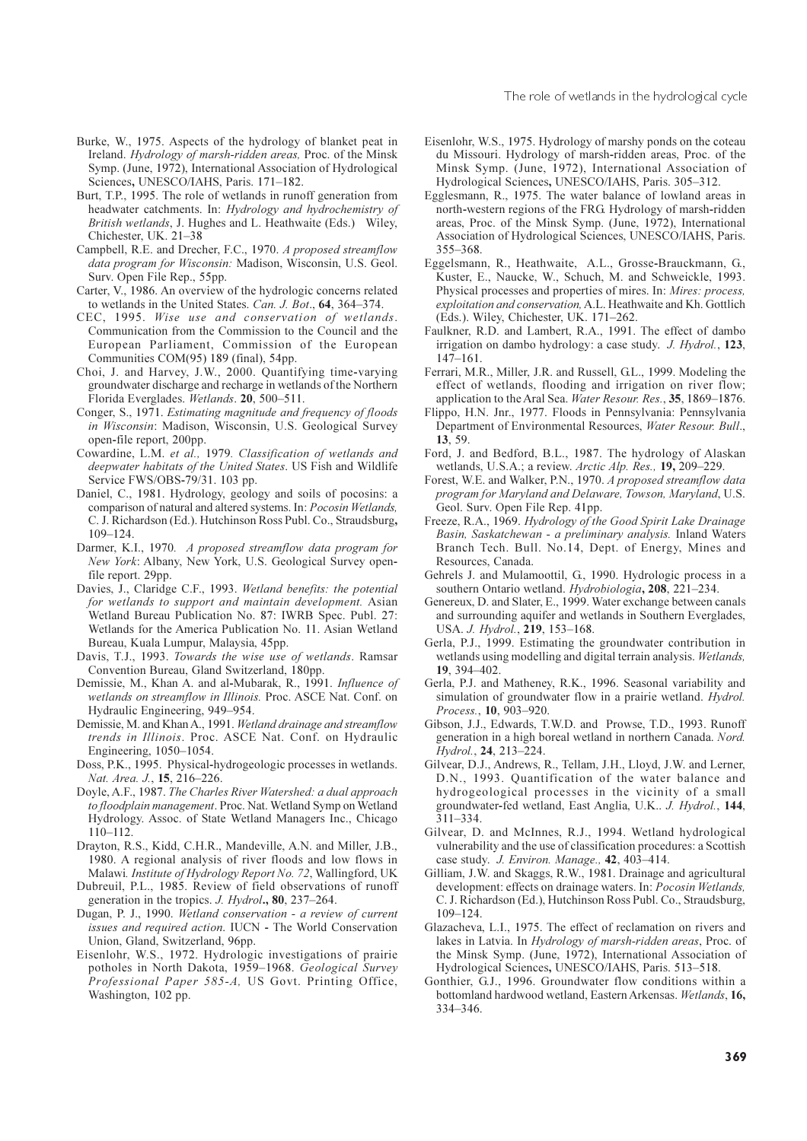- Burke, W., 1975. Aspects of the hydrology of blanket peat in Ireland. Hydrology of marsh-ridden areas, Proc. of the Minsk Symp. (June, 1972), International Association of Hydrological Sciences, UNESCO/IAHS, Paris. 171-182.
- Burt, T.P., 1995. The role of wetlands in runoff generation from headwater catchments. In: Hydrology and hydrochemistry of British wetlands, J. Hughes and L. Heathwaite (Eds.) Wiley, Chichester, UK. 21-38
- Campbell, R.E. and Drecher, F.C., 1970. A proposed streamflow data program for Wisconsin: Madison, Wisconsin, U.S. Geol. Surv. Open File Rep., 55pp.
- Carter, V., 1986. An overview of the hydrologic concerns related to wetlands in the United States. Can. J. Bot., 64, 364-374.
- CEC, 1995. Wise use and conservation of wetlands. Communication from the Commission to the Council and the European Parliament, Commission of the European Communities COM(95) 189 (final), 54pp.
- Choi, J. and Harvey, J.W., 2000. Quantifying time-varying groundwater discharge and recharge in wetlands of the Northern Florida Everglades. Wetlands. 20, 500-511.
- Conger, S., 1971. Estimating magnitude and frequency of floods in Wisconsin: Madison, Wisconsin, U.S. Geological Survey open-file report, 200pp.
- Cowardine, L.M. et al., 1979. Classification of wetlands and deepwater habitats of the United States. US Fish and Wildlife Service FWS/OBS-79/31. 103 pp.
- Daniel, C., 1981. Hydrology, geology and soils of pocosins: a comparison of natural and altered systems. In: Pocosin Wetlands, C. J. Richardson (Ed.). Hutchinson Ross Publ. Co., Straudsburg,  $109 - 124.$
- Darmer, K.I., 1970. A proposed streamflow data program for New York: Albany, New York, U.S. Geological Survey openfile report. 29pp.
- Davies, J., Claridge C.F., 1993. Wetland benefits: the potential for wetlands to support and maintain development. Asian Wetland Bureau Publication No. 87: IWRB Spec. Publ. 27: Wetlands for the America Publication No. 11. Asian Wetland Bureau, Kuala Lumpur, Malaysia, 45pp.
- Davis, T.J., 1993. Towards the wise use of wetlands. Ramsar Convention Bureau, Gland Switzerland, 180pp.
- Demissie, M., Khan A. and al-Mubarak, R., 1991. Influence of wetlands on streamflow in Illinois. Proc. ASCE Nat. Conf. on Hydraulic Engineering, 949-954.
- Demissie, M. and Khan A., 1991. Wetland drainage and streamflow trends in Illinois. Proc. ASCE Nat. Conf. on Hydraulic Engineering, 1050-1054.
- Doss, P.K., 1995. Physical-hydrogeologic processes in wetlands. Nat. Area. J., 15, 216-226.
- Doyle, A.F., 1987. The Charles River Watershed: a dual approach to floodplain management. Proc. Nat. Wetland Symp on Wetland Hydrology. Assoc. of State Wetland Managers Inc., Chicago  $110 - 112$
- Drayton, R.S., Kidd, C.H.R., Mandeville, A.N. and Miller, J.B., 1980. A regional analysis of river floods and low flows in Malawi. Institute of Hydrology Report No. 72, Wallingford, UK
- Dubreuil, P.L., 1985. Review of field observations of runoff generation in the tropics. J. Hydrol., 80, 237–264.
- Dugan, P. J., 1990. Wetland conservation a review of current issues and required action. IUCN - The World Conservation Union, Gland, Switzerland, 96pp.
- Eisenlohr, W.S., 1972. Hydrologic investigations of prairie potholes in North Dakota, 1959-1968. Geological Survey Professional Paper 585-A, US Govt. Printing Office, Washington, 102 pp.
- Eisenlohr, W.S., 1975. Hydrology of marshy ponds on the coteau du Missouri. Hydrology of marsh-ridden areas, Proc. of the Minsk Symp. (June, 1972), International Association of Hydrological Sciences, UNESCO/IAHS, Paris. 305-312.
- Egglesmann, R., 1975. The water balance of lowland areas in north-western regions of the FRG. Hydrology of marsh-ridden areas, Proc. of the Minsk Symp. (June, 1972), International Association of Hydrological Sciences, UNESCO/IAHS, Paris. 355-368.
- Eggelsmann, R., Heathwaite, A.L., Grosse-Brauckmann, G., Kuster, E., Naucke, W., Schuch, M. and Schweickle, 1993. Physical processes and properties of mires. In: Mires: process, exploitation and conservation, A.L. Heathwaite and Kh. Gottlich (Eds.). Wiley, Chichester, UK. 171-262.
- Faulkner, R.D. and Lambert, R.A., 1991. The effect of dambo irrigation on dambo hydrology: a case study. J. Hydrol., 123,  $147 - 161$
- Ferrari, M.R., Miller, J.R. and Russell, G.L., 1999. Modeling the effect of wetlands, flooding and irrigation on river flow; application to the Aral Sea. Water Resour. Res., 35, 1869–1876.
- Flippo, H.N. Jnr., 1977. Floods in Pennsylvania: Pennsylvania Department of Environmental Resources, Water Resour, Bull., 13, 59.
- Ford, J. and Bedford, B.L., 1987. The hydrology of Alaskan wetlands, U.S.A.; a review. Arctic Alp. Res., 19, 209-229.
- Forest, W.E. and Walker, P.N., 1970. A proposed streamflow data program for Maryland and Delaware, Towson, Maryland, U.S. Geol. Surv. Open File Rep. 41pp.
- Freeze, R.A., 1969. Hydrology of the Good Spirit Lake Drainage Basin, Saskatchewan - a preliminary analysis. Inland Waters Branch Tech. Bull. No.14, Dept. of Energy, Mines and Resources, Canada.
- Gehrels J. and Mulamoottil, G., 1990. Hydrologic process in a southern Ontario wetland. Hydrobiologia, 208, 221-234.
- Genereux, D. and Slater, E., 1999. Water exchange between canals and surrounding aquifer and wetlands in Southern Everglades, USA. J. Hydrol., 219, 153-168.
- Gerla, P.J., 1999. Estimating the groundwater contribution in wetlands using modelling and digital terrain analysis. Wetlands, 19.394-402.
- Gerla, P.J. and Matheney, R.K., 1996. Seasonal variability and simulation of groundwater flow in a prairie wetland. Hydrol. Process., 10, 903-920.
- Gibson, J.J., Edwards, T.W.D. and Prowse, T.D., 1993. Runoff generation in a high boreal wetland in northern Canada. Nord. Hydrol., 24, 213-224.
- Gilvear, D.J., Andrews, R., Tellam, J.H., Lloyd, J.W. and Lerner, D.N., 1993. Quantification of the water balance and hydrogeological processes in the vicinity of a small groundwater-fed wetland, East Anglia, U.K.. J. Hydrol., 144,  $311 - 334.$
- Gilvear, D. and McInnes, R.J., 1994. Wetland hydrological vulnerability and the use of classification procedures: a Scottish case study. J. Environ. Manage., 42, 403-414.
- Gilliam, J.W. and Skaggs, R.W., 1981. Drainage and agricultural development: effects on drainage waters. In: Pocosin Wetlands, C. J. Richardson (Ed.), Hutchinson Ross Publ. Co., Straudsburg,  $109 - 124$
- Glazacheva, L.I., 1975. The effect of reclamation on rivers and lakes in Latvia. In Hydrology of marsh-ridden areas, Proc. of the Minsk Symp. (June, 1972), International Association of Hydrological Sciences, UNESCO/IAHS, Paris. 513-518.
- Gonthier, G.J., 1996. Groundwater flow conditions within a bottomland hardwood wetland, Eastern Arkensas. Wetlands, 16,  $334 - 346$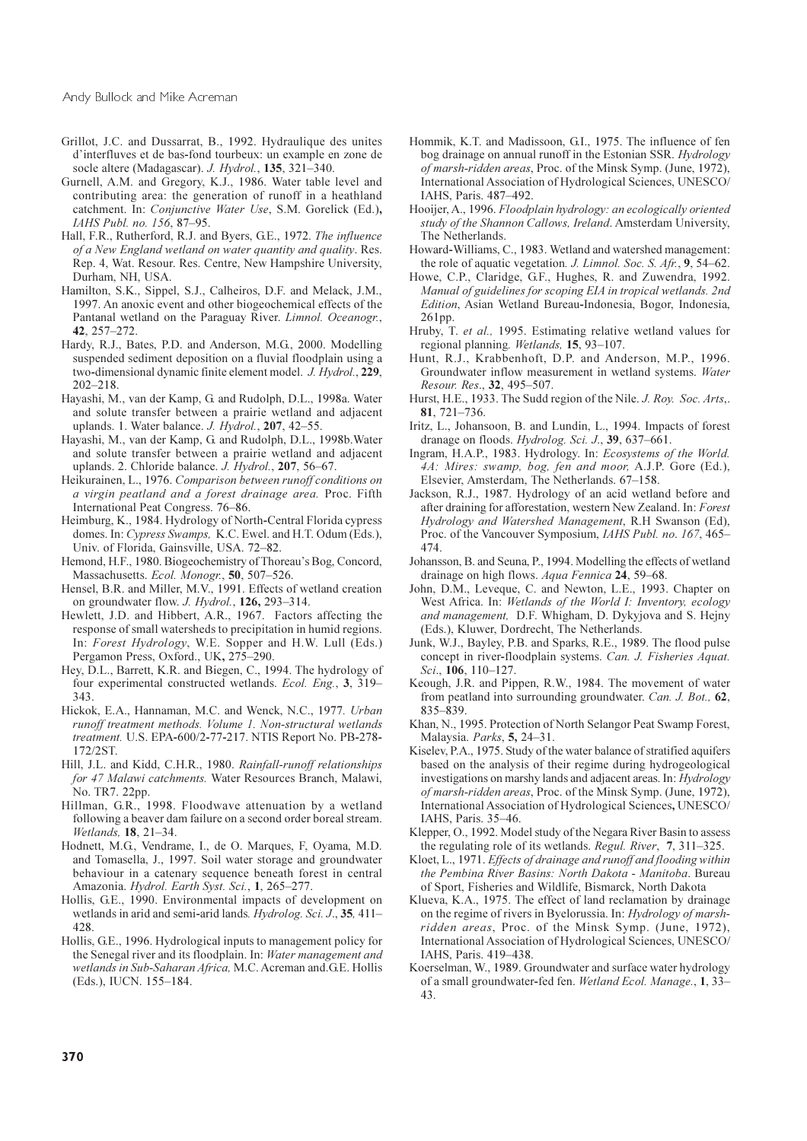- Grillot, J.C. and Dussarrat, B., 1992. Hydraulique des unites d'interfluves et de bas-fond tourbeux: un example en zone de socle altere (Madagascar). J. Hydrol., 135, 321-340.
- Gurnell, A.M. and Gregory, K.J., 1986. Water table level and contributing area: the generation of runoff in a heathland catchment. In: Conjunctive Water Use, S.M. Gorelick (Ed.), IAHS Publ. no. 156, 87-95.
- Hall, F.R., Rutherford, R.J. and Byers, G.E., 1972. The influence of a New England wetland on water quantity and quality. Res. Rep. 4, Wat. Resour. Res. Centre, New Hampshire University, Durham, NH, USA.
- Hamilton, S.K., Sippel, S.J., Calheiros, D.F. and Melack, J.M., 1997. An anoxic event and other biogeochemical effects of the Pantanal wetland on the Paraguay River. Limnol. Oceanogr., 42. 257-272.
- Hardy, R.J., Bates, P.D. and Anderson, M.G., 2000. Modelling suspended sediment deposition on a fluvial floodplain using a two-dimensional dynamic finite element model. J. Hydrol., 229,  $202 - 218$
- Hayashi, M., van der Kamp, G. and Rudolph, D.L., 1998a. Water and solute transfer between a prairie wetland and adjacent uplands. 1. Water balance. J. Hydrol., 207, 42–55.
- Hayashi, M., van der Kamp, G. and Rudolph, D.L., 1998b. Water and solute transfer between a prairie wetland and adjacent uplands. 2. Chloride balance. J. Hydrol., 207, 56-67.
- Heikurainen, L., 1976. Comparison between runoff conditions on a virgin peatland and a forest drainage area. Proc. Fifth International Peat Congress. 76–86.
- Heimburg, K., 1984. Hydrology of North-Central Florida cypress domes. In: Cypress Swamps, K.C. Ewel. and H.T. Odum (Eds.), Univ. of Florida, Gainsville, USA, 72-82.
- Hemond, H.F., 1980. Biogeochemistry of Thoreau's Bog, Concord, Massachusetts. Ecol. Monogr., 50, 507-526.
- Hensel, B.R. and Miller, M.V., 1991. Effects of wetland creation on groundwater flow. J. Hydrol., 126, 293-314.
- Hewlett, J.D. and Hibbert, A.R., 1967. Factors affecting the response of small watersheds to precipitation in humid regions. In: Forest Hydrology, W.E. Sopper and H.W. Lull (Eds.) Pergamon Press, Oxford., UK, 275-290.
- Hey, D.L., Barrett, K.R. and Biegen, C., 1994. The hydrology of four experimental constructed wetlands. Ecol. Eng., 3, 319-343
- Hickok, E.A., Hannaman, M.C. and Wenck, N.C., 1977. Urban runoff treatment methods. Volume 1. Non-structural wetlands treatment. U.S. EPA-600/2-77-217. NTIS Report No. PB-278-172/2ST
- Hill, J.L. and Kidd, C.H.R., 1980. Rainfall-runoff relationships for 47 Malawi catchments. Water Resources Branch, Malawi, No. TR7. 22pp.
- Hillman, G.R., 1998. Floodwave attenuation by a wetland following a beaver dam failure on a second order boreal stream. Wetlands, 18, 21-34.
- Hodnett, M.G., Vendrame, I., de O. Marques, F, Oyama, M.D. and Tomasella, J., 1997. Soil water storage and groundwater behaviour in a catenary sequence beneath forest in central Amazonia. Hydrol. Earth Syst. Sci., 1, 265-277.
- Hollis, G.E., 1990. Environmental impacts of development on wetlands in arid and semi-arid lands.  $\hat{H}$ vdrolog. Sci. J., 35, 411– 428.
- Hollis, G.E., 1996. Hydrological inputs to management policy for the Senegal river and its floodplain. In: Water management and wetlands in Sub-Saharan Africa, M.C. Acreman and.G.E. Hollis (Eds.), IUCN. 155-184.
- Hommik, K.T. and Madissoon, G.I., 1975. The influence of fen bog drainage on annual runoff in the Estonian SSR. Hydrology of marsh-ridden areas, Proc. of the Minsk Symp. (June, 1972), International Association of Hydrological Sciences, UNESCO/ IAHS, Paris, 487-492.
- Hooijer, A., 1996. Floodplain hydrology: an ecologically oriented study of the Shannon Callows, Ireland. Amsterdam University, The Netherlands.
- Howard-Williams, C., 1983. Wetland and watershed management: the role of aquatic vegetation. J. Limnol. Soc. S. Afr., 9, 54–62.
- Howe, C.P., Claridge, G.F., Hughes, R. and Zuwendra, 1992. Manual of guidelines for scoping EIA in tropical wetlands. 2nd Edition, Asian Wetland Bureau-Indonesia, Bogor, Indonesia, 261pp.
- Hruby, T. et al., 1995. Estimating relative wetland values for regional planning. Wetlands, 15, 93-107.
- Hunt, R.J., Krabbenhoft, D.P. and Anderson, M.P., 1996. Groundwater inflow measurement in wetland systems. Water Resour. Res., 32, 495-507.
- Hurst, H.E., 1933. The Sudd region of the Nile. J. Roy. Soc. Arts..  $81.721 - 736.$
- Iritz, L., Johansoon, B. and Lundin, L., 1994. Impacts of forest dranage on floods. Hydrolog. Sci. J., 39, 637-661.
- Ingram, H.A.P., 1983. Hydrology. In: Ecosystems of the World. 4A: Mires: swamp, bog, fen and moor, A.J.P. Gore (Ed.), Elsevier, Amsterdam, The Netherlands. 67-158.
- Jackson, R.J., 1987. Hydrology of an acid wetland before and after draining for afforestation, western New Zealand. In: Forest Hydrology and Watershed Management, R.H Swanson (Ed), Proc. of the Vancouver Symposium, IAHS Publ. no. 167, 465– 474
- Johansson, B. and Seuna, P., 1994. Modelling the effects of wetland drainage on high flows. Aqua Fennica 24, 59-68.
- John, D.M., Leveque, C. and Newton, L.E., 1993. Chapter on West Africa. In: Wetlands of the World I: Inventory, ecology and management, D.F. Whigham, D. Dykyjova and S. Hejny (Eds.), Kluwer, Dordrecht, The Netherlands.
- Junk, W.J., Bayley, P.B. and Sparks, R.E., 1989. The flood pulse concept in river-floodplain systems. Can. J. Fisheries Aquat. Sci., 106, 110-127.
- Keough, J.R. and Pippen, R.W., 1984. The movement of water from peatland into surrounding groundwater. Can. J. Bot., 62,  $835 - 839$ .
- Khan, N., 1995. Protection of North Selangor Peat Swamp Forest, Malaysia. Parks, 5, 24-31.
- Kiselev, P.A., 1975. Study of the water balance of stratified aquifers based on the analysis of their regime during hydrogeological investigations on marshy lands and adjacent areas. In: Hydrology of marsh-ridden areas, Proc. of the Minsk Symp. (June, 1972), International Association of Hydrological Sciences, UNESCO/ IAHS, Paris. 35-46.
- Klepper, O., 1992. Model study of the Negara River Basin to assess the regulating role of its wetlands. *Regul. River*, 7, 311–325.
- Kloet, L., 1971. Effects of drainage and runoff and flooding within the Pembina River Basins: North Dakota - Manitoba. Bureau of Sport, Fisheries and Wildlife, Bismarck, North Dakota
- Klueva, K.A., 1975. The effect of land reclamation by drainage on the regime of rivers in Byelorussia. In: Hydrology of marshridden areas, Proc. of the Minsk Symp. (June, 1972), International Association of Hydrological Sciences, UNESCO/ IAHS, Paris. 419-438.
- Koerselman, W., 1989. Groundwater and surface water hydrology of a small groundwater-fed fen. Wetland Ecol. Manage., 1, 33-43.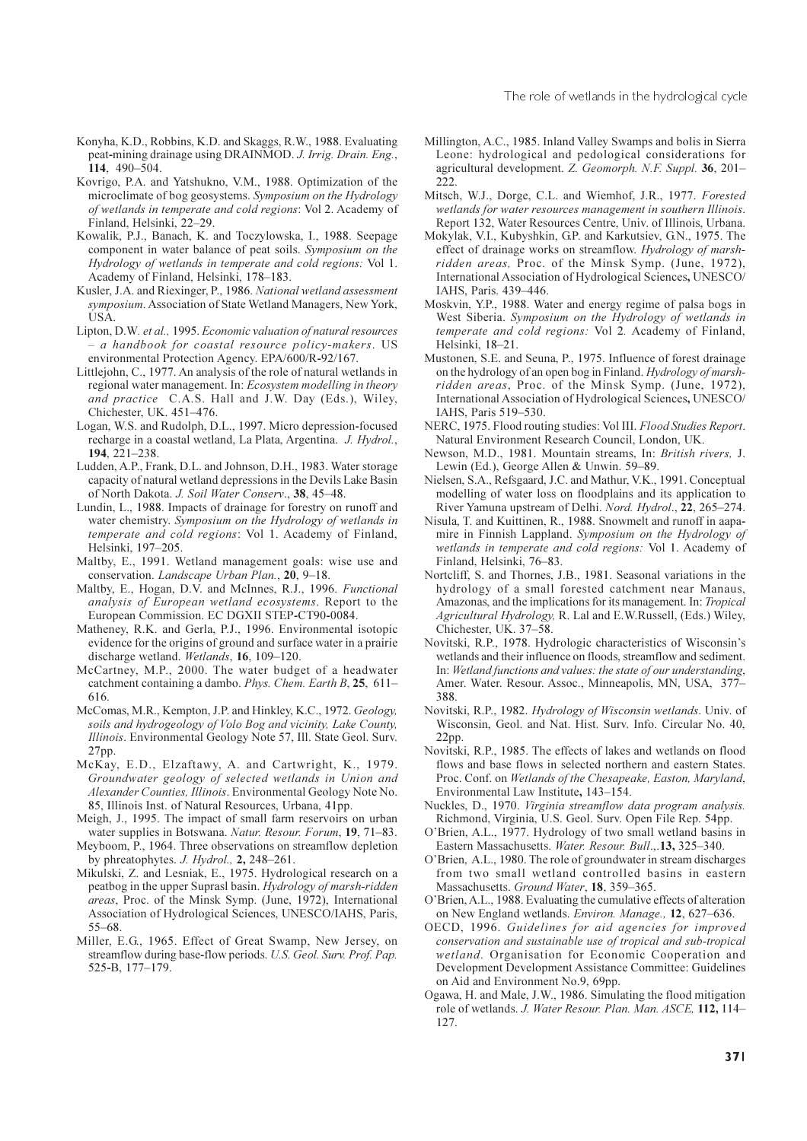- Konyha, K.D., Robbins, K.D. and Skaggs, R.W., 1988. Evaluating peat-mining drainage using DRAINMOD. J. Irrig. Drain. Eng., 114, 490-504.
- Kovrigo, P.A. and Yatshukno, V.M., 1988. Optimization of the microclimate of bog geosystems. Symposium on the Hydrology of wetlands in temperate and cold regions: Vol 2. Academy of Finland, Helsinki, 22-29.
- Kowalik, P.J., Banach, K. and Toczylowska, I., 1988. Seepage component in water balance of peat soils. Symposium on the Hydrology of wetlands in temperate and cold regions: Vol 1. Academy of Finland, Helsinki, 178-183.
- Kusler, J.A. and Riexinger, P., 1986. National wetland assessment symposium. Association of State Wetland Managers, New York, USA.
- Lipton, D.W. et al., 1995. Economic valuation of natural resources - a handbook for coastal resource policy-makers. US environmental Protection Agency. EPA/600/R-92/167.
- Littlejohn, C., 1977. An analysis of the role of natural wetlands in regional water management. In: *Ecosystem modelling in theory* and practice C.A.S. Hall and J.W. Day (Eds.), Wiley, Chichester, UK. 451-476.
- Logan, W.S. and Rudolph, D.L., 1997. Micro depression-focused recharge in a coastal wetland, La Plata, Argentina. J. Hydrol., 194. 221-238.
- Ludden, A.P., Frank, D.L. and Johnson, D.H., 1983. Water storage capacity of natural wetland depressions in the Devils Lake Basin of North Dakota. J. Soil Water Conserv., 38, 45-48.
- Lundin, L., 1988. Impacts of drainage for forestry on runoff and water chemistry. Symposium on the Hydrology of wetlands in temperate and cold regions: Vol 1. Academy of Finland, Helsinki, 197-205.
- Maltby, E., 1991. Wetland management goals: wise use and conservation. Landscape Urban Plan., 20, 9-18.
- Maltby, E., Hogan, D.V. and McInnes, R.J., 1996. Functional analysis of European wetland ecosystems. Report to the European Commission. EC DGXII STEP-CT90-0084.
- Matheney, R.K. and Gerla, P.J., 1996. Environmental isotopic evidence for the origins of ground and surface water in a prairie discharge wetland. Wetlands, 16, 109-120.
- McCartney, M.P., 2000. The water budget of a headwater catchment containing a dambo. Phys. Chem. Earth B, 25, 611-616
- McComas, M.R., Kempton, J.P. and Hinkley, K.C., 1972. Geology, soils and hydrogeology of Volo Bog and vicinity, Lake County, Illinois. Environmental Geology Note 57, Ill. State Geol. Surv.  $27<sub>pp</sub>$
- McKay, E.D., Elzaftawy, A. and Cartwright, K., 1979. Groundwater geology of selected wetlands in Union and Alexander Counties, Illinois. Environmental Geology Note No. 85, Illinois Inst. of Natural Resources, Urbana, 41pp.
- Meigh, J., 1995. The impact of small farm reservoirs on urban water supplies in Botswana. Natur. Resour. Forum, 19, 71-83.
- Meyboom, P., 1964. Three observations on streamflow depletion by phreatophytes. J. Hydrol., 2, 248-261.
- Mikulski, Z. and Lesniak, E., 1975. Hydrological research on a peatbog in the upper Suprasl basin. Hydrology of marsh-ridden areas, Proc. of the Minsk Symp. (June, 1972), International Association of Hydrological Sciences, UNESCO/IAHS, Paris,  $55 - 68$ .
- Miller, E.G., 1965. Effect of Great Swamp, New Jersey, on streamflow during base-flow periods. U.S. Geol. Surv. Prof. Pap. 525-B, 177-179.
- Millington, A.C., 1985. Inland Valley Swamps and bolis in Sierra Leone: hydrological and pedological considerations for agricultural development. Z. Geomorph. N.F. Suppl. 36, 201-222.
- Mitsch, W.J., Dorge, C.L. and Wiemhof, J.R., 1977. Forested wetlands for water resources management in southern Illinois. Report 132, Water Resources Centre, Univ. of Illinois, Urbana.
- Mokylak, V.I., Kubyshkin, G.P. and Karkutsiev, G.N., 1975. The effect of drainage works on streamflow. Hydrology of marshridden areas, Proc. of the Minsk Symp. (June, 1972), International Association of Hydrological Sciences, UNESCO/ IAHS, Paris. 439-446.
- Moskvin, Y.P., 1988. Water and energy regime of palsa bogs in West Siberia. Symposium on the Hydrology of wetlands in temperate and cold regions: Vol 2. Academy of Finland, Helsinki, 18-21.
- Mustonen, S.E. and Seuna, P., 1975. Influence of forest drainage on the hydrology of an open bog in Finland. *Hydrology of marsh*ridden areas, Proc. of the Minsk Symp. (June, 1972), International Association of Hydrological Sciences, UNESCO/ IAHS, Paris 519-530.
- NERC, 1975. Flood routing studies: Vol III. Flood Studies Report. Natural Environment Research Council, London, UK.
- Newson, M.D., 1981. Mountain streams, In: British rivers, J. Lewin (Ed.), George Allen & Unwin. 59-89.
- Nielsen, S.A., Refsgaard, J.C. and Mathur, V.K., 1991. Conceptual modelling of water loss on floodplains and its application to River Yamuna upstream of Delhi. Nord. Hydrol., 22, 265-274.
- Nisula, T. and Kuittinen, R., 1988. Snowmelt and runoff in aapamire in Finnish Lappland. Symposium on the Hydrology of wetlands in temperate and cold regions: Vol 1. Academy of Finland, Helsinki, 76-83.
- Nortcliff, S. and Thornes, J.B., 1981. Seasonal variations in the hydrology of a small forested catchment near Manaus, Amazonas, and the implications for its management. In: Tropical Agricultural Hydrology, R. Lal and E.W.Russell, (Eds.) Wiley, Chichester, UK. 37-58.
- Novitski, R.P., 1978. Hydrologic characteristics of Wisconsin's wetlands and their influence on floods, streamflow and sediment. In: Wetland functions and values: the state of our understanding, Amer. Water. Resour. Assoc., Minneapolis, MN, USA, 377-388
- Novitski, R.P., 1982. Hydrology of Wisconsin wetlands. Univ. of Wisconsin, Geol. and Nat. Hist. Surv. Info. Circular No. 40,  $22pp.$
- Novitski, R.P., 1985. The effects of lakes and wetlands on flood flows and base flows in selected northern and eastern States. Proc. Conf. on Wetlands of the Chesapeake, Easton, Maryland, Environmental Law Institute, 143-154.
- Nuckles, D., 1970. Virginia streamflow data program analysis. Richmond, Virginia, U.S. Geol. Surv. Open File Rep. 54pp.
- O'Brien, A.L., 1977. Hydrology of two small wetland basins in Eastern Massachusetts. Water. Resour. Bull., 13, 325-340.
- O'Brien, A.L., 1980. The role of groundwater in stream discharges from two small wetland controlled basins in eastern Massachusetts. Ground Water, 18, 359-365.
- O'Brien, A.L., 1988. Evaluating the cumulative effects of alteration on New England wetlands. Environ. Manage., 12, 627-636.
- OECD, 1996. Guidelines for aid agencies for improved conservation and sustainable use of tropical and sub-tropical wetland. Organisation for Economic Cooperation and Development Development Assistance Committee: Guidelines on Aid and Environment No.9, 69pp.
- Ogawa, H. and Male, J.W., 1986. Simulating the flood mitigation role of wetlands. J. Water Resour. Plan. Man. ASCE, 112, 114-127.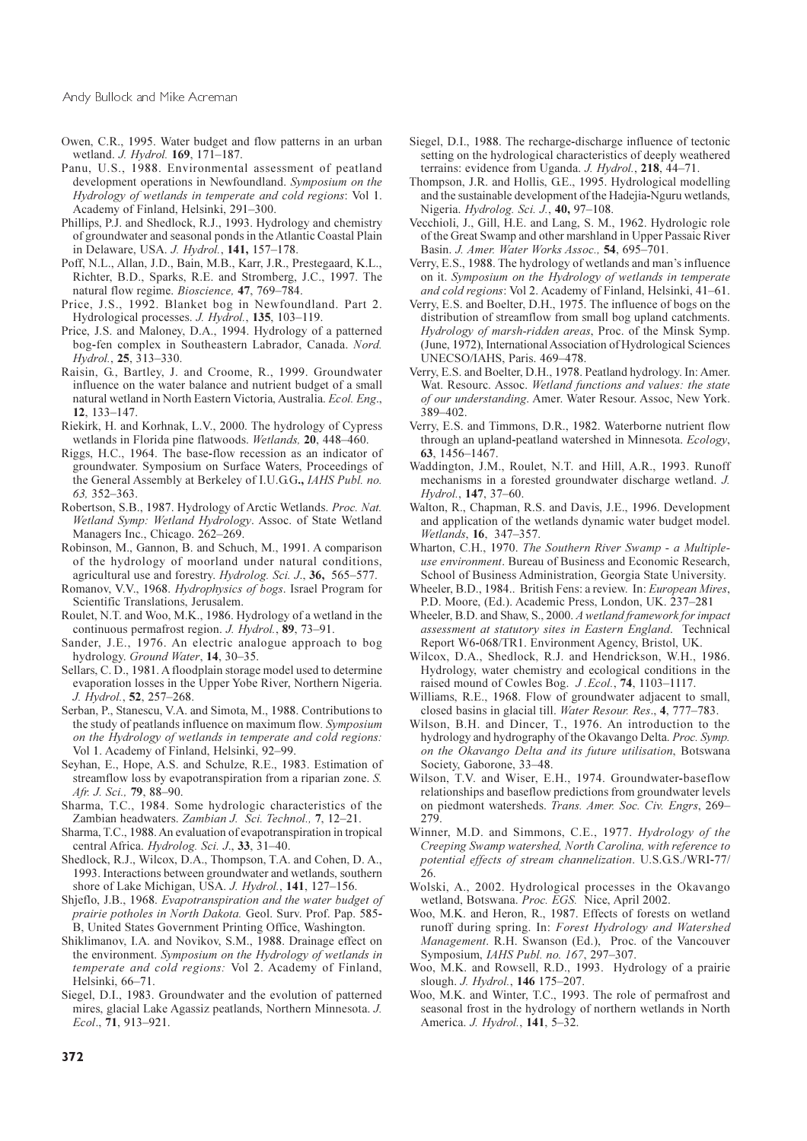- Owen, C.R., 1995. Water budget and flow patterns in an urban wetland. J. Hydrol. 169, 171-187.
- Panu, U.S., 1988. Environmental assessment of peatland development operations in Newfoundland. Symposium on the Hydrology of wetlands in temperate and cold regions: Vol 1. Academy of Finland, Helsinki, 291-300.
- Phillips, P.J. and Shedlock, R.J., 1993. Hydrology and chemistry of groundwater and seasonal ponds in the Atlantic Coastal Plain in Delaware, USA. J. Hydrol., 141, 157-178.
- Poff, N.L., Allan, J.D., Bain, M.B., Karr, J.R., Prestegaard, K.L., Richter, B.D., Sparks, R.E. and Stromberg, J.C., 1997. The natural flow regime. Bioscience, 47, 769-784.
- Price, J.S., 1992. Blanket bog in Newfoundland. Part 2. Hydrological processes. J. Hydrol., 135, 103-119.
- Price, J.S. and Maloney, D.A., 1994. Hydrology of a patterned bog-fen complex in Southeastern Labrador, Canada. Nord. Hydrol., 25, 313-330.
- Raisin, G., Bartley, J. and Croome, R., 1999. Groundwater influence on the water balance and nutrient budget of a small natural wetland in North Eastern Victoria, Australia. Ecol. Eng.,  $12.133 - 147$
- Riekirk, H. and Korhnak, L.V., 2000. The hydrology of Cypress wetlands in Florida pine flatwoods. Wetlands, 20, 448-460.
- Riggs, H.C., 1964. The base-flow recession as an indicator of groundwater. Symposium on Surface Waters, Proceedings of the General Assembly at Berkeley of I.U.G.G., IAHS Publ. no.  $63.352 - 363$
- Robertson, S.B., 1987. Hydrology of Arctic Wetlands. Proc. Nat. Wetland Symp: Wetland Hydrology. Assoc. of State Wetland Managers Inc., Chicago. 262-269.
- Robinson, M., Gannon, B. and Schuch, M., 1991. A comparison of the hydrology of moorland under natural conditions, agricultural use and forestry. *Hydrolog. Sci. J.*, 36, 565–577.
- Romanov, V.V., 1968. Hydrophysics of bogs. Israel Program for Scientific Translations, Jerusalem.
- Roulet, N.T. and Woo, M.K., 1986. Hydrology of a wetland in the continuous permafrost region. J. Hydrol., 89, 73-91.
- Sander, J.E., 1976. An electric analogue approach to bog hydrology. Ground Water, 14, 30-35.
- Sellars, C.D., 1981. A floodplain storage model used to determine evaporation losses in the Upper Yobe River, Northern Nigeria. J. Hydrol., 52, 257-268.
- Serban, P., Stanescu, V.A. and Simota, M., 1988. Contributions to the study of peatlands influence on maximum flow. Symposium on the Hydrology of wetlands in temperate and cold regions: Vol 1. Academy of Finland, Helsinki, 92-99.
- Seyhan, E., Hope, A.S. and Schulze, R.E., 1983. Estimation of streamflow loss by evapotranspiration from a riparian zone. S. Afr. J. Sci., 79, 88-90.
- Sharma, T.C., 1984. Some hydrologic characteristics of the Zambian headwaters. Zambian J. Sci. Technol., 7, 12–21.
- Sharma, T.C., 1988. An evaluation of evapotranspiration in tropical central Africa. Hydrolog. Sci. J., 33, 31-40.
- Shedlock, R.J., Wilcox, D.A., Thompson, T.A. and Cohen, D.A., 1993. Interactions between groundwater and wetlands, southern shore of Lake Michigan, USA. J. Hydrol., 141, 127-156.
- Shjeflo, J.B., 1968. Evapotranspiration and the water budget of prairie potholes in North Dakota. Geol. Surv. Prof. Pap. 585-B, United States Government Printing Office, Washington.
- Shiklimanov, I.A. and Novikov, S.M., 1988. Drainage effect on the environment. Symposium on the Hydrology of wetlands in temperate and cold regions: Vol 2. Academy of Finland, Helsinki, 66-71.
- Siegel, D.I., 1983. Groundwater and the evolution of patterned mires, glacial Lake Agassiz peatlands, Northern Minnesota. J. Ecol., 71, 913-921.
- Siegel, D.I., 1988. The recharge-discharge influence of tectonic setting on the hydrological characteristics of deeply weathered terrains: evidence from Uganda. J. Hydrol., 218, 44-71.
- Thompson, J.R. and Hollis, G.E., 1995. Hydrological modelling and the sustainable development of the Hadejia-Nguru wetlands, Nigeria. Hydrolog. Sci. J., 40, 97-108.
- Vecchioli, J., Gill, H.E. and Lang, S. M., 1962. Hydrologic role of the Great Swamp and other marshland in Upper Passaic River Basin. J. Amer. Water Works Assoc., 54, 695-701.
- Verry, E.S., 1988. The hydrology of wetlands and man's influence on it. Symposium on the Hydrology of wetlands in temperate and cold regions: Vol 2. Academy of Finland, Helsinki, 41-61.
- Verry, E.S. and Boelter, D.H., 1975. The influence of bogs on the distribution of streamflow from small bog upland catchments. Hydrology of marsh-ridden areas, Proc. of the Minsk Symp. (June, 1972), International Association of Hydrological Sciences UNECSO/IAHS, Paris. 469-478.
- Verry, E.S. and Boelter, D.H., 1978. Peatland hydrology. In: Amer. Wat. Resourc. Assoc. Wetland functions and values: the state of our understanding. Amer. Water Resour. Assoc, New York.  $389 - 402$
- Verry, E.S. and Timmons, D.R., 1982. Waterborne nutrient flow through an upland-peatland watershed in Minnesota. Ecology, 63, 1456-1467.
- Waddington, J.M., Roulet, N.T. and Hill, A.R., 1993. Runoff mechanisms in a forested groundwater discharge wetland. J. Hydrol., 147, 37-60.
- Walton, R., Chapman, R.S. and Davis, J.E., 1996. Development and application of the wetlands dynamic water budget model. Wetlands, 16, 347-357.
- Wharton, C.H., 1970. The Southern River Swamp a Multipleuse environment. Bureau of Business and Economic Research, School of Business Administration, Georgia State University.
- Wheeler, B.D., 1984.. British Fens: a review. In: European Mires, P.D. Moore, (Ed.). Academic Press, London, UK. 237-281
- Wheeler, B.D. and Shaw, S., 2000. A wetland framework for impact assessment at statutory sites in Eastern England. Technical Report W6-068/TR1. Environment Agency, Bristol, UK.
- Wilcox, D.A., Shedlock, R.J. and Hendrickson, W.H., 1986. Hydrology, water chemistry and ecological conditions in the raised mound of Cowles Bog. J.Ecol., 74, 1103-1117.
- Williams, R.E., 1968. Flow of groundwater adjacent to small, closed basins in glacial till. Water Resour. Res., 4, 777-783.
- Wilson, B.H. and Dincer, T., 1976. An introduction to the hydrology and hydrography of the Okavango Delta. Proc. Symp. on the Okavango Delta and its future utilisation, Botswana Society, Gaborone, 33-48.
- Wilson, T.V. and Wiser, E.H., 1974. Groundwater-baseflow relationships and baseflow predictions from groundwater levels on piedmont watersheds. Trans. Amer. Soc. Civ. Engrs, 269-2.79
- Winner, M.D. and Simmons, C.E., 1977. Hydrology of the Creeping Swamp watershed, North Carolina, with reference to potential effects of stream channelization. U.S.G.S./WRI-77/ 26
- Wolski, A., 2002. Hydrological processes in the Okavango wetland, Botswana. Proc. EGS. Nice, April 2002.
- Woo, M.K. and Heron, R., 1987. Effects of forests on wetland runoff during spring. In: Forest Hydrology and Watershed Management. R.H. Swanson (Ed.), Proc. of the Vancouver Symposium, IAHS Publ. no. 167, 297-307.
- Woo, M.K. and Rowsell, R.D., 1993. Hydrology of a prairie slough. J. Hydrol., 146 175-207.
- Woo, M.K. and Winter, T.C., 1993. The role of permafrost and seasonal frost in the hydrology of northern wetlands in North America. J. Hydrol., 141, 5-32.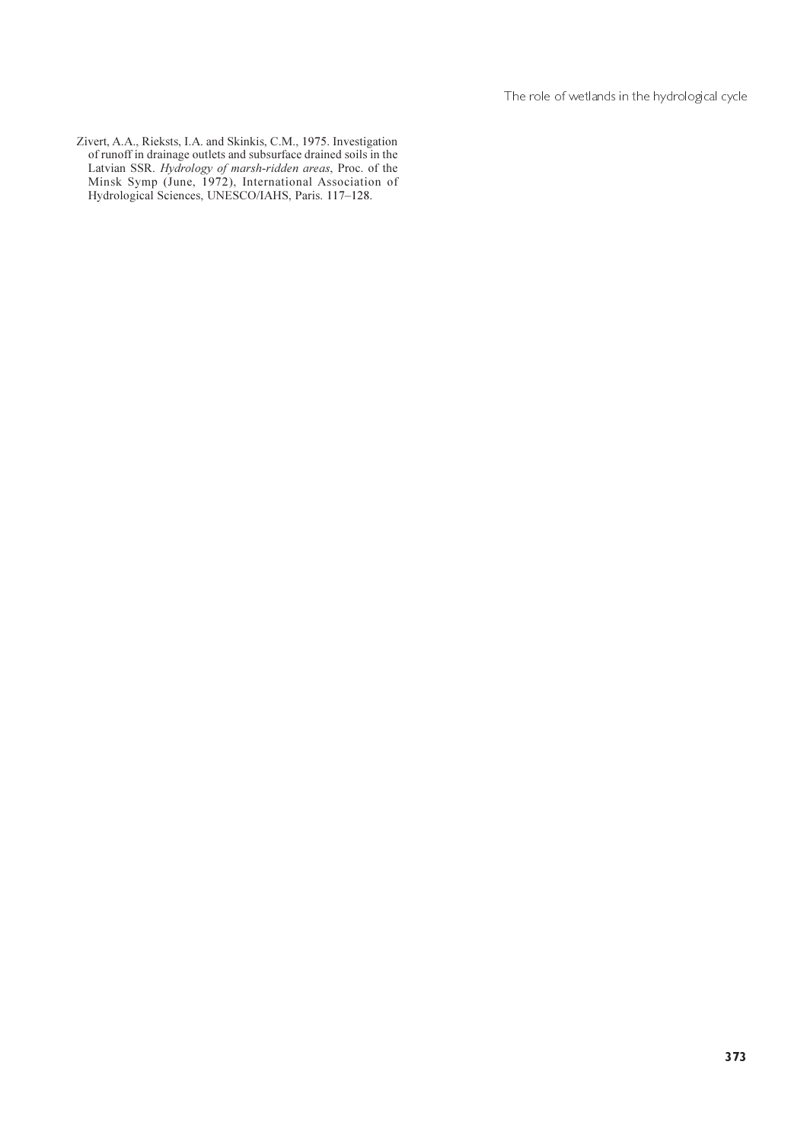The role of wetlands in the hydrological cycle

Zivert, A.A., Rieksts, I.A. and Skinkis, C.M., 1975. Investigation<br>of runoff in drainage outlets and subsurface drained soils in the Latvian SSR. *Hydrology of marsh-ridden areas*, Proc. of the Minsk Symp (June, 1972), International Association of Hydrological Sciences, UNESCO/IAHS, Paris. 117–128.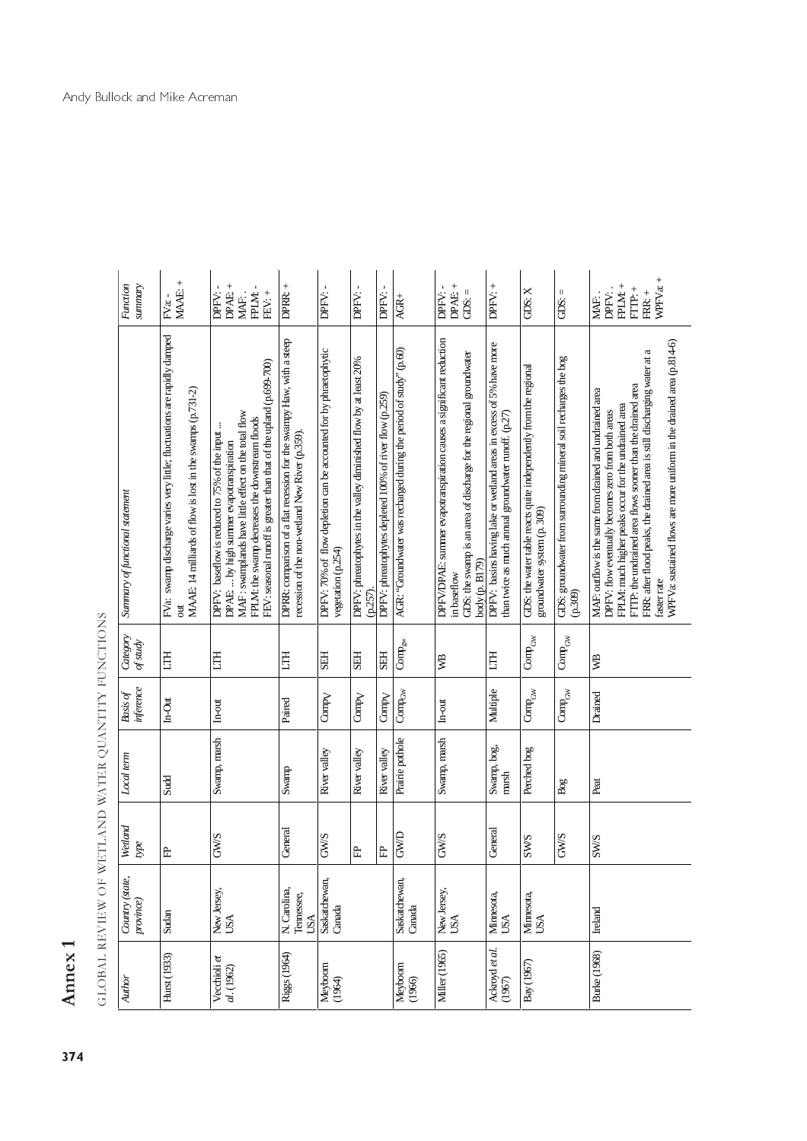| $\overline{a}$ |
|----------------|
|                |
| ٤              |
| í              |
|                |
|                |
|                |
|                |
|                |
| 7              |

| Charles Charles Artistic Market Artist Charles Artist Artist Artistic Charles Charles Artist Artist Artist Artist |
|-------------------------------------------------------------------------------------------------------------------|
|                                                                                                                   |
|                                                                                                                   |
|                                                                                                                   |
|                                                                                                                   |
| ï                                                                                                                 |
| Ì                                                                                                                 |

| <b>Countary</b><br>Function     | $FVa.$ + MAAE: +                                                                                                                                         | DPAE+<br>DPFV: -<br>FPLM:<br>HEV:+<br>MAF.                                                                                                                                                                                                                                   | DPRR +                                                                                                                   | DPFV: -                                                                                 | DPFV: -                                                                          | DPFV: -                                                 | $\overrightarrow{AR}$ +                                            | DPAE+<br>DPFV:-<br>$GDS =$                                                                                                                                                  | $DFV +$                                                                                                                     | GDS: X                                                                                           | $GDS =$                                                                     | WPFVa +<br>FPLM +<br>FIP:<br>DPFV:.<br>FRR: +<br>MAF.                                                                                                                                                                                                                                                                                                                                                     |
|---------------------------------|----------------------------------------------------------------------------------------------------------------------------------------------------------|------------------------------------------------------------------------------------------------------------------------------------------------------------------------------------------------------------------------------------------------------------------------------|--------------------------------------------------------------------------------------------------------------------------|-----------------------------------------------------------------------------------------|----------------------------------------------------------------------------------|---------------------------------------------------------|--------------------------------------------------------------------|-----------------------------------------------------------------------------------------------------------------------------------------------------------------------------|-----------------------------------------------------------------------------------------------------------------------------|--------------------------------------------------------------------------------------------------|-----------------------------------------------------------------------------|-----------------------------------------------------------------------------------------------------------------------------------------------------------------------------------------------------------------------------------------------------------------------------------------------------------------------------------------------------------------------------------------------------------|
| Summary of functional statement | FVa: swamp discharge varies very little; fluctuations are rapidly damped<br>MAAE: 14 milliards of flow is lost in the swamps (p.731-2)<br>$\overline{5}$ | FEV: seasonal runoff is greater than that of the upland (p.699-700)<br>MAF : swamplands have little effect on the total flow<br>FPLM: the swamp decreases the downstream floods<br>DPFV: baseflow is reduced to 75% of the input<br>DPAE:  by high summer evapotranspiration | DPRR: comparison of a flat recession for the swampy Haw, with a steep<br>recession of the non-wetland New River (p.359). | DPFV: 70% of flow depletion can be accounted for by phraetophytic<br>vegetation (p.254) | DPFV: phreatophytes in the valley diminished flow by at least 20%<br>$(p.257)$ . | DPFV: phreatophytes depleted 100% of river flow (p.259) | AGR: "Groundwater was recharged during the period of study" (p.60) | DPFV/DPAE: summer evapotranspiration causes a significant reduction<br>GDS: the swamp is an area of discharge for the regional groundwater<br>body (p. B179)<br>in baseflow | DPFV: basins having lake or wetland areas in excess of 5% have more<br>than twice as much annual groundwater runoff. (p.27) | GDS: the water table reacts quite independently from the regional<br>groundwater system (p. 309) | GDS: groundwater from surrounding mineral soil recharges the bog<br>(0.309) | WPFVa: sustained flows are more uniform in the drained area (p.814-6)<br>FRR: after flood peaks, the drained area is still discharging water at a<br>FTTP: the undrained area flows sooner than the drained area<br>MAF: outflow is the same from drained and undrained area<br>FPLM: much higher peaks occur for the undrained area<br>DPFV: flow eventually becomes zero from both areas<br>faster rate |
| Category<br>of study            | H                                                                                                                                                        | H                                                                                                                                                                                                                                                                            | H                                                                                                                        | <b>SEH</b>                                                                              | <b>SEH</b>                                                                       | <b>SEH</b>                                              | $\mathrm{Comp}_{\mathrm{gw}}$                                      | WB                                                                                                                                                                          | 耳                                                                                                                           | $\overline{\text{Comp}}_{_{\text{GW}}}$                                                          | $\overline{\text{Comp}}_{_{\text{GW}}}$                                     | УB                                                                                                                                                                                                                                                                                                                                                                                                        |
| Basis of<br>inference           | $In-Out$                                                                                                                                                 | $h$ -out                                                                                                                                                                                                                                                                     | Paired                                                                                                                   | Compy                                                                                   | Compy                                                                            | Compy                                                   | $\mbox{Comp}_{\mbox{\scriptsize GW}}$                              | $ln-out$                                                                                                                                                                    | Multiple                                                                                                                    | $\overline{\text{Comp}}_{_{\text{GW}}}$                                                          | $\overline{\text{Comp}}_{\text{GW}}$                                        | Drained                                                                                                                                                                                                                                                                                                                                                                                                   |
| Local term                      | Sudd                                                                                                                                                     | Swanp, marsh                                                                                                                                                                                                                                                                 | Swamp                                                                                                                    | River valley                                                                            | River valley                                                                     | River valley                                            | Prairie pothole                                                    | Swamp, marsh                                                                                                                                                                | Swamp, bog,<br>marsh                                                                                                        | Perched bog                                                                                      | Bog                                                                         | Peat                                                                                                                                                                                                                                                                                                                                                                                                      |
| Wetland<br>type                 | 庒                                                                                                                                                        | GWS                                                                                                                                                                                                                                                                          | General                                                                                                                  | <b>GWS</b>                                                                              | 丘                                                                                | E                                                       | GWD                                                                | GWS                                                                                                                                                                         | General                                                                                                                     | <b>SWS</b>                                                                                       | GWS                                                                         | <b>SWS</b>                                                                                                                                                                                                                                                                                                                                                                                                |
| Country (state,<br>province)    | Sudan                                                                                                                                                    | New Jersey,<br>USA                                                                                                                                                                                                                                                           | N. Carolina,<br>Tennessee,<br>USA                                                                                        | Saskatchewan,<br>Canada                                                                 |                                                                                  |                                                         | Saskatchewan,<br>Canada                                            | New Jersey,<br>USA                                                                                                                                                          | Minnesota,<br>USA                                                                                                           | Minnesota,<br>USA                                                                                |                                                                             | Ireland                                                                                                                                                                                                                                                                                                                                                                                                   |
| <b>Author</b>                   | Hurst (1933)                                                                                                                                             | Vecchioli et<br>d. (1962)                                                                                                                                                                                                                                                    | Riggs (1964)                                                                                                             | Meyboom<br>(1964)                                                                       |                                                                                  |                                                         | Meyboom<br>(1966)                                                  | Miller (1965)                                                                                                                                                               | Ackroyd et al.<br>(1967)                                                                                                    | Bay (1967)                                                                                       |                                                                             | <b>Burke</b> (1968)                                                                                                                                                                                                                                                                                                                                                                                       |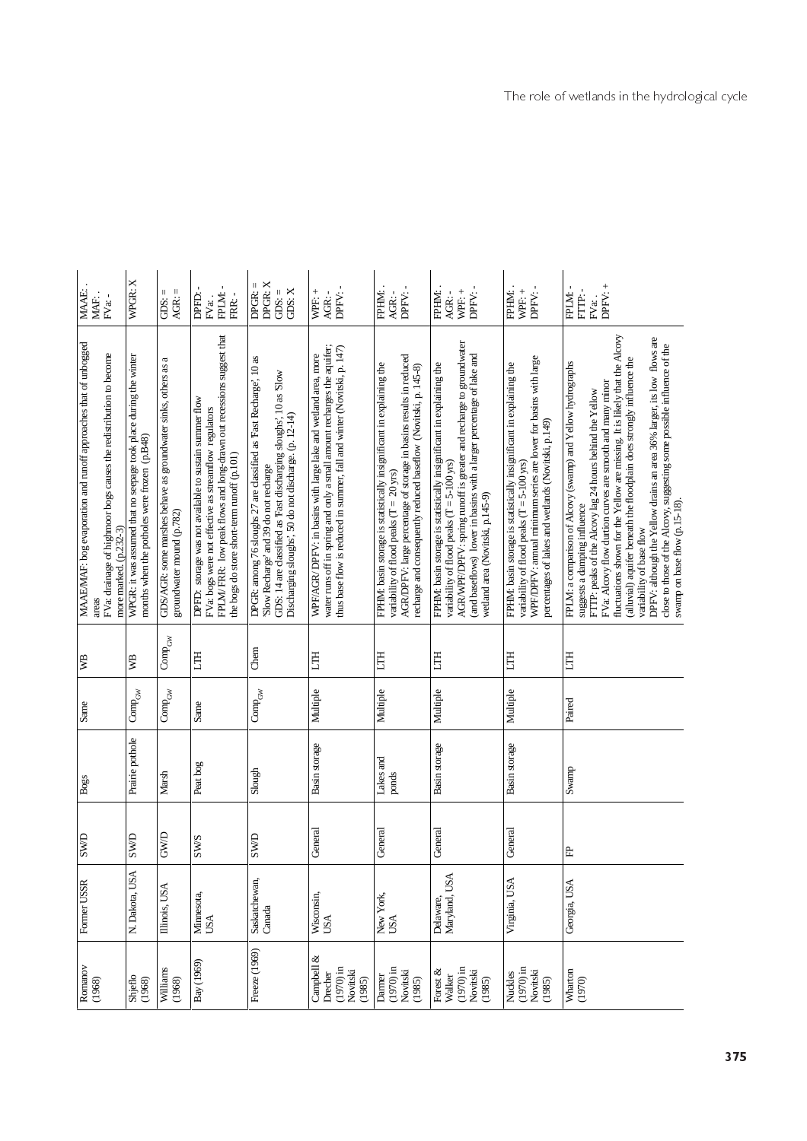| MAAE:<br>MAF: .<br>$FVar -$                                                                                                                                               | WPGR: X                                                                                                           | $AGR: =$<br>Ш<br>GDS:                                                                       | FPLM:<br>DPFD:<br>FRR:-<br>$\text{FVar}$ .                                                                                                                                                                                            | DPGR: X<br>$DPGR =$<br>GDS: X<br>GDS:                                                                                                                                                                                                  | DPFV:-<br>WPF: +<br>AGR: -                                                                                                                                                                                           | DPFV:-<br>FPHM:<br>AGR: -                                                                                                                                                                                                                                   | DPFV: -<br>WPF: +<br>FPHM:<br>AGR: -                                                                                                                                                                                                                                                                   | FPHM:<br>DPFV:-<br>WPF: +                                                                                                                                                                                                                       | DPFV: +<br>FPLM:-<br>FTTP:<br>$\text{FVar}$ .                                                                                                                                                                                                                                                                                                                                                                                                                                                                                                                                                  |
|---------------------------------------------------------------------------------------------------------------------------------------------------------------------------|-------------------------------------------------------------------------------------------------------------------|---------------------------------------------------------------------------------------------|---------------------------------------------------------------------------------------------------------------------------------------------------------------------------------------------------------------------------------------|----------------------------------------------------------------------------------------------------------------------------------------------------------------------------------------------------------------------------------------|----------------------------------------------------------------------------------------------------------------------------------------------------------------------------------------------------------------------|-------------------------------------------------------------------------------------------------------------------------------------------------------------------------------------------------------------------------------------------------------------|--------------------------------------------------------------------------------------------------------------------------------------------------------------------------------------------------------------------------------------------------------------------------------------------------------|-------------------------------------------------------------------------------------------------------------------------------------------------------------------------------------------------------------------------------------------------|------------------------------------------------------------------------------------------------------------------------------------------------------------------------------------------------------------------------------------------------------------------------------------------------------------------------------------------------------------------------------------------------------------------------------------------------------------------------------------------------------------------------------------------------------------------------------------------------|
| MAAE/MAF: bog evaporation and runoff approaches that of unbogged<br>FVa: drainage of highmoor bogs causes the redistribution to become<br>more marked. (p.232-3)<br>areas | WPGR: it was assumed that no seepage took place during the winter<br>months when the potholes were frozen (p.B48) | GDS/AGR: some marshes behave as groundwater sinks, others as a<br>groundwater mound (p.782) | FPLM/FRR: low peak flows and long-drawn out recessions suggest that<br>DPFD: storage was not available to sustain summer flow<br>FVa: bogs were not effective as streamflow regulators<br>the bogs do store short-term runoff (p.101) | DPGR: among 76 sloughs 27 are classified as Fast Recharge', 10 as<br>GDS: 14 are classified as Fast discharging sloughs', 10 as Slow<br>Discharging sloughs', 50 do not discharge. (p. 12-14)<br>Slow Recharge' and 39 do not recharge | water runs off in spring and only a small amount recharges the aquifer;<br>thus base flow is reduced in summer, fall and winter (Novitski, p. 147)<br>WPF/AGR/DPFV: in basins with large lake and wetland area, more | AGR/DPFV: large percentage of storage in basins results in reduced<br>FPHM: basin storage is statistically insignificant in explaining the<br>recharge and consequently reduced baseflow (Novitski, p. 145-8)<br>variability of flood peaks ( $T = 20$ yrs) | AGR/WPF/DPFV: spring runoff is greater and recharge to groundwater<br>(and baseflows) lower in basins with a larger percentage of lake and<br>FPHM: basin storage is statistically insignificant in explaining the<br>variability of flood peaks $(T = 5-100$ yrs)<br>wetland area (Novitski, p.145-9) | WPF/DPFV: annual minimum series are lower for basins with large<br>FPFIM: basin storage is statistically insignificant in explaining the<br>percentages of lakes and wetlands (Novitski, p.149)<br>variability of flood peaks $(T = 5-100$ yrs) | fluctuations shown for the Yellow are missing. It is likely that the Alcovy<br>DPFV: although the Yellow drains an area 36% larger, its low flows are<br>close to those of the Alcovy, suggesting some possible influence of the<br>(alluvial) aquifer beneath the floodplain does strongly influence the<br>FPLM: a comparison of Alcovy (swamp) and Yellow hydrographs<br>FVa: Alcovy flow durtion curves are smooth and many minor<br>FTTP: peaks of the Alcovy lag 24 hours behind the Yellow<br>swamp on base flow (p.15-18).<br>suggests a damping influence<br>variability of base flow |
| ŞВ                                                                                                                                                                        | УB                                                                                                                | $\mathsf{Comp}_{\mathsf{GW}}$                                                               | E                                                                                                                                                                                                                                     | Chem                                                                                                                                                                                                                                   | 百                                                                                                                                                                                                                    | E                                                                                                                                                                                                                                                           | ĽН                                                                                                                                                                                                                                                                                                     | Ë                                                                                                                                                                                                                                               | E                                                                                                                                                                                                                                                                                                                                                                                                                                                                                                                                                                                              |
| Same                                                                                                                                                                      | $\mathbf{Comp}_{\mathbf{GW}}$                                                                                     | $\mathsf{Comp}_{\mathsf{GW}}$                                                               | Same                                                                                                                                                                                                                                  | $\mathrm{Comp}_{\mathrm{GW}}$                                                                                                                                                                                                          | Multiple                                                                                                                                                                                                             | Multiple                                                                                                                                                                                                                                                    | Multiple                                                                                                                                                                                                                                                                                               | Multiple                                                                                                                                                                                                                                        | Paired                                                                                                                                                                                                                                                                                                                                                                                                                                                                                                                                                                                         |
| <b>Bogs</b>                                                                                                                                                               | Prairie pothole                                                                                                   | Marsh                                                                                       | Peat bog                                                                                                                                                                                                                              | Slough                                                                                                                                                                                                                                 | Basin storage                                                                                                                                                                                                        | Lakes and<br>ponds                                                                                                                                                                                                                                          | Basin storage                                                                                                                                                                                                                                                                                          | Basin storage                                                                                                                                                                                                                                   | Swamp                                                                                                                                                                                                                                                                                                                                                                                                                                                                                                                                                                                          |
| SWD                                                                                                                                                                       | SWD                                                                                                               | GWD                                                                                         | <b>SWS</b>                                                                                                                                                                                                                            | SWD                                                                                                                                                                                                                                    | General                                                                                                                                                                                                              | General                                                                                                                                                                                                                                                     | General                                                                                                                                                                                                                                                                                                | General                                                                                                                                                                                                                                         | 出                                                                                                                                                                                                                                                                                                                                                                                                                                                                                                                                                                                              |
| Forner USSR                                                                                                                                                               | N. Dakota, USA                                                                                                    | Illinois, USA                                                                               | Minnesota,<br>USA                                                                                                                                                                                                                     | Saskatchewan,<br>Canada                                                                                                                                                                                                                | Wisconsin,<br>USA                                                                                                                                                                                                    | New York,<br>USA                                                                                                                                                                                                                                            | Maryland, USA<br>Delaware,                                                                                                                                                                                                                                                                             | Virginia, USA                                                                                                                                                                                                                                   | Georgia, USA                                                                                                                                                                                                                                                                                                                                                                                                                                                                                                                                                                                   |
| Romanov<br>(1968)                                                                                                                                                         | Shjeflo<br>(1968)                                                                                                 | Williams<br>(1968)                                                                          | Bay (1969)                                                                                                                                                                                                                            | Freeze (1969)                                                                                                                                                                                                                          | ళ<br>Campbell<br>$(1970)$ in<br>Novitski<br>Drecher<br>(1985)                                                                                                                                                        | $(1970)$ in<br>Novitski<br>Danner<br>(1985)                                                                                                                                                                                                                 | $(1970)$ in<br>Novitski<br>$(1985)$<br>Forest $\&$<br>Walker                                                                                                                                                                                                                                           | Nuckles<br>(1970) in<br>Novitski<br>(1985)                                                                                                                                                                                                      | Wharton<br>(1970)                                                                                                                                                                                                                                                                                                                                                                                                                                                                                                                                                                              |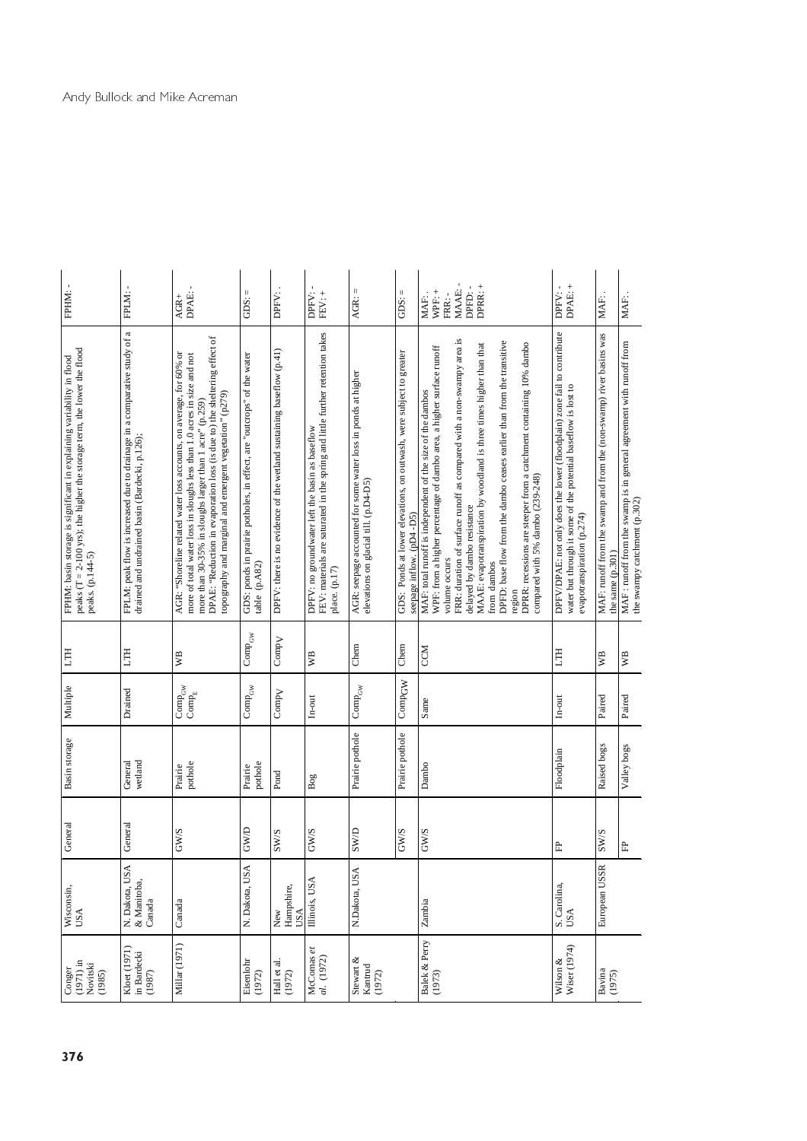| FPHM: -                                                                                                                                                                 | FPLM:                                                                                                                      | DPAE:-<br>$\rm AGR+$                                                                                                                                                                                                                                                                                                                              | GDS:                                                                                    | DPFV:                                                                | DPFV:-<br>$FEV:$ +                                                                                                                                | $AGR: =$                                                                                               | $GDS :=$                                                                                        | MAAE:-<br>DPRR: +<br>DPFD:<br>+ + +<br>MAF: .<br>FRR:                                                                                                                                                                                                                                                                                                                                                                                                                                                                                            | DPAE: +<br>DPFV:-                                                                                                                                                       | MAF: .                                                                                     | MAF:                                                                                                 |
|-------------------------------------------------------------------------------------------------------------------------------------------------------------------------|----------------------------------------------------------------------------------------------------------------------------|---------------------------------------------------------------------------------------------------------------------------------------------------------------------------------------------------------------------------------------------------------------------------------------------------------------------------------------------------|-----------------------------------------------------------------------------------------|----------------------------------------------------------------------|---------------------------------------------------------------------------------------------------------------------------------------------------|--------------------------------------------------------------------------------------------------------|-------------------------------------------------------------------------------------------------|--------------------------------------------------------------------------------------------------------------------------------------------------------------------------------------------------------------------------------------------------------------------------------------------------------------------------------------------------------------------------------------------------------------------------------------------------------------------------------------------------------------------------------------------------|-------------------------------------------------------------------------------------------------------------------------------------------------------------------------|--------------------------------------------------------------------------------------------|------------------------------------------------------------------------------------------------------|
| peaks ( $T = 2-100$ yrs); the higher the storage term, the lower the flood<br>FPHM: basin storage is significant in explaining variability in flood<br>peaks. (p.144-5) | FPLM: peak flow is increased due to drainage in a comparative study of a<br>drained and undrained basin (Bardecki, p.126); | DPAE: "Reduction in evaporation loss (is due to) the sheltering effect of<br>AGR: "Shoreline related water loss accounts, on average, for 60% or<br>more of total water loss in sloughs less than 1.0 acres in size and not<br>topography and marginal and emergent vegetation" (p279)<br>more than 30-35% in sloughs larger than 1 acre" (p.259) | GDS: ponds in prairie potholes, in effect, are "outcrops" of the water<br>table (p.A82) | DPFV: there is no evidence of the wetland sustaining baseflow (p.41) | FEV: materials are saturated in the spring and little further retention takes<br>DPFV: no groundwater left the basin as baseflow<br>place. (p.17) | AGR: seepage accounted for some water loss in ponds at higher<br>elevations on glacial till. (p.D4-D5) | GDS: Ponds at lower elevations, on outwash, were subject to greater<br>seepage inflow. (pD4-D5) | FRR: duration of surface runoff as compared with a non-swampy area is<br>DPFD: base flow from the dambo ceases earlier than from the transitive<br>DPRR: recessions are steeper from a catchment containing 10% dambo<br>MAAE: evapotranspiration by woodland is three times higher than that<br>WPF: from a higher percentage of dambo area, a higher surface runoff<br>MAF: total runoff is independent of the size of the dambos<br>compared with 5% dambo (239-248)<br>delayed by dambo resistance<br>volume occurs<br>from dambos<br>region | DPFV/DPAE: not only does the lower (floodplain) zone fail to contribute<br>water but through it some of the potential baseflow is lost to<br>evapotranspiration (p.274) | MAF: runoff from the swamp and from the (non-swamp) river basins was<br>the same $(p.301)$ | MAF : runoff from the swamp is in general agreement with runoff from<br>the swampy catchment (p.302) |
| HILI                                                                                                                                                                    | <b>HLT</b>                                                                                                                 | ₿                                                                                                                                                                                                                                                                                                                                                 | $\mathrm{Comp}_{\mathrm{GW}}$                                                           | Compy                                                                | $\mathbb{R}^n$                                                                                                                                    | Chem                                                                                                   | Chem                                                                                            | CCM                                                                                                                                                                                                                                                                                                                                                                                                                                                                                                                                              | <b>HLT</b>                                                                                                                                                              | ₿                                                                                          | ŞВ                                                                                                   |
| Multiple                                                                                                                                                                | Drained                                                                                                                    | $\mathsf{Comp}_{\mathsf{GW}}$<br>$\mathrm{Comp}_{\mathrm{E}}$                                                                                                                                                                                                                                                                                     | $\mathsf{Comp}_{\mathsf{GW}}$                                                           | Comp <sub>V</sub>                                                    | $In-out$                                                                                                                                          | $\mathsf{Comp}_{\mathsf{GW}}$                                                                          | CompGW                                                                                          | Same                                                                                                                                                                                                                                                                                                                                                                                                                                                                                                                                             | $In-out$                                                                                                                                                                | Paired                                                                                     | Paired                                                                                               |
| Basin storage                                                                                                                                                           | General<br>wetland                                                                                                         | pothole<br>Prairie                                                                                                                                                                                                                                                                                                                                | pothole<br>Prairie                                                                      | Pond                                                                 | Bog                                                                                                                                               | Prairie pothole                                                                                        | Prairie pothole                                                                                 | Dambo                                                                                                                                                                                                                                                                                                                                                                                                                                                                                                                                            | Floodplain                                                                                                                                                              | Raised bogs                                                                                | Valley bogs                                                                                          |
| General                                                                                                                                                                 | General                                                                                                                    | <b>GW/S</b>                                                                                                                                                                                                                                                                                                                                       | GWD                                                                                     | <b>SW/S</b>                                                          | GW/S                                                                                                                                              | SWD                                                                                                    | GW/S                                                                                            | GW/S                                                                                                                                                                                                                                                                                                                                                                                                                                                                                                                                             | 出                                                                                                                                                                       | $\mathbf{S}\mathbf{W}\mathbf{S}$                                                           | 丘                                                                                                    |
| Wisconsin,<br>USA                                                                                                                                                       | N. Dakota, USA<br>& Manitoba,<br>Canada                                                                                    | Canada                                                                                                                                                                                                                                                                                                                                            | N. Dakota, USA                                                                          | Hampshire,<br>USA<br>New                                             | Illinois, USA                                                                                                                                     | N.Dakota, USA                                                                                          |                                                                                                 | Zambia                                                                                                                                                                                                                                                                                                                                                                                                                                                                                                                                           | S. Carolina,<br>USA                                                                                                                                                     | European USSR                                                                              |                                                                                                      |
| $(1971)$ in<br>Novitski<br>Conger<br>(1985)                                                                                                                             | Kloet (1971)<br>in Bardecki<br>(1987)                                                                                      | Millar (1971)                                                                                                                                                                                                                                                                                                                                     | Eisenlohr<br>(1972)                                                                     | Hall et al.<br>(1972)                                                | McComas et<br>al. (1972)                                                                                                                          | Stewart &<br>Kantrud<br>(1972)                                                                         |                                                                                                 | Balek & Perry<br>(1973)                                                                                                                                                                                                                                                                                                                                                                                                                                                                                                                          | Wiser (1974)<br>Wilson &                                                                                                                                                | Bavina<br>(1975)                                                                           |                                                                                                      |
| 376                                                                                                                                                                     |                                                                                                                            |                                                                                                                                                                                                                                                                                                                                                   |                                                                                         |                                                                      |                                                                                                                                                   |                                                                                                        |                                                                                                 |                                                                                                                                                                                                                                                                                                                                                                                                                                                                                                                                                  |                                                                                                                                                                         |                                                                                            |                                                                                                      |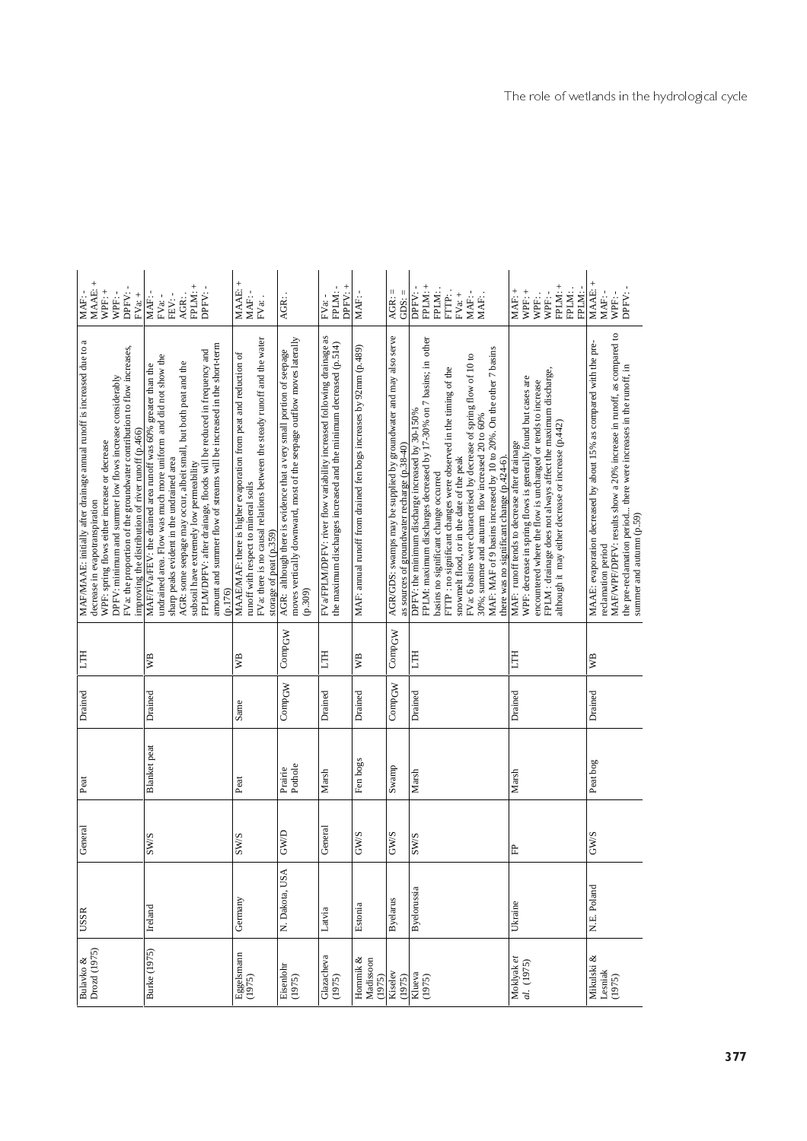| $^{+}$<br>DPFV:-<br>MAAE:<br>WPF: +<br>MAF:-<br>WPF: -<br>FVa:                                                                                                                                                                                                                                                                                        | FPLM: +<br>DPFV:-<br>FEV:-<br>MAF:<br>$\mbox{FVar}$ -<br>AGR:                                                                                                                                                                                                                                                                                                                                                                                          | MAAE: +<br>MAF: -<br>FVa:                                                                                                                                                                                        | AGR:                                                                                                                                                      | DPFV: +<br>FPLM: -<br>$FVar -$                                                                                                              | MAF:-                                                              | $AGR =$<br>GDS:                                                                                                   | FPLM: +<br>DPFV:-<br>${\tt FPLM}$ .<br>FTTP:<br>$FVar +$<br>MAF:-<br>MAF: .                                                                                                                                                                                                                                                                                                                                                                                                                                                      | FPLM: +<br>FPLM: .<br>FPLM:-<br>MAF: +<br>WPF: +<br>WPF.<br>WPF:                                                                                                                                                                                                                                       | DPFV:-<br>MAAE:<br>MAF:-<br>WPF: -                                                                                                                                                                                                                                 |
|-------------------------------------------------------------------------------------------------------------------------------------------------------------------------------------------------------------------------------------------------------------------------------------------------------------------------------------------------------|--------------------------------------------------------------------------------------------------------------------------------------------------------------------------------------------------------------------------------------------------------------------------------------------------------------------------------------------------------------------------------------------------------------------------------------------------------|------------------------------------------------------------------------------------------------------------------------------------------------------------------------------------------------------------------|-----------------------------------------------------------------------------------------------------------------------------------------------------------|---------------------------------------------------------------------------------------------------------------------------------------------|--------------------------------------------------------------------|-------------------------------------------------------------------------------------------------------------------|----------------------------------------------------------------------------------------------------------------------------------------------------------------------------------------------------------------------------------------------------------------------------------------------------------------------------------------------------------------------------------------------------------------------------------------------------------------------------------------------------------------------------------|--------------------------------------------------------------------------------------------------------------------------------------------------------------------------------------------------------------------------------------------------------------------------------------------------------|--------------------------------------------------------------------------------------------------------------------------------------------------------------------------------------------------------------------------------------------------------------------|
| MAF/MAAE: initially after drainage annual runoff is increased due to a<br>FVa: the proportion of the groundwater contribution to flow increases,<br>DPFV: minimum and summer low flows increase considerably<br>improving the distribution of river runoff (p.466)<br>WPF: spring flows either increase or decrease<br>decrease in evapotranspiration | amount and summer flow of streams will be increased in the short-term<br>FPLM/DPFV: after drainage, floods will be reduced in frequency and<br>undrained area. Flow was much more uniform and did not show the<br>AGR: some seepage may occur, albeit small, but both peat and the<br>MAF/FVa/FEV: the drained area runoff was 60% greater than the<br>sharp peaks evident in the undrained area<br>subsoil have extremely low permeability<br>(p.176) | FVa: there is no causal relations between the steady runoff and the water<br>MAAE/MAF: there is higher evaporation from peat and reduction of<br>runoff with respect to mineral soils<br>storage of peat (p.359) | moves vertically downward, most of the seepage outflow moves laterally<br>AGR: although there is evidence that a very small portion of seepage<br>(0.309) | FVa/FPLM/DPFV: river flow variability increased following drainage as<br>the maximum discharges increased and the minimum decreased (p.514) | MAF: annual runoff from drained fen bogs increases by 92mm (p.489) | AGR/GDS: swamps may be supplied by groundwater and may also serve<br>as sources of groundwater recharge (p.38-40) | FPLM: maximum discharges decreased by 17-30% on 7 basins; in other<br>MAF: MAF of 9 basins increased by 10 to 20%. On the other 7 basins<br>FVa: 6 basins were characterised by decrease of spring flow of 10 to<br>FTTP : no significant changes were observed in the timing of the<br>DPFV: the minimum discharge increased by 30-150%<br>30%; summer and autumn flow increased 20 to 60%<br>snowmelt flood, or in the date of the peak<br>there was no significant change (p.424-6).<br>basins no significant change occurred | FPLM : drainage does not always affect the maximum discharge,<br>WPF: decrease in spring flows is generally found but cases are<br>encountered where the flow is unchanged or tends to increase<br>although it may either decrease or increase (p.442)<br>MAF: runoff tends to decrease after drainage | MAF/WPF/DPFV: results show a 20% increase in runoff, as compared to<br>MAAE: evaporation decreased by about 15% as compared with the pre-<br>the pre-reclamation period there were increases in the runoff, in<br>summer and autumn $(p.59)$<br>reclamation period |
| LTH                                                                                                                                                                                                                                                                                                                                                   | $\mathbb{R}^n$                                                                                                                                                                                                                                                                                                                                                                                                                                         | W                                                                                                                                                                                                                | CompGW                                                                                                                                                    | E                                                                                                                                           | ₽                                                                  | CompGW                                                                                                            | Ë                                                                                                                                                                                                                                                                                                                                                                                                                                                                                                                                | <b>LTH</b>                                                                                                                                                                                                                                                                                             | ΓØ                                                                                                                                                                                                                                                                 |
| Drained                                                                                                                                                                                                                                                                                                                                               | Drained                                                                                                                                                                                                                                                                                                                                                                                                                                                | Same                                                                                                                                                                                                             | CompGW                                                                                                                                                    | Drained                                                                                                                                     | Drained                                                            | CompGW                                                                                                            | Drained                                                                                                                                                                                                                                                                                                                                                                                                                                                                                                                          | Drained                                                                                                                                                                                                                                                                                                | Drained                                                                                                                                                                                                                                                            |
| Peat                                                                                                                                                                                                                                                                                                                                                  | Blanket peat                                                                                                                                                                                                                                                                                                                                                                                                                                           | Peat                                                                                                                                                                                                             | Pothole<br>Prairie                                                                                                                                        | Marsh                                                                                                                                       | Fen bogs                                                           | Swamp                                                                                                             | Marsh                                                                                                                                                                                                                                                                                                                                                                                                                                                                                                                            | Marsh                                                                                                                                                                                                                                                                                                  | Peat bog                                                                                                                                                                                                                                                           |
| General                                                                                                                                                                                                                                                                                                                                               | <b>SW/S</b>                                                                                                                                                                                                                                                                                                                                                                                                                                            | <b>SW/S</b>                                                                                                                                                                                                      | GWD                                                                                                                                                       | General                                                                                                                                     | GW/S                                                               | GW/S                                                                                                              | <b>SW/S</b>                                                                                                                                                                                                                                                                                                                                                                                                                                                                                                                      | 出                                                                                                                                                                                                                                                                                                      | GW/S                                                                                                                                                                                                                                                               |
| <b>USSR</b>                                                                                                                                                                                                                                                                                                                                           | Ireland                                                                                                                                                                                                                                                                                                                                                                                                                                                | Germany                                                                                                                                                                                                          | N. Dakota, USA                                                                                                                                            | Latvia                                                                                                                                      | Estonia                                                            | Byelarus                                                                                                          | Byelorussia                                                                                                                                                                                                                                                                                                                                                                                                                                                                                                                      | Ukraine                                                                                                                                                                                                                                                                                                | N.E. Poland                                                                                                                                                                                                                                                        |
| Bulavko &<br>Drozd (1975)                                                                                                                                                                                                                                                                                                                             | Burke (1975)                                                                                                                                                                                                                                                                                                                                                                                                                                           | Eggelsmann<br>$(1975)$                                                                                                                                                                                           | Eisenlohr<br>(1975)                                                                                                                                       | Glazacheva<br>(1975)                                                                                                                        | Hommik &<br>Madissoon<br>(1975)                                    | Kiselev<br>(1975)                                                                                                 | Klueva<br>(1975)                                                                                                                                                                                                                                                                                                                                                                                                                                                                                                                 | $\begin{array}{ll} \hbox{Moklyak} \;et \\ at & (1975) \end{array}$                                                                                                                                                                                                                                     | Mikulski &<br>Lesniak<br>$(1975)$                                                                                                                                                                                                                                  |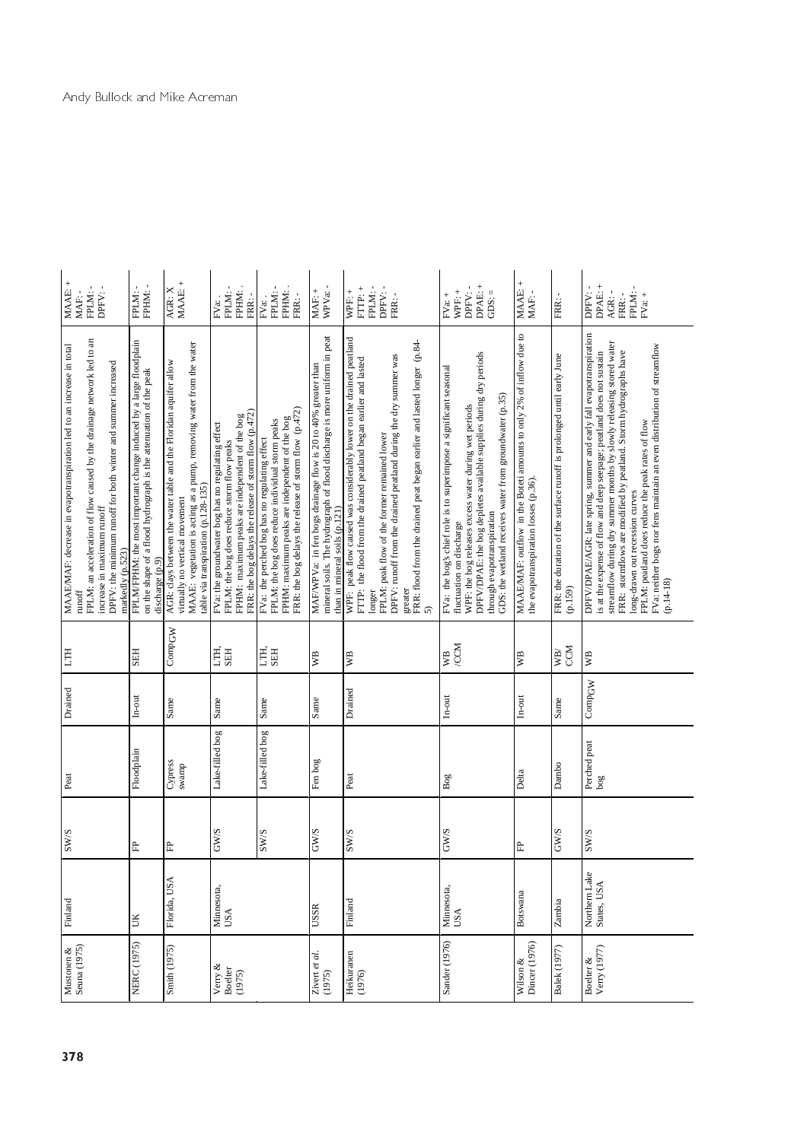| MAAE: +<br>FPLM: -<br>DPFV:-<br>MAF: -                                                                                                                                                                                                                                               | FPLM: -<br>FPHM: -                                                                                                                                         | AGR: X<br>MAAE: +                                                                                                                                                                                                 | FPLM: -<br>FPHM:<br>FRR:-<br>$_{\rm FV\,a}$ .                                                                                                                                                                | FPLM: -<br>FPHM:<br>FVa:<br>FRR:                                                                                                                                                                             | $\frac{\text{MAF: +}}{\text{WPVa: -}}$                                                                                                                                     | FPLM: -<br>DPFV:-<br>FTTP: +<br>WPF: +<br>FRR:-                                                                                                                                                                                                                                                                                                                     | DPAE: +<br>DPFV:-<br>WPF: +<br>$\text{FVar}$ +<br>GDS:                                                                                                                                                                                                                                                                | $\begin{array}{lcl} \text{MAAE:} + \\ \text{MAF:} - \end{array}$                                             | FRR:                                                                             | DPAE: +<br>DPFV:-<br>FPLM:<br>FRR-<br>$_{\rm FVa: +}$<br>AGR: -                                                                                                                                                                                                                                                                                                                                                                                                            |
|--------------------------------------------------------------------------------------------------------------------------------------------------------------------------------------------------------------------------------------------------------------------------------------|------------------------------------------------------------------------------------------------------------------------------------------------------------|-------------------------------------------------------------------------------------------------------------------------------------------------------------------------------------------------------------------|--------------------------------------------------------------------------------------------------------------------------------------------------------------------------------------------------------------|--------------------------------------------------------------------------------------------------------------------------------------------------------------------------------------------------------------|----------------------------------------------------------------------------------------------------------------------------------------------------------------------------|---------------------------------------------------------------------------------------------------------------------------------------------------------------------------------------------------------------------------------------------------------------------------------------------------------------------------------------------------------------------|-----------------------------------------------------------------------------------------------------------------------------------------------------------------------------------------------------------------------------------------------------------------------------------------------------------------------|--------------------------------------------------------------------------------------------------------------|----------------------------------------------------------------------------------|----------------------------------------------------------------------------------------------------------------------------------------------------------------------------------------------------------------------------------------------------------------------------------------------------------------------------------------------------------------------------------------------------------------------------------------------------------------------------|
| FPLM: an acceleration of flow caused by the drainage network led to an<br>MAAE/MAF: decrease in evapotranspiration led to an increase in total<br>DPFV: the minimum runoff for both winter and summer increased<br>increase in maximum runoff<br>markedly (p.523)<br>$\text{runoff}$ | FPLM/FPHM: the most important change induced by a large floodplain<br>on the shape of a flood hydrograph is the attenuation of the peak<br>discharge (p.9) | MAAE: vegetation is acting as a pump, removing water from the water<br>AGR: clays between the water table and the Floridan aquifer allow<br>table via transpiration (p.128-135)<br>virtually no vertical movement | FPHM: maximum peaks are independent of the bog<br>FRR: the bog delays the release of storm flow $(p.472)$<br>FVa: the groundwater bog has no regulating effect<br>FPLM: the bog does reduce storm flow peaks | FRR: the bog delays the release of storm flow (p.472)<br>FPHM: maximum peaks are independent of the bog<br>FPLM: the bog does reduce individual storm peaks<br>FVa: the perched bog has no regulating effect | mineral soils. The hydrograph of flood discharge is more uniform in peat<br>MAF/WPVa: in fen bogs drainage flow is 20 to 40% greater than<br>than in mineral soils (p.121) | WPF: peak flow caused was considerably lower on the drained peatland<br>greater<br>FRR: flood from the drained peat began earlier and lasted longer (p.84-<br>DPFV: runoff from the drained peatland during the dry summer was<br>FTTP: the flood from the drained peatland began earlier and lasted<br>FPLM: peak flow of the former remained lower<br>longer<br>5 | WPF: the bog releases excess water during wet periods<br>DPFV/DPAE: the bog depletes available supplies during dry periods<br>FVa: the bog's chief role is to superimpose a significant seasonal<br>GDS: the wetland receives water from groundwater (p.35)<br>through evapotranspiration<br>fluctuation on discharge | MAAE/MAF: outflow in the Boteti amounts to only 2% of inflow due to<br>the evapotranspiration losses (p.36). | FRR: the duration of the surface runoff is prolonged until early June<br>(p.159) | DPFV/DPAE/AGR: late spring, summer and early fall evapotranspiration<br>streamflow during dry summer months by slowly releasing stored water<br>FVa: neither bogs nor fens maintain an even distribution of streamflow<br>FRR: stormflows are modified by peatland. Storm hydrographs have<br>is at the expense of flow and deep seepage; peatland does not sustain<br>FPLM: peatland does reduce the peak rates of flow<br>long-drawn out recession curves<br>$(p.14-18)$ |
| E                                                                                                                                                                                                                                                                                    | <b>SEH</b>                                                                                                                                                 | CompGW                                                                                                                                                                                                            | EН,<br><b>SEH</b>                                                                                                                                                                                            | 百贯                                                                                                                                                                                                           | WB                                                                                                                                                                         | ₿                                                                                                                                                                                                                                                                                                                                                                   | /CCM<br>₩B                                                                                                                                                                                                                                                                                                            | P<br>2                                                                                                       | <b>NCO</b><br>WB/                                                                | Ş                                                                                                                                                                                                                                                                                                                                                                                                                                                                          |
| Drained                                                                                                                                                                                                                                                                              | $In-out$                                                                                                                                                   | Same                                                                                                                                                                                                              | Same                                                                                                                                                                                                         | Same                                                                                                                                                                                                         | Same                                                                                                                                                                       | Drained                                                                                                                                                                                                                                                                                                                                                             | In-out                                                                                                                                                                                                                                                                                                                | $In-out$                                                                                                     | Same                                                                             | CompGW                                                                                                                                                                                                                                                                                                                                                                                                                                                                     |
| Peat                                                                                                                                                                                                                                                                                 | Floodplain                                                                                                                                                 | Cypress<br>swamp                                                                                                                                                                                                  | Lake-filled bog                                                                                                                                                                                              | Lake-filled bog                                                                                                                                                                                              | Fen bog                                                                                                                                                                    | Peat                                                                                                                                                                                                                                                                                                                                                                | Bog                                                                                                                                                                                                                                                                                                                   | Delta                                                                                                        | Dambo                                                                            | Perched peat<br>bog                                                                                                                                                                                                                                                                                                                                                                                                                                                        |
| <b>SWS</b>                                                                                                                                                                                                                                                                           | 旵                                                                                                                                                          | 出                                                                                                                                                                                                                 | GW/S                                                                                                                                                                                                         | <b>SW/S</b>                                                                                                                                                                                                  | <b>GWS</b>                                                                                                                                                                 | <b>SW/S</b>                                                                                                                                                                                                                                                                                                                                                         | GW/S                                                                                                                                                                                                                                                                                                                  | 出                                                                                                            | GW/S                                                                             | $\mathrm{SW}S$                                                                                                                                                                                                                                                                                                                                                                                                                                                             |
| Finland                                                                                                                                                                                                                                                                              | UK                                                                                                                                                         | Florida, USA                                                                                                                                                                                                      | Minnesota,<br>USA                                                                                                                                                                                            |                                                                                                                                                                                                              | <b>USSR</b>                                                                                                                                                                | Finland                                                                                                                                                                                                                                                                                                                                                             | Minnesota,<br>USA                                                                                                                                                                                                                                                                                                     | Botswana                                                                                                     | Zambia                                                                           | Northern Lake<br>States, USA                                                                                                                                                                                                                                                                                                                                                                                                                                               |
| Mustonen $\&$<br>Seuna (1975)                                                                                                                                                                                                                                                        | NERC (1975)                                                                                                                                                | Smith (1975)                                                                                                                                                                                                      | Verry &<br><b>Boelter</b><br>(1975)                                                                                                                                                                          |                                                                                                                                                                                                              | Zivert et al.<br>(1975)                                                                                                                                                    | Heikuranen<br>(1976)                                                                                                                                                                                                                                                                                                                                                | Sander (1976)                                                                                                                                                                                                                                                                                                         | Dincer (1976)<br>Wilson $\&$                                                                                 | Balek (1977)                                                                     | Boelter &<br>Verry (1977)                                                                                                                                                                                                                                                                                                                                                                                                                                                  |
| 378                                                                                                                                                                                                                                                                                  |                                                                                                                                                            |                                                                                                                                                                                                                   |                                                                                                                                                                                                              |                                                                                                                                                                                                              |                                                                                                                                                                            |                                                                                                                                                                                                                                                                                                                                                                     |                                                                                                                                                                                                                                                                                                                       |                                                                                                              |                                                                                  |                                                                                                                                                                                                                                                                                                                                                                                                                                                                            |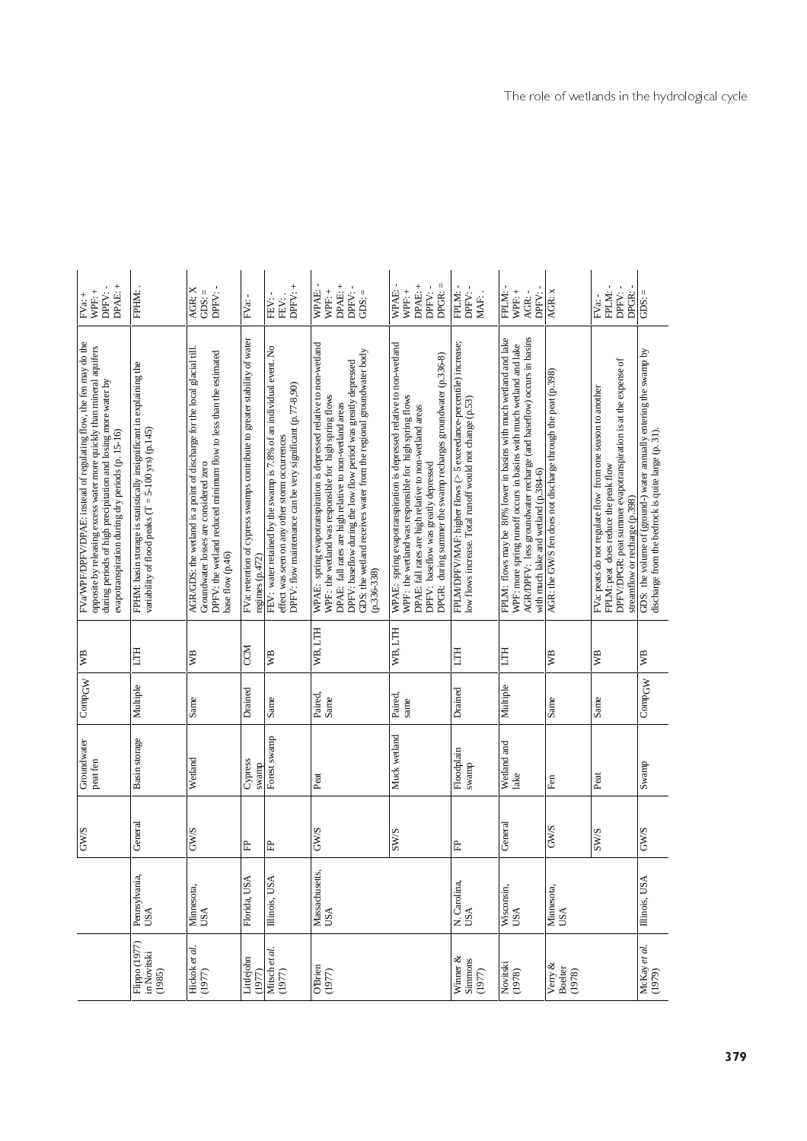| DPAE: +<br>DPFV:-<br>WPF: +<br>$FVar +$                                                                                                                                                                                                                         | FPHM:                                                                                                                        | DPFV:-<br>AGR: X<br>GDS: $=$                                                                                                                                                                                | $F\sqrt{a}$                                                                                  | DPFV: +<br>FEV:<br>FEV:                                                                                                                                                             | DPAE: +<br>DPFV:-<br>WPAE:<br>WPF: +<br>$300S =$                                                                                                                                                                                                                                                                                                      | DPAE: +<br>$DPGR: =$<br>WPAE: -<br>DPFV:-<br>WPF: +                                                                                                                                                                                                                                                | FPLM:-<br>DPFV:<br>MAF: .                                                                                                     | FPLM: -<br>DPFV:<br>WPF: +<br>AGR: -                                                                                                                                                                                                                    | AGR: x                                                        | FPLM:<br>DPFV:<br>DPGR:<br>$FVar -$                                                                                                                                                                    | $GDS. =$                                                          |
|-----------------------------------------------------------------------------------------------------------------------------------------------------------------------------------------------------------------------------------------------------------------|------------------------------------------------------------------------------------------------------------------------------|-------------------------------------------------------------------------------------------------------------------------------------------------------------------------------------------------------------|----------------------------------------------------------------------------------------------|-------------------------------------------------------------------------------------------------------------------------------------------------------------------------------------|-------------------------------------------------------------------------------------------------------------------------------------------------------------------------------------------------------------------------------------------------------------------------------------------------------------------------------------------------------|----------------------------------------------------------------------------------------------------------------------------------------------------------------------------------------------------------------------------------------------------------------------------------------------------|-------------------------------------------------------------------------------------------------------------------------------|---------------------------------------------------------------------------------------------------------------------------------------------------------------------------------------------------------------------------------------------------------|---------------------------------------------------------------|--------------------------------------------------------------------------------------------------------------------------------------------------------------------------------------------------------|-------------------------------------------------------------------|
| FVa/WPF/DPFV/DPAE: instead of regulating flow, the fen may do the<br>opposite by releasing excess water more quickly than mineral aquifers<br>during periods of high precipitation and losing more water by<br>evapotranspiration during dry periods (p. 15-16) | FPHM: basin storage is statistically insignificant in explaining the<br>variability of flood peaks $(T = 5-100$ yrs) (p.145) | AGR/GDS: the wetland is a point of discharge for the local glacial till.<br>DPFV: the wetland reduced minimum flow to less than the estimated<br>Groundwater losses are considered zero<br>base flow (p.46) | FVa: retention of cypress swamps contribute to greater stability of water<br>regimes (p.472) | FEV: water retained by the swamp is 7.8% of an individual event. No<br>DPFV: flow maintenance can be very significant (p.77-8,90)<br>effect was seen on any other storm occurrences | WPAE: spring evapotranspiration is depressed relative to non-wetland<br>GDS: the wetland receives water from the regional groundwater body<br>DPFV: baseflow during the low flow period was greatly depressed<br>WPF: the wetland was responsible for high spring flows<br>DPAE: fall rates are high relative to non-wetland areas<br>$(p.336 - 338)$ | WPAE: spring evapotranspiration is depressed relative to non-wetland<br>DPGR: during summer the swamp recharges groundwater (p.336-8)<br>WPF: the wetland was responsible for high spring flows<br>DPAE: fall rates are high relative to non-wetland areas<br>DPFV: baseflow was greatly depressed | FPLM/DPFV/MAF: higher flows (> 5 exceedance-percentile) increase;<br>low flows increase. Total runoff would not change (p.53) | AGR/DPFV: less groundwater recharge (and baseflow) occurs in basins<br>FPLM: flows may be 80% lower in basins with much wetland and lake<br>WPF: more spring runoff occurs in basins with much wetland and lake<br>with much lake and wetland (p.384-6) | AGR: the GW/S fen does not discharge through the peat (p.398) | DPFV/DPGR: peat summer evapotranspiration is at the expense of<br>FVa: peats do not regulate flow from one season to another<br>FPLM: peat does reduce the peak flow<br>streamflow or recharge (p.398) | GDS: the volume of (ground-) water annually entering the swamp by |
| ₿                                                                                                                                                                                                                                                               | E                                                                                                                            | УB                                                                                                                                                                                                          | CCM                                                                                          | ÿЯ                                                                                                                                                                                  | WB, LTH                                                                                                                                                                                                                                                                                                                                               | WB, LTH                                                                                                                                                                                                                                                                                            | E                                                                                                                             | E                                                                                                                                                                                                                                                       | WВ                                                            | ₿                                                                                                                                                                                                      | УB                                                                |
| CompCW                                                                                                                                                                                                                                                          | Multiple                                                                                                                     | Same                                                                                                                                                                                                        | Drained                                                                                      | Same                                                                                                                                                                                | Paired,<br>Same                                                                                                                                                                                                                                                                                                                                       | Paired,<br>same                                                                                                                                                                                                                                                                                    | Drained                                                                                                                       | Multiple                                                                                                                                                                                                                                                | Same                                                          | Same                                                                                                                                                                                                   | Comp <sub>GW</sub>                                                |
| Groundwater<br>peat fen                                                                                                                                                                                                                                         | Basin storage                                                                                                                | Wetland                                                                                                                                                                                                     | Cypress<br>swamp                                                                             | Forest swamp                                                                                                                                                                        | Peat                                                                                                                                                                                                                                                                                                                                                  | Muck wetland                                                                                                                                                                                                                                                                                       | Floodplain<br>swamp                                                                                                           | Wetland and<br>lake                                                                                                                                                                                                                                     | Fen                                                           | Peat                                                                                                                                                                                                   | Swamp                                                             |
| <b>S/MS</b>                                                                                                                                                                                                                                                     | General                                                                                                                      | GW/S                                                                                                                                                                                                        | 出                                                                                            | 丘                                                                                                                                                                                   | GW/S                                                                                                                                                                                                                                                                                                                                                  | <b>SWS</b>                                                                                                                                                                                                                                                                                         | 出                                                                                                                             | General                                                                                                                                                                                                                                                 | <b>GW/S</b>                                                   | <b>SWS</b>                                                                                                                                                                                             | GW/S                                                              |
|                                                                                                                                                                                                                                                                 | Pennsylvania,<br>USA                                                                                                         | Minnesota,<br>USA                                                                                                                                                                                           | Florida, USA                                                                                 | Illinois, USA                                                                                                                                                                       | Massachusetts,<br>USA                                                                                                                                                                                                                                                                                                                                 |                                                                                                                                                                                                                                                                                                    | N. Carolina,<br>USA                                                                                                           | Wisconsin,<br>USA                                                                                                                                                                                                                                       | Minnesota,<br>USA                                             |                                                                                                                                                                                                        | Ilinois, USA                                                      |
|                                                                                                                                                                                                                                                                 | Flippo (1977)<br>in Novitski<br>(1985)                                                                                       | Hickok et al.<br>(1977)                                                                                                                                                                                     | Littlejohn<br>(1977)                                                                         | Mitsch et al.<br>(1977)                                                                                                                                                             | OBrien<br>(1977)                                                                                                                                                                                                                                                                                                                                      |                                                                                                                                                                                                                                                                                                    | Winner $\&$<br>Simmons<br>(1977)                                                                                              | Novitski<br>(1978)                                                                                                                                                                                                                                      | Verry &<br>Boelter<br>(1978)                                  |                                                                                                                                                                                                        | McKay et al.<br>(1979)                                            |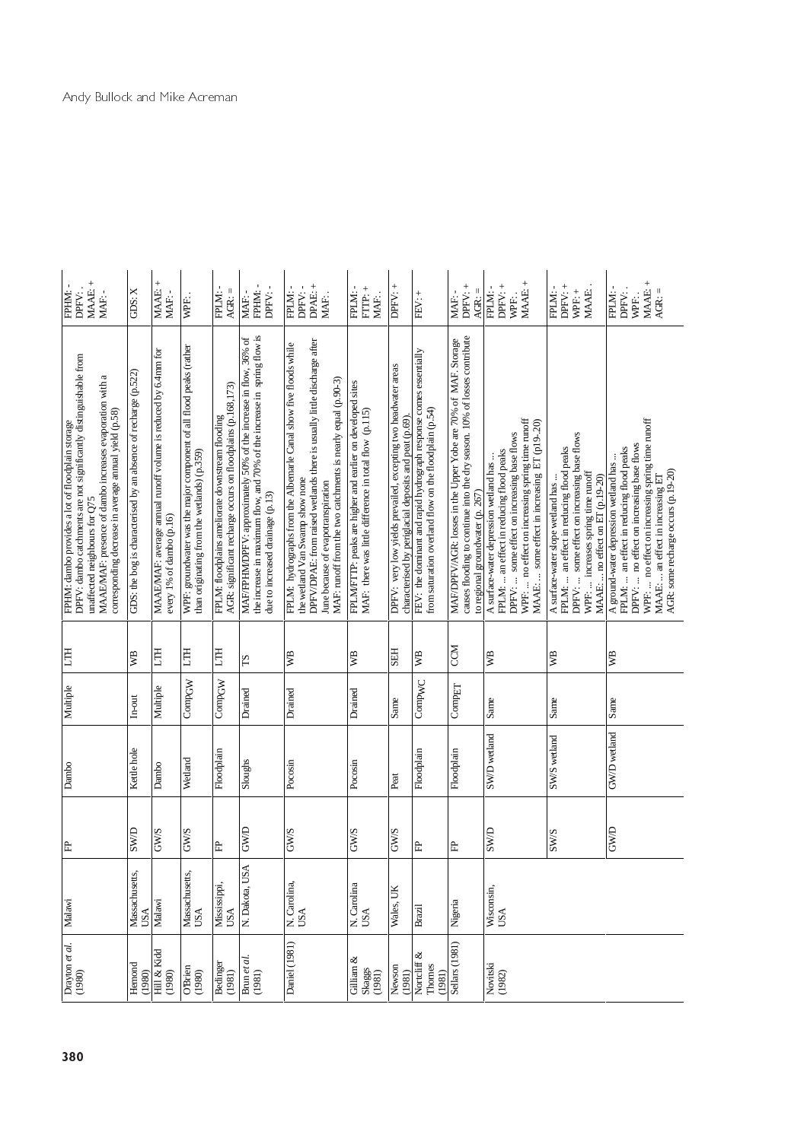| MAAE: +<br>FPHM: -<br>DPFV:<br>MAF: -                                                                                                                                                                                                                                       | GDS: X                                                          | MAAE +<br>MAF: -                                                                           | WPF:                                                                                                               | FPLM: -<br>AGR:                                                                                                 | DPFV:-<br>FPHM:<br>MAF:-                                                                                                                                                        | DPAE: +<br>FPLM: -<br>DPFV: -<br>MAF: .                                                                                                                                                                                                                                               | FPLM: -<br>FIP:<br>MAF:                                                                                             | DPFV: +                                                                                                                  | FEV: +                                                                                                                      | DPFV: +<br>AGR: =<br>MAF: -                                                                                                                                                     | MAAE +<br>DPFV: +<br>FPLM: -<br>WPF:.                                                                                                                                                                                                  | DPFV: +<br>FPLM: -<br>WPF: +<br><b>MAAE:</b>                                                                                                                                                           | MAAE +<br>DPFV:.<br>AGR:<br>FPLM:<br>WPF: . $\hfill$                                                                                                                                                                                                           |
|-----------------------------------------------------------------------------------------------------------------------------------------------------------------------------------------------------------------------------------------------------------------------------|-----------------------------------------------------------------|--------------------------------------------------------------------------------------------|--------------------------------------------------------------------------------------------------------------------|-----------------------------------------------------------------------------------------------------------------|---------------------------------------------------------------------------------------------------------------------------------------------------------------------------------|---------------------------------------------------------------------------------------------------------------------------------------------------------------------------------------------------------------------------------------------------------------------------------------|---------------------------------------------------------------------------------------------------------------------|--------------------------------------------------------------------------------------------------------------------------|-----------------------------------------------------------------------------------------------------------------------------|---------------------------------------------------------------------------------------------------------------------------------------------------------------------------------|----------------------------------------------------------------------------------------------------------------------------------------------------------------------------------------------------------------------------------------|--------------------------------------------------------------------------------------------------------------------------------------------------------------------------------------------------------|----------------------------------------------------------------------------------------------------------------------------------------------------------------------------------------------------------------------------------------------------------------|
| DPFV: dambo catchments are not significantly distinguishable from<br>MAAE/MAF: presence of dambo increases evaporation with a<br>corresponding decrease in average annual yield (p.58)<br>FPHM: dambo provides a lot of floodplain storage<br>unaffected neighbours for Q75 | GDS: the bog is characterised by an absence of recharge (p.522) | MAAE/MAF: average annual runoff volume is reduced by 6.4mm for<br>every 1% of dambo (p.16) | WPF: groundwater was the major component of all flood peaks (rather<br>than originating from the wetlands) (p.359) | AGR: significant recharge occurs on floodplains (p.168,173)<br>FPLM: floodplains ameliorate downstream flooding | the increase in maximum flow, and 70% of the increase in spring flow is<br>MAF/FPHM/DPFV: approximately 50% of the increase in flow, 36% of<br>due to increased drainage (p.13) | DPFV/DPAE: from raised wetlands there is usually little discharge after<br>FPLM: hydrographs from the Albemarle Canal show five floods while<br>MAF: runoff from the two catchments is nearly equal (p.90-3)<br>the wetland Van Swamp show none<br>June because of evapotranspiration | FPLMFTTP: peaks are higher and earlier on developed sites<br>MAF: there was little difference in total flow (p.115) | DPFV: very low yields prevailed, excepting two headwater areas<br>characterised by periglacial deposits and peat (p.69). | FEV: the dominant and rapid hydrograph response comes essentially<br>from saturation overland flow on the floodplain (p.54) | causes flooding to continue into the dry season. 10% of losses contribute<br>MAF/DPFV/AGR: losses in the Upper Yobe are 70% of MAF. Storage<br>to regional groundwater (p. 267) | WPF:  no effect on increasing spring time runoff<br>MAAE:  some effect in increasing ET (p19-.20)<br>DPFV:  some effect on increasing base flows<br>FPLM:  an effect in reducing flood peaks<br>A surface-water depression wetland has | DPFV:  some effect on increasing base flows<br>FPLM:  an effect in reducing flood peaks<br>WPF:  increases spring time runoff<br>A surface-water slope wetland has<br>MAAE:  no effect on ET (p.19-20) | WPF:  no effect on increasing spring time runoff<br>DPFV:  no effect on increasing base flows<br>FPLM:  an effect in reducing flood peaks<br>A ground-water depression wetland has<br>AGR: some recharge occurs (p.19-20)<br>MAAE:  an effect in increasing ET |
| Ë                                                                                                                                                                                                                                                                           | WВ                                                              | 百                                                                                          | E                                                                                                                  | H                                                                                                               | SJ                                                                                                                                                                              | УB                                                                                                                                                                                                                                                                                    | ₿                                                                                                                   | <b>SEH</b>                                                                                                               | WB                                                                                                                          | CCM                                                                                                                                                                             | WВ                                                                                                                                                                                                                                     | ⊯                                                                                                                                                                                                      | ₿                                                                                                                                                                                                                                                              |
| Multiple                                                                                                                                                                                                                                                                    | $In-out$                                                        | Multiple                                                                                   | CompGW                                                                                                             | CompGW                                                                                                          | Drained                                                                                                                                                                         | Drained                                                                                                                                                                                                                                                                               | Drained                                                                                                             | Same                                                                                                                     | CompyC                                                                                                                      | <b>CompET</b>                                                                                                                                                                   | Same                                                                                                                                                                                                                                   | Same                                                                                                                                                                                                   | Same                                                                                                                                                                                                                                                           |
| Dambo                                                                                                                                                                                                                                                                       | Kettle hole                                                     | Dambo                                                                                      | Wetland                                                                                                            | Floodplain                                                                                                      | Sloughs                                                                                                                                                                         | Pocosin                                                                                                                                                                                                                                                                               | Pocosin                                                                                                             | Peat                                                                                                                     | Floodplain                                                                                                                  | Floodplain                                                                                                                                                                      | SWD wetland                                                                                                                                                                                                                            | SW/S wetland                                                                                                                                                                                           | GWD wetland                                                                                                                                                                                                                                                    |
| 旵                                                                                                                                                                                                                                                                           | SWD                                                             | <b>GWS</b>                                                                                 | <b>GW/S</b>                                                                                                        | 出                                                                                                               | GWD                                                                                                                                                                             | <b>GWS</b>                                                                                                                                                                                                                                                                            | GW/S                                                                                                                | <b>GWS</b>                                                                                                               | 丘                                                                                                                           | 出                                                                                                                                                                               | SWD                                                                                                                                                                                                                                    | <b>SWS</b>                                                                                                                                                                                             | GWD                                                                                                                                                                                                                                                            |
| Malawi                                                                                                                                                                                                                                                                      | Massachusetts,<br>USA                                           | Malawi                                                                                     | Massachusetts,<br>USA                                                                                              | Mississippi,<br>USA                                                                                             | N. Dakota, USA                                                                                                                                                                  | N. Carolina,<br>USA                                                                                                                                                                                                                                                                   | N. Carolina<br>USA                                                                                                  | Wales, UK                                                                                                                | <b>Brazil</b>                                                                                                               | Nigeria                                                                                                                                                                         | Wisconsin,<br>USA                                                                                                                                                                                                                      |                                                                                                                                                                                                        |                                                                                                                                                                                                                                                                |
| Drayton et al.<br>(1980)                                                                                                                                                                                                                                                    | Hemond<br>(1980)                                                | Hill & Kidd<br>(1980)                                                                      | OBrien<br>(1980)                                                                                                   | Bedinger<br>(1981)                                                                                              | $\begin{array}{l} \text{Brun}\;et\;al.\\ (1981) \end{array}$                                                                                                                    | Daniel (1981)                                                                                                                                                                                                                                                                         | Gilliam $\&$<br>Skaggs<br>(1981)                                                                                    | Newson<br>(1981)                                                                                                         | Nortcliff &<br>Thornes<br>(1981)                                                                                            | Sellars (1981)                                                                                                                                                                  | Novitski<br>(1982)                                                                                                                                                                                                                     |                                                                                                                                                                                                        |                                                                                                                                                                                                                                                                |
| 380                                                                                                                                                                                                                                                                         |                                                                 |                                                                                            |                                                                                                                    |                                                                                                                 |                                                                                                                                                                                 |                                                                                                                                                                                                                                                                                       |                                                                                                                     |                                                                                                                          |                                                                                                                             |                                                                                                                                                                                 |                                                                                                                                                                                                                                        |                                                                                                                                                                                                        |                                                                                                                                                                                                                                                                |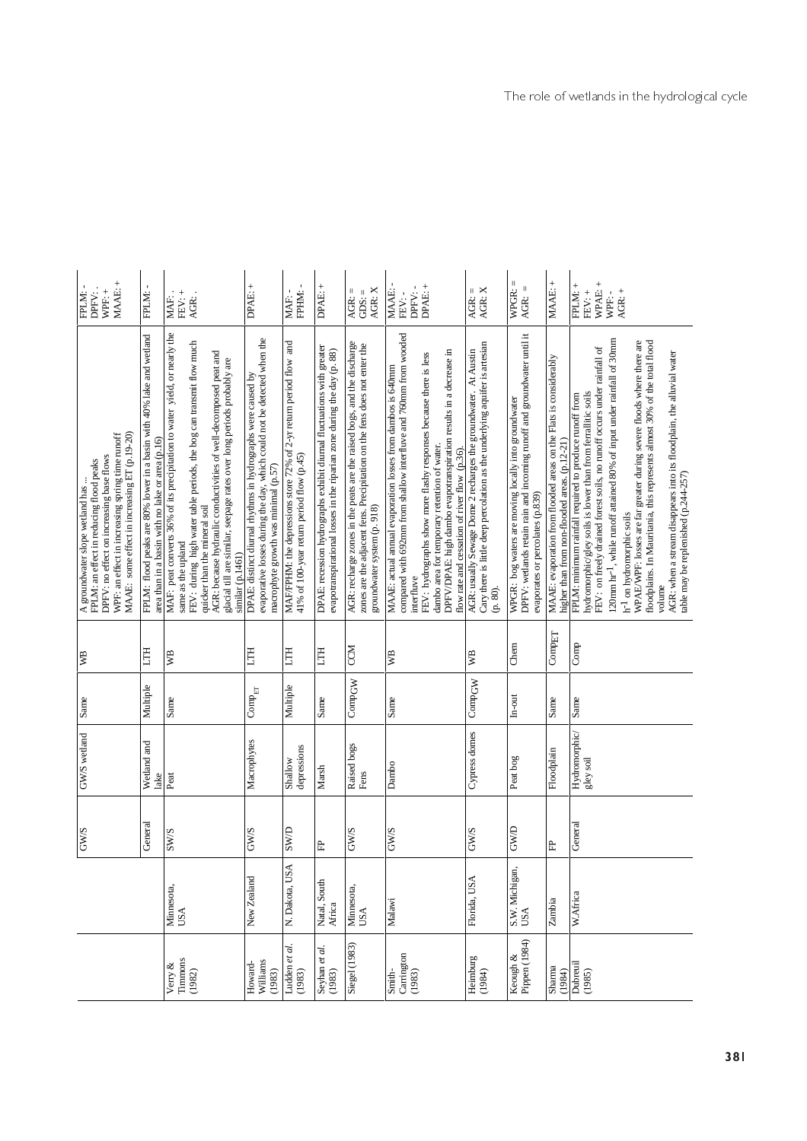| MAAE: +<br>DPFV:.<br>WPF: +<br>FPLM:                                                                                                                                                                                      | FPLM: -                                                                                                                  | FEV: +<br>MAF: .<br>AGR: .                                                                                                                                                                                                                                                                                                                                                  | DPAE: +                                                                                                                                                                         | FPHM: -<br>MAF:                                                                                                 | DPAE: +                                                                                                                                          | AGR: X<br>$AGR: =$<br>GDS: $=$                                                                                                                                                      | DPAE: +<br>DPFV:-<br>MAAE:<br>FEV:-                                                                                                                                                                                                                                                                                                                                                       | $\begin{array}{c}\n\text{AGR:} = \\ \text{AGR:} X\n\end{array}$                                                                                               | $WPGR: =$<br>$AGR: =$                                                                                                                                               | MAAE: +                                                                                                            | WPAE: +<br>$\overline{PIM}$ +<br>AGR: +<br>FEV: +<br>WPF: -                                                                                                                                                                                                                                                                                                                                                                                                                                                                                                                                                     |
|---------------------------------------------------------------------------------------------------------------------------------------------------------------------------------------------------------------------------|--------------------------------------------------------------------------------------------------------------------------|-----------------------------------------------------------------------------------------------------------------------------------------------------------------------------------------------------------------------------------------------------------------------------------------------------------------------------------------------------------------------------|---------------------------------------------------------------------------------------------------------------------------------------------------------------------------------|-----------------------------------------------------------------------------------------------------------------|--------------------------------------------------------------------------------------------------------------------------------------------------|-------------------------------------------------------------------------------------------------------------------------------------------------------------------------------------|-------------------------------------------------------------------------------------------------------------------------------------------------------------------------------------------------------------------------------------------------------------------------------------------------------------------------------------------------------------------------------------------|---------------------------------------------------------------------------------------------------------------------------------------------------------------|---------------------------------------------------------------------------------------------------------------------------------------------------------------------|--------------------------------------------------------------------------------------------------------------------|-----------------------------------------------------------------------------------------------------------------------------------------------------------------------------------------------------------------------------------------------------------------------------------------------------------------------------------------------------------------------------------------------------------------------------------------------------------------------------------------------------------------------------------------------------------------------------------------------------------------|
| MAAE: some effect in increasing ET (p.19-20)<br>WPF: an effect in increasing spring time runoff<br>DPFV: no effect on increasing base flows<br>FPLM: an effect in reducing flood peaks<br>A groundwater slope wetland has | FPLM: flood peaks are 80% lower in a basin with 40% lake and wetland<br>area than in a basin with no lake or area (p.16) | MAF: peat converts 36% of its precipitation to water yield, or nearly the<br>FEV: during high water table periods, the bog can transmit flow much<br>AGR: because hydraulic conductivities of well-decomposed peat and<br>glacial till are similar, seepage rates over long periods probably are<br>quicker than the mineral soil<br>same as the upland<br>similar (p.1461) | evaporative losses during the day, which could not be detected when the<br>DPAE: distinct diurnal rhythms in hydrographs were caused by<br>macrophyte growth was minimal (p.57) | MAF/FPHM: the depressions store 72% of 2-yr return period flow and<br>41% of 100-year return period flow (p.45) | DPAE: recession hydrographs exhibit diurnal fluctuations with greater<br>evapotranspirational losses in the riparian zone during the day (p. 88) | AGR: recharge zones in the peats are the raised bogs, and the discharge<br>zones are the adjacent fens. Precipitation on the fens does not enter the<br>groundwater system (p. 918) | compared with 692mm from shallow interfluve and 760mm from wooded<br>DPFV/DPAE: high dambo evapotranspiration results in a decrease in<br>FEV: hydrographs show more flashy responses because there is less<br>MAAE: actual annual evaporation losses from dambos is 640mm<br>dambo area for temporary retention of water.<br>flow rate and cessation of river flow (p.36).<br>interfluve | Cary there is little deep percolation as the underlying aquifer is artesian<br>AGR: usually Sewage Dome 2 recharges the groundwater. At Austin<br>$(p. 80)$ . | DPFV: wetlands retain rain and incoming runoff and groundwater until it<br>WPGR: bog waters are moving locally into groundwater<br>evaporates or percolates (p.839) | MAAE: evaporation from flooded areas on the Flats is considerably<br>higher than from non-flooded areas. (p.12-21) | 120mm hr <sup>-1</sup> , while runoff attained 80% of input under rainfall of 30mm<br>floodplains. In Mauritania, this represents almost 30% of the total flood<br>WPAE/WPF: losses are far greater during severe floods where there are<br>FEV: on freely drained forest soils, no runoff occurs under rainfall of<br>AGR: when a stream disappears into its floodplain, the alluvial water<br>hydromorphic/gley soils is lower than from ferrallitic soils<br>FPLM: minimum rainfall required to produce runoff from<br>table may be replenished (p.244-257)<br>$\rm{h^{-1}}$ on hydromorphic soils<br>volume |
| УB                                                                                                                                                                                                                        | E                                                                                                                        | WВ                                                                                                                                                                                                                                                                                                                                                                          | 呂                                                                                                                                                                               | 百                                                                                                               | 呂                                                                                                                                                | CCM                                                                                                                                                                                 | ĶВ                                                                                                                                                                                                                                                                                                                                                                                        | ₿                                                                                                                                                             | Chem                                                                                                                                                                | $\overline{\text{Comp}}$                                                                                           | Comp                                                                                                                                                                                                                                                                                                                                                                                                                                                                                                                                                                                                            |
| Same                                                                                                                                                                                                                      | Multiple                                                                                                                 | Same                                                                                                                                                                                                                                                                                                                                                                        | $\overline{\text{Comp}}_{\text{ET}}$                                                                                                                                            | Multiple                                                                                                        | Same                                                                                                                                             | CompGW                                                                                                                                                                              | Same                                                                                                                                                                                                                                                                                                                                                                                      | $\mbox{CompGW}$                                                                                                                                               | $In-out$                                                                                                                                                            | Same                                                                                                               | Same                                                                                                                                                                                                                                                                                                                                                                                                                                                                                                                                                                                                            |
| GW/S wetland                                                                                                                                                                                                              | Wetland and<br>lake                                                                                                      | Peat                                                                                                                                                                                                                                                                                                                                                                        | Macrophytes                                                                                                                                                                     | depressions<br>Shallow                                                                                          | Marsh                                                                                                                                            | Raised bogs<br>Fens                                                                                                                                                                 | Dambo                                                                                                                                                                                                                                                                                                                                                                                     | Cypress domes                                                                                                                                                 | Peat bog                                                                                                                                                            | Floodplain                                                                                                         | Hydromorphic/<br>gley soil                                                                                                                                                                                                                                                                                                                                                                                                                                                                                                                                                                                      |
| <b>GWS</b>                                                                                                                                                                                                                | General                                                                                                                  | <b>SWS</b>                                                                                                                                                                                                                                                                                                                                                                  | <b>GWS</b>                                                                                                                                                                      | <b>G/MS</b>                                                                                                     | 出                                                                                                                                                | <b>GW/S</b>                                                                                                                                                                         | <b>GWS</b>                                                                                                                                                                                                                                                                                                                                                                                | GW/S                                                                                                                                                          | GWD                                                                                                                                                                 | 出                                                                                                                  | General                                                                                                                                                                                                                                                                                                                                                                                                                                                                                                                                                                                                         |
|                                                                                                                                                                                                                           |                                                                                                                          | Mimesota,<br>USA                                                                                                                                                                                                                                                                                                                                                            | New Zealand                                                                                                                                                                     | N. Dakota, USA                                                                                                  | Natal, South<br>Africa                                                                                                                           | Minnesota,<br>USA                                                                                                                                                                   | Malawi                                                                                                                                                                                                                                                                                                                                                                                    | Florida, USA                                                                                                                                                  | S.W. Michigan,<br>USA                                                                                                                                               | Zambia                                                                                                             | W.Africa                                                                                                                                                                                                                                                                                                                                                                                                                                                                                                                                                                                                        |
|                                                                                                                                                                                                                           |                                                                                                                          | Timmons<br>(1982)<br>Verry &                                                                                                                                                                                                                                                                                                                                                | Williams<br>(1983)<br>Howard-                                                                                                                                                   | Ludden et al.<br>(1983)                                                                                         | Seyhan <i>et al.</i><br>(1983)                                                                                                                   | Siegel (1983)                                                                                                                                                                       | Carrington<br>(1983)<br>Smith-                                                                                                                                                                                                                                                                                                                                                            | Heimburg<br>(1984)                                                                                                                                            | Keough &<br>Pippen (1984)                                                                                                                                           | Sharma<br>(1984)                                                                                                   | Dubreuil<br>(1985)                                                                                                                                                                                                                                                                                                                                                                                                                                                                                                                                                                                              |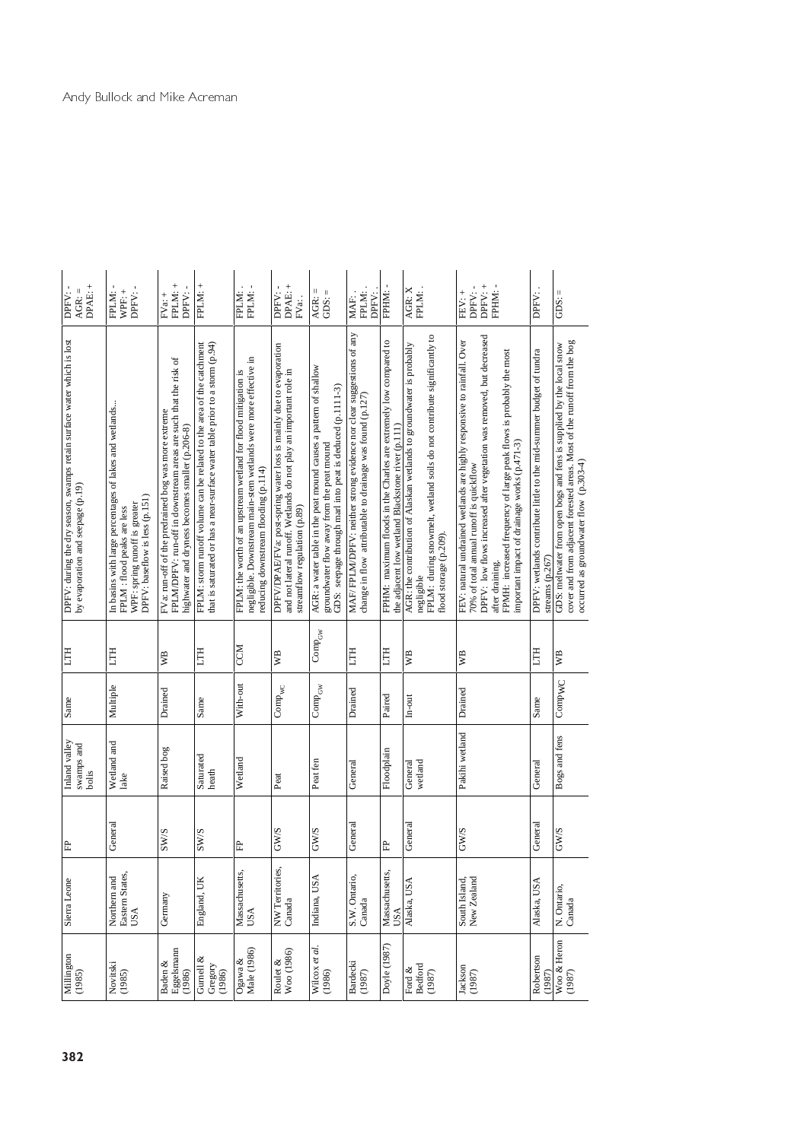| Ê<br>Sierra Leone             |                              | DPFV: during the dry season, swamps retain surface water which is lost<br>by evaporation and seepage (p.19)<br><b>HLT</b><br>Same<br>Inland valley<br>swamps and<br>bolis                                                                |
|-------------------------------|------------------------------|------------------------------------------------------------------------------------------------------------------------------------------------------------------------------------------------------------------------------------------|
| lake<br>General               | Eastern States               | In basins with large percentages of lakes and wetlands<br>DPFV: baseflow is less (p.151)<br>WPF: spring runoff is greater<br>FPLM : flood peaks are less<br><b>HLT</b><br>Multiple<br>Wetland and                                        |
| <b>SWS</b>                    |                              | FPLM/DPFV: run-off in downstream areas are such that the risk of<br>FVa: run-off of the predrained bog was more extreme<br>highwater and dryness becomes smaller (p.206-8)<br>₽<br>Drained<br>Raised bog                                 |
| heath<br><b>SWS</b>           | England, UK                  | that is saturated or has a near-surface water table prior to a storm (p.94)<br>FPLM: storm runoff volume can be related to the area of the catchment<br>E<br>Same<br>Saturated                                                           |
| Ê                             | Massachusetts,<br>USA        | negligible. Downstream main-stem wetlands were more effective in<br>FPLM: the worth of an upstream wetland for flood mitigation is<br>reducing downstream flooding (p.114)<br>CCM<br>With-out<br>Wetland                                 |
| Peat<br>GW/S                  | NW Territories,<br>Canada    | DPFV/DPAE/FVa: post-spring water loss is mainly due to evaporation<br>and not lateral runoff. Wetlands do not play an important role in<br>streamflow regulation (p.89)<br>УB<br>$\mathsf{Comp}_{\mathsf{wc}}$                           |
| Peat fen<br>GW/S              | Indiana, USA                 | AGR: a water table in the peat mound causes a pattern of shallow<br>GDS: seepage through marl into peat is deduced (p.1111-3)<br>groundwater flow away from the peat mound<br>$\mathrm{Comp}_{\mathrm{GW}}$<br>$\text{Comp}_{\text{GW}}$ |
| General<br>General            | S.W. Ontario,                | MAF/FPLM/DPFV: neither strong evidence nor clear suggestions of any<br>change in flow attributable to drainage was found (p.127)<br>Ë<br>Drained                                                                                         |
| 出                             | Massachusetts,<br>USA        | FPHM: maximum floods in the Charles are extremely low compared to<br>the adjacent low wetland Blackstone river (p.111)<br>LTH<br>Paired<br>Floodplain                                                                                    |
| General<br>wetland<br>General |                              | FPLM: during snowmelt, wetland soils do not contribute significantly to<br>AGR: the contribution of Alaskan wetlands to groundwater is probably<br>flood storage (p.209).<br>negligible<br>ŠВ<br>$In-out$                                |
| GW/S                          | South Island,<br>New Zealand | FEV: natural undrained wetlands are highly responsive to rainfall. Over<br>70% of total amual runoff is quickflow<br><b>D</b><br>Drained<br>Pakihi wetland                                                                               |
| General<br>General            |                              | DPFV: low flows increased after vegetation was removed, but decreased<br>FPMH: increased frequency of large peak flows is probably the most<br>important impact of drainage works (p.471-3)<br>after draining.                           |
| Bogs and fens<br>GW/S         |                              | DPFV: wetlands contribute little to the mid-summer budget of tundra<br>streams $(p.267)$<br>ETH<br>Same                                                                                                                                  |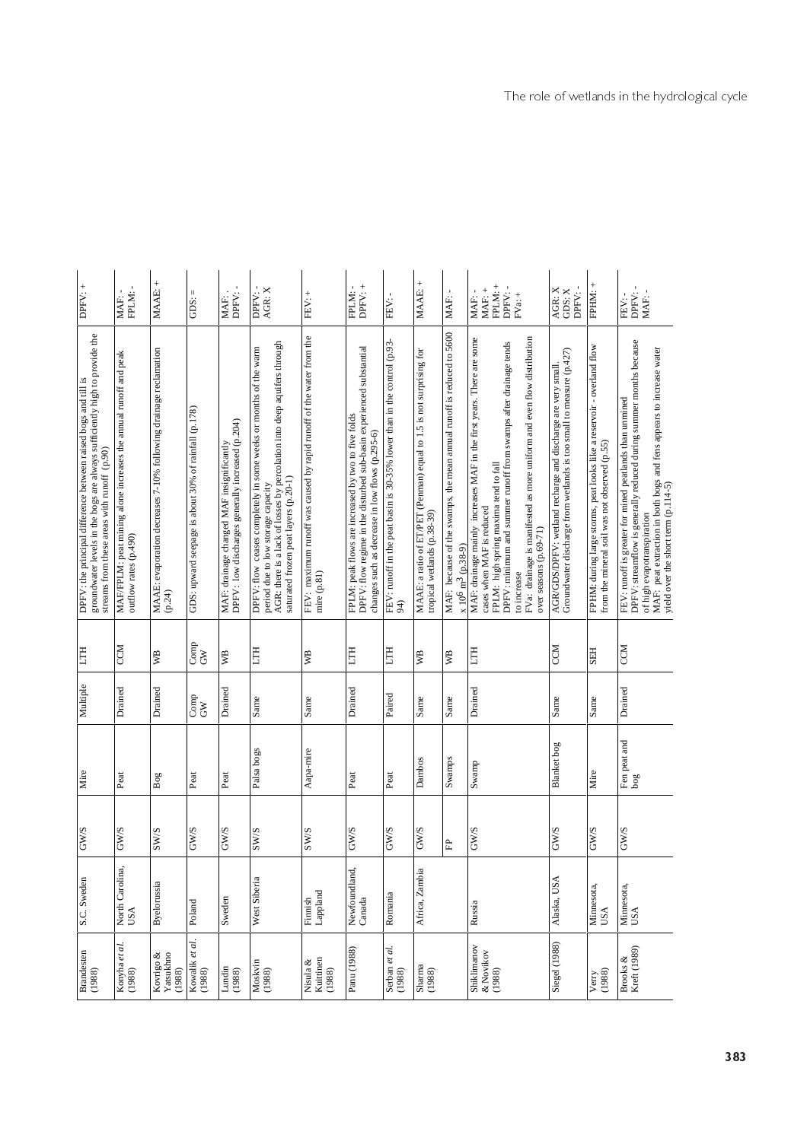| DPFV: +                                                                                                                                                                                     | ${\rm FPLM}\colon$ -<br>MAF: -                                                            | MAAE: +                                                                    | GDS:                                                 | DPFV:-<br>MAF: .                                                                              | DPFV:-<br>AGR: X                                                                                                                                                                                                            | FEV: +                                                                              | DPFV: +<br>FPLM:-                                                                                                                                                              | FEV:-                                                                           | MAAE: +                                                                                            | MAF:-                                                                                                     | FPLM: +<br>MAF: +<br>DPFV:<br>$FVar +$<br>MAF:                                                                                                                                                                                                                                                                                     | AGR: X<br>GDS: X<br>DPFV:                                                                                                           | FPHM:                                                                                                                   | DPFV:-<br>MAF: -<br>FEV:-                                                                                                                                                                                                                                                  |
|---------------------------------------------------------------------------------------------------------------------------------------------------------------------------------------------|-------------------------------------------------------------------------------------------|----------------------------------------------------------------------------|------------------------------------------------------|-----------------------------------------------------------------------------------------------|-----------------------------------------------------------------------------------------------------------------------------------------------------------------------------------------------------------------------------|-------------------------------------------------------------------------------------|--------------------------------------------------------------------------------------------------------------------------------------------------------------------------------|---------------------------------------------------------------------------------|----------------------------------------------------------------------------------------------------|-----------------------------------------------------------------------------------------------------------|------------------------------------------------------------------------------------------------------------------------------------------------------------------------------------------------------------------------------------------------------------------------------------------------------------------------------------|-------------------------------------------------------------------------------------------------------------------------------------|-------------------------------------------------------------------------------------------------------------------------|----------------------------------------------------------------------------------------------------------------------------------------------------------------------------------------------------------------------------------------------------------------------------|
| groundwater levels in the bogs are always sufficiently high to provide the<br>DPFV: the principal difference between raised bogs and till is<br>streams from these areas with runoff (p.90) | MAF/FPLM: peat mining alone increases the annual runoff and peak<br>outflow rates (p.490) | MAAE: evaporation decreases 7-10% following drainage reclamation<br>(p.24) | GDS: upward seepage is about 30% of rainfall (p.178) | MAF: drainage changed MAF insignificantly<br>DPFV: low discharges generally increased (p.204) | AGR: there is a lack of losses by percolation into deep aquifers through<br>DPFV: flow ceases completely in some weeks or months of the warm<br>saturated frozen peat layers (p.20-1)<br>period due to low storage capacity | FEV: maximum runoff was caused by rapid runoff of the water from the<br>mire (p.81) | DPFV: flow regime in the disturbed sub-basin experienced substantial<br>FPLM: peak flows are increased by two to five folds<br>changes such as decrease in low flows (p.295-6) | FEV: runoff in the peat basin is 30-35% lower than in the control (p.93-<br>94) | MAAE: a ratio of ET/PET (Penman) equal to 1.5 is not surprising for<br>tropical wetlands (p.38-39) | MAF: because of the swamps, the mean annual runoff is reduced to 5600<br>$x 10^6$ m <sup>3</sup> (p.38-9) | MAF: drainage mainly increases MAF in the first years. There are some<br>FVa: drainage is manifested as more uniform and even flow distribution<br>DPFV: minimum and summer runoff from swamps after drainage tends<br>FPLM: high spring maxima tend to fall<br>cases when MAF is reduced<br>over seasons (p.69-71)<br>to increase | AGR/GDS/DFFV: wetland recharge and discharge are very small.<br>Groundwater discharge from wetlands is too small to measure (p.427) | FPHM: during large storms, peat looks like a reservoir - overland flow<br>from the mineral soil was not observed (p.55) | DPFV: streamflow is generally reduced during summer months because<br>MAF: peat extraction in both bogs and fens appears to increase water<br>yield over the short term (p.114-5)<br>FEV: runoff is greater for mined peatlands than unmined<br>of high evapotranspiration |
| <b>HILI</b>                                                                                                                                                                                 | CCM                                                                                       | P                                                                          | <sub>ਰਿਲ</sub><br>ਹਵਾ                                | ĮЯ                                                                                            | <b>HILI</b>                                                                                                                                                                                                                 | WB                                                                                  | EH                                                                                                                                                                             | HILI                                                                            | ŠВ                                                                                                 | ŠВ                                                                                                        | ETH                                                                                                                                                                                                                                                                                                                                | CCM                                                                                                                                 | <b>SEH</b>                                                                                                              | CCM                                                                                                                                                                                                                                                                        |
| Multiple                                                                                                                                                                                    | Drained                                                                                   | Drained                                                                    | ਟਿ <sub>ਲਾ</sub>                                     | Drained                                                                                       | Same                                                                                                                                                                                                                        | Same                                                                                | Drained                                                                                                                                                                        | Paired                                                                          | Same                                                                                               | Same                                                                                                      | Drained                                                                                                                                                                                                                                                                                                                            | Same                                                                                                                                | Same                                                                                                                    | Drained                                                                                                                                                                                                                                                                    |
| Mire                                                                                                                                                                                        | Peat                                                                                      | Bog                                                                        | Peat                                                 | Peat                                                                                          | Palsa bogs                                                                                                                                                                                                                  | Aapa-mire                                                                           | Peat                                                                                                                                                                           | Peat                                                                            | Dambos                                                                                             | Swamps                                                                                                    | Swamp                                                                                                                                                                                                                                                                                                                              | <b>Blanket</b> bog                                                                                                                  | Mire                                                                                                                    | Fen peat and<br>bog                                                                                                                                                                                                                                                        |
| <b>GW/S</b>                                                                                                                                                                                 | GW/S                                                                                      | SW/S                                                                       | GW/S                                                 | GW/S                                                                                          | SW/S                                                                                                                                                                                                                        | <b>SW/S</b>                                                                         | GW/S                                                                                                                                                                           | GW/S                                                                            | GW/S                                                                                               | 丘                                                                                                         | GW/S                                                                                                                                                                                                                                                                                                                               | GW/S                                                                                                                                | GW/S                                                                                                                    | GW/S                                                                                                                                                                                                                                                                       |
| S.C. Sweden                                                                                                                                                                                 | North Carolina,<br>USA                                                                    | Byelorussia                                                                | Poland                                               | Sweden                                                                                        | West Siberia                                                                                                                                                                                                                | Fimish<br>Lappland                                                                  | Newfoundland,<br>Canada                                                                                                                                                        | Romania                                                                         | $\overline{\mathbf{a}}$<br>Africa, Zambi                                                           |                                                                                                           | Russia                                                                                                                                                                                                                                                                                                                             | Alaska, USA                                                                                                                         | Minnesota,<br>USA                                                                                                       | Minnesota,<br>USA                                                                                                                                                                                                                                                          |
| Brandesten<br>(1988)                                                                                                                                                                        | Konyha <i>et al.</i><br>(1988)                                                            | Kovrigo & Yatsukhno<br>(1988)                                              | Kowalik et al.<br>(1988)                             | Lundin<br>$(1988)$                                                                            | Moskvin<br>(1988)                                                                                                                                                                                                           | Nisula &<br>Kuittinen<br>(1988)                                                     | Panu (1988)                                                                                                                                                                    | Serban et al.<br>(1988)                                                         | $\begin{array}{c} \text{Sharma} \\ (1988) \end{array}$                                             |                                                                                                           | Shiklimanov<br>$\&$ Novikov (1988)                                                                                                                                                                                                                                                                                                 | Siegel (1988)                                                                                                                       | $V$ erry<br>(1988)                                                                                                      | Kreft (1989)<br>Brooks &                                                                                                                                                                                                                                                   |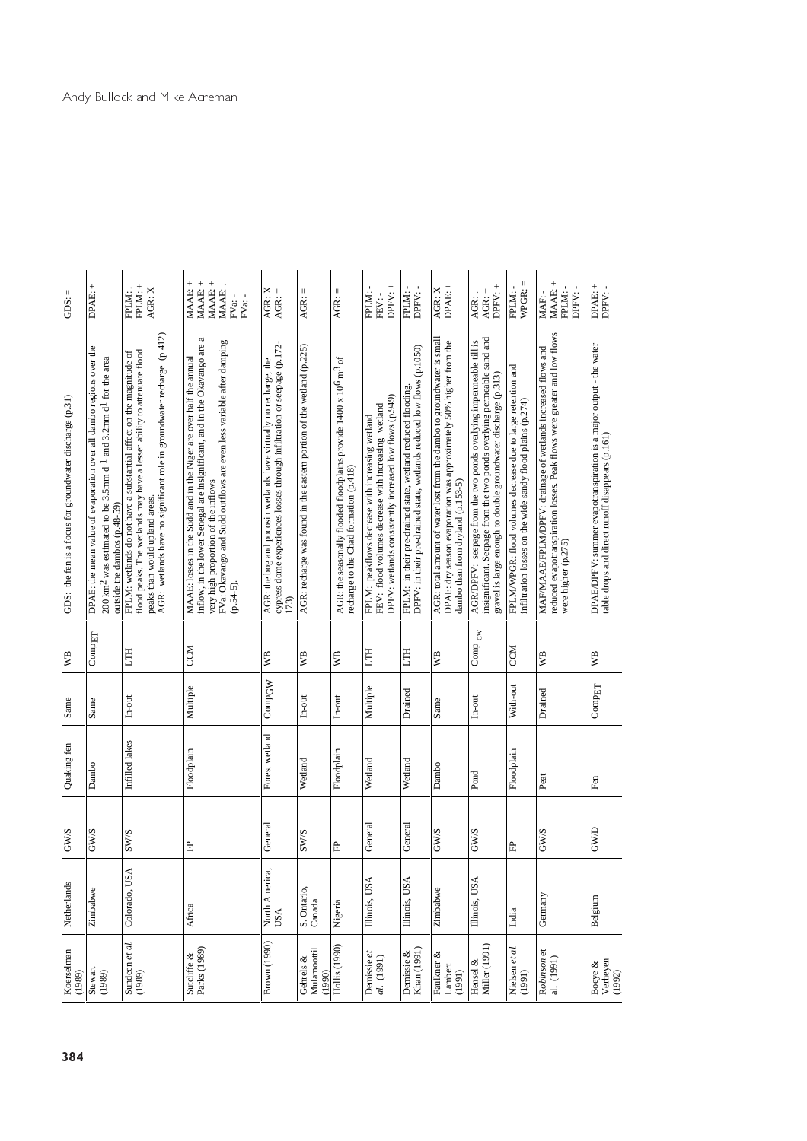| Koerselman<br>(1989)                |                       | Netherlands    | <b>GWS</b>  | Quaking fen    | Same              | $\mathbb{R}$    | GDS: the fen is a focus for groundwater discharge (p.31)                                                                                                                                                                                                                          | GDS:                                                                   |
|-------------------------------------|-----------------------|----------------|-------------|----------------|-------------------|-----------------|-----------------------------------------------------------------------------------------------------------------------------------------------------------------------------------------------------------------------------------------------------------------------------------|------------------------------------------------------------------------|
| Stewart<br>(1989)                   | Zimbabwe              |                | GW/S        | Dambo          | Same              | $\text{CompET}$ | DPAE: the mean value of evaporation over all dambo regions over the<br>$200 \text{ km}^2$ was estimated to be 3.5mm d <sup>-1</sup> and 3.2mm d <sup>1</sup> for the area<br>outside the dambos (p.48-59)                                                                         | DPAE: +                                                                |
| Sundeen et al.<br>(1989)            |                       | Colorado, US.  | <b>SW/S</b> | Infilled lakes | $In-out$          | HLI             | AGR: wetlands have no significant role in groundwater recharge. (p.412)<br>flood peaks. The wetlands may have a lesser ability to attenuate flood<br>FPLM: wetlands do not have a substantial affect on the magnitude of<br>peaks than would upland areas.                        | FPLM: +<br>AGR: X<br>FPLM:                                             |
| Parks (1989)<br>Sutcliffe &         | Africa                |                | 出           | Floodplain     | Multiple          | CCM             | a<br>FVa: Okavango and Sudd outflows are even less variable after damping<br>inflow, in the lower Senegal are insignificant, and in the Okavango are<br>MAAE: losses in the Sudd and in the Niger are over half the annual<br>very high proportion of the inflows<br>$(p.54-5)$ . | MAAE: +<br>MAAE: +<br>MAAE: +<br>MAAE:.<br>$\mbox{FVar}$ -<br>$FVar -$ |
| Brown (1990)                        | USA                   | North America, | General     | Forest wetland | CompGW            | ₿               | cypress dome experiences losses through infiltration or seepage (p.172-<br>AGR: the bog and pocosin wetlands have virtually no recharge, the<br>173)                                                                                                                              | AGR: X<br>$AGR: =$                                                     |
| Mulamoottil<br>Gehrels &<br>(1990)  | S. Ontario,<br>Canada |                | <b>SW/S</b> | Wetland        | $In-out$          | WВ              | AGR: recharge was found in the eastern portion of the wetland (p.225)                                                                                                                                                                                                             | $\vert\vert$<br>AGR:                                                   |
| Hollis (1990)                       | Nigeria               |                | 出           | Floodplain     | $In-out$          | УB              | AGR: the seasonally flooded floodplains provide 1400 x 10 <sup>6</sup> m <sup>3</sup> of<br>recharge to the Chad formation (p.418)                                                                                                                                                | $AGR: =$                                                               |
| Demissie et<br>al. (1991)           |                       | Illinois, USA  | General     | Wetland        | Multiple          | E               | FEV: flood volumes decrease with increasing wetland<br>DPFV: wetlands consistently increased low flows (p.949)<br>FPLM: peakflows decrease with increasing wetland                                                                                                                | DPFV: +<br>FPLM:<br>FEV:-                                              |
| Khan (1991)<br>Demissie &           |                       | Illinois, USA  | General     | Wetland        | Drained           | E               | DPFV: in their pre-drained state, wetlands reduced low flows (p.1050)<br>FPLM: in their pre-drained state, wetland reduced flooding.                                                                                                                                              | DPFV:-<br>FPLM:                                                        |
| Faulkner &<br>Lambert<br>(1991)     | Zimbabwe              |                | GW/S        | Dambo          | Same              | ₿               | AGR: total amount of water lost from the dambo to groundwater is small<br>DPAE: dry season evaporation was approximately 50% higher from the<br>dambo than from dryland (p.153-5)                                                                                                 | AGR: X<br>DPAE: +                                                      |
| Miller (1991)<br>Hensel &           |                       | Illinois, USA  | GW/S        | Pond           | $In-out$          | $Comp_{GW}$     | insignificant. Seepage from the two ponds overlying permeable sand and<br>AGR/DPFV: seepage from the two ponds overlying impermeable till is<br>gravel is large enough to double groundwater discharge (p.313)                                                                    | DPFV: +<br>AGR: +<br>AGR: .                                            |
| Nielsen et al.<br>(1991)            | India                 |                | 丘           | Floodplain     | With-out          | CCM             | FPLM/WPGR: flood volumes decrease due to large retention and<br>infiltration losses on the wide sandy flood plains (p.274)                                                                                                                                                        | $WPCR: =$<br>FPLM:                                                     |
| Robinson et al. $\left(1991\right)$ | Germany               |                | GW/S        | Peat           | Drained           | ₿               | were higher (p.275)                                                                                                                                                                                                                                                               | MAAE: +<br>FPLM: -<br>DPFV:-<br>MAF:-                                  |
| Verheyen<br>(1992)<br>Boeye &       | Belgium               |                | GWD         | Fen            | $\mathsf{CompET}$ | ŞВ              | DPAE/DPFV: summer evapotranspiration is a major output - the water<br>table drops and direct runoff disappears (p.161)                                                                                                                                                            | DPAE: +<br>DPFV:-                                                      |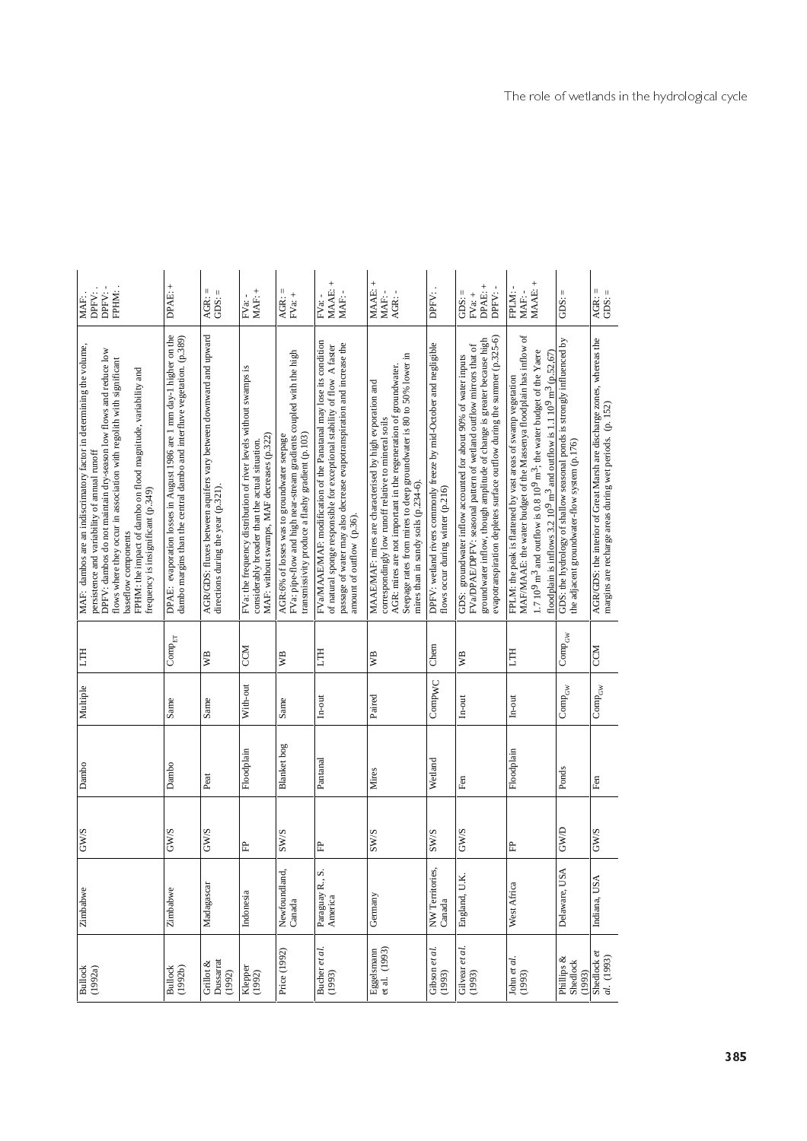| FPHM:<br>DPFV:-<br>DPFV:<br>MAF: .                                                                                                                                                                                                                                                                                                                                                            | DPAE: +                                                                                                                                         | $AGR: =$<br>GDS:                                                                                         | $\text{MAF:}+$<br>$_{\rm FVar}$ -                                                                                                                                  | AGR: $=$<br>FVa: $+$                                                                                                                                                   | MAAE: +<br>MAF:-<br>FVa:                                                                                                                                                                                                                              | MAAE: +<br>MAF: -<br>AGR: -                                                                                                                                                                                                                                                                        | DPFV:.                                                                                                  | DPAE: +<br>DPFV:-<br>GDS:<br>$FVar +$                                                                                                                                                                                                                                                        | MAAE: +<br>FPLM:-<br>MAF:                                                                                                                                                                                                                                                                                                                                                            | GDS:                                                                                                                   | $AGR: =$<br>GDS: $=$                                                                                                             |
|-----------------------------------------------------------------------------------------------------------------------------------------------------------------------------------------------------------------------------------------------------------------------------------------------------------------------------------------------------------------------------------------------|-------------------------------------------------------------------------------------------------------------------------------------------------|----------------------------------------------------------------------------------------------------------|--------------------------------------------------------------------------------------------------------------------------------------------------------------------|------------------------------------------------------------------------------------------------------------------------------------------------------------------------|-------------------------------------------------------------------------------------------------------------------------------------------------------------------------------------------------------------------------------------------------------|----------------------------------------------------------------------------------------------------------------------------------------------------------------------------------------------------------------------------------------------------------------------------------------------------|---------------------------------------------------------------------------------------------------------|----------------------------------------------------------------------------------------------------------------------------------------------------------------------------------------------------------------------------------------------------------------------------------------------|--------------------------------------------------------------------------------------------------------------------------------------------------------------------------------------------------------------------------------------------------------------------------------------------------------------------------------------------------------------------------------------|------------------------------------------------------------------------------------------------------------------------|----------------------------------------------------------------------------------------------------------------------------------|
| MAF: dambos are an indiscrimatory factor in determining the volume,<br>DPFV: dambos do not maintain dry-season low flows and reduce low<br>flows where they occur in association with regolith with significant<br>FPHM: the impact of dambo on flood magnitude, variability and<br>persistence and variability of annual runoff<br>frequency is insignificant (p.349)<br>baseflow components | DPAE: evaporation losses in August 1986 are 1 mm day-1 higher on the<br>dambo margins than the central dambo and interfluve vegetation. (p.389) | AGR/GDS: fluxes between aquifers vary between downward and upward<br>directions during the year (p.321). | FVa: the frequency distribution of river levels without swamps is<br>MAF: without swamps, MAF decreases (p.322)<br>considerably broader than the actual situation. | FVa: pipe-flow and high near-stream gradients coupled with the high<br>transmissivity produce a flashy gradient (p.103)<br>AGR:6% of losses was to groundwater seepage | FVa/MAAE/MAF: modification of the Panatanal may lose its condition<br>passage of water may also decrease evapotranspiration and increase the<br>of natural sponge responsible for exceptional stability of flow A faster<br>amount of outflow (p.36). | Seepage rates from mires to deep groundwater is 80 to 50% lower in<br>AGR: mires are not important in the regeneration of groundwater.<br>MAAE/MAF: mires are characterised by high evporation and<br>correspondingly low runoff relative to mineral soils<br>mires than in sandy soils (p.234-6). | DPFV: wetland rivers commonly freeze by mid-October and negligible<br>flows occur during winter (p.216) | evapotranspiration depletes surface outflow during the summer $(p.325-6)$<br>groundwater inflow, though amplitude of change is greater because high<br>FVa/DPAE/DPFV: seasonal pattern of wetland outflow mirrors that of<br>GDS: groundwater inflow accounted for about 90% of water inputs | MAF/MAAE: the water budget of the Massenya floodplain has inflow of<br>1.7 10 <sup>9</sup> m <sup>3</sup> and outflow is 0.8 10 <sup>9</sup> m <sup>3</sup> ; the water budget of the Yaere<br>floodplain is inflows 3.2 10 <sup>9</sup> m <sup>3</sup> and outflow is 1.1 10 <sup>9</sup> m <sup>3</sup> (p.52,67)<br>FPLM: the peak is flattened by vast areas of swamp vegetation | GDS: the hydrology of shallow seasonal ponds is strongly influenced by<br>the adjacent groundwater-flow system (p.176) | AGR/GDS: the interior of Great Marsh are discharge zones, whereas the<br>margins are recharge areas during wet periods. (p. 152) |
| <b>HLT</b>                                                                                                                                                                                                                                                                                                                                                                                    | $\mathrm{Comp}_{\mathrm{ET}}$                                                                                                                   | ₿                                                                                                        | CCM                                                                                                                                                                | ₿                                                                                                                                                                      | ELLI                                                                                                                                                                                                                                                  | ₿                                                                                                                                                                                                                                                                                                  | Chem                                                                                                    | УB                                                                                                                                                                                                                                                                                           | <b>HLT</b>                                                                                                                                                                                                                                                                                                                                                                           | $\mathrm{Comp}_{\mathrm{GW}}$                                                                                          | CCM                                                                                                                              |
| Multiple                                                                                                                                                                                                                                                                                                                                                                                      | Same                                                                                                                                            | Same                                                                                                     | With-out                                                                                                                                                           | Same                                                                                                                                                                   | $In-out$                                                                                                                                                                                                                                              | Paired                                                                                                                                                                                                                                                                                             | CompwC                                                                                                  | $In-out$                                                                                                                                                                                                                                                                                     | In-out                                                                                                                                                                                                                                                                                                                                                                               | $\mathrm{Comp}_{\mathrm{GW}}$                                                                                          | $\mathrm{Comp}_{\mathrm{GW}}$                                                                                                    |
| Dambo                                                                                                                                                                                                                                                                                                                                                                                         | Dambo                                                                                                                                           | Peat                                                                                                     | Floodplain                                                                                                                                                         | <b>Blanket</b> bog                                                                                                                                                     | Pantanal                                                                                                                                                                                                                                              | Mires                                                                                                                                                                                                                                                                                              | Wetland                                                                                                 | Fen                                                                                                                                                                                                                                                                                          | Floodplain                                                                                                                                                                                                                                                                                                                                                                           | Ponds                                                                                                                  | Fen                                                                                                                              |
| GW/S                                                                                                                                                                                                                                                                                                                                                                                          | GW/S                                                                                                                                            | GW/S                                                                                                     | 出                                                                                                                                                                  | <b>SW/S</b>                                                                                                                                                            | 岊                                                                                                                                                                                                                                                     | <b>SW/S</b>                                                                                                                                                                                                                                                                                        | <b>SW/S</b>                                                                                             | GW/S                                                                                                                                                                                                                                                                                         | 出                                                                                                                                                                                                                                                                                                                                                                                    | GWD                                                                                                                    | GW/S                                                                                                                             |
| Zimbabwe                                                                                                                                                                                                                                                                                                                                                                                      | Zimbabwe                                                                                                                                        | Madagascar                                                                                               | Indonesia                                                                                                                                                          | Newfoundland,<br>$\mathbf{C}\mathbf{anada}$                                                                                                                            | Paraguay R., S.<br>America                                                                                                                                                                                                                            | Germany                                                                                                                                                                                                                                                                                            | NW Territories,<br>Canada                                                                               | England, U.K                                                                                                                                                                                                                                                                                 | West Africa                                                                                                                                                                                                                                                                                                                                                                          | Delaware, USA                                                                                                          | Indiana, USA                                                                                                                     |
| <b>Bullock</b><br>(1992a)                                                                                                                                                                                                                                                                                                                                                                     | Bullock<br>(1992b)                                                                                                                              | Grillot &<br>Dussarrat<br>(1992)                                                                         | Klepper<br>(1992)                                                                                                                                                  | Price (1992)                                                                                                                                                           | Bucher et al.<br>(1993)                                                                                                                                                                                                                               | Eggelsmann<br>et al. $(1993)$                                                                                                                                                                                                                                                                      | Gibson et al.<br>(1993)                                                                                 | Gilvear et al.<br>(1993)                                                                                                                                                                                                                                                                     | John et al.<br>(1993)                                                                                                                                                                                                                                                                                                                                                                | Phillips &<br>Shedlock<br>(1993)                                                                                       | Shedlock et<br>al. (1993)                                                                                                        |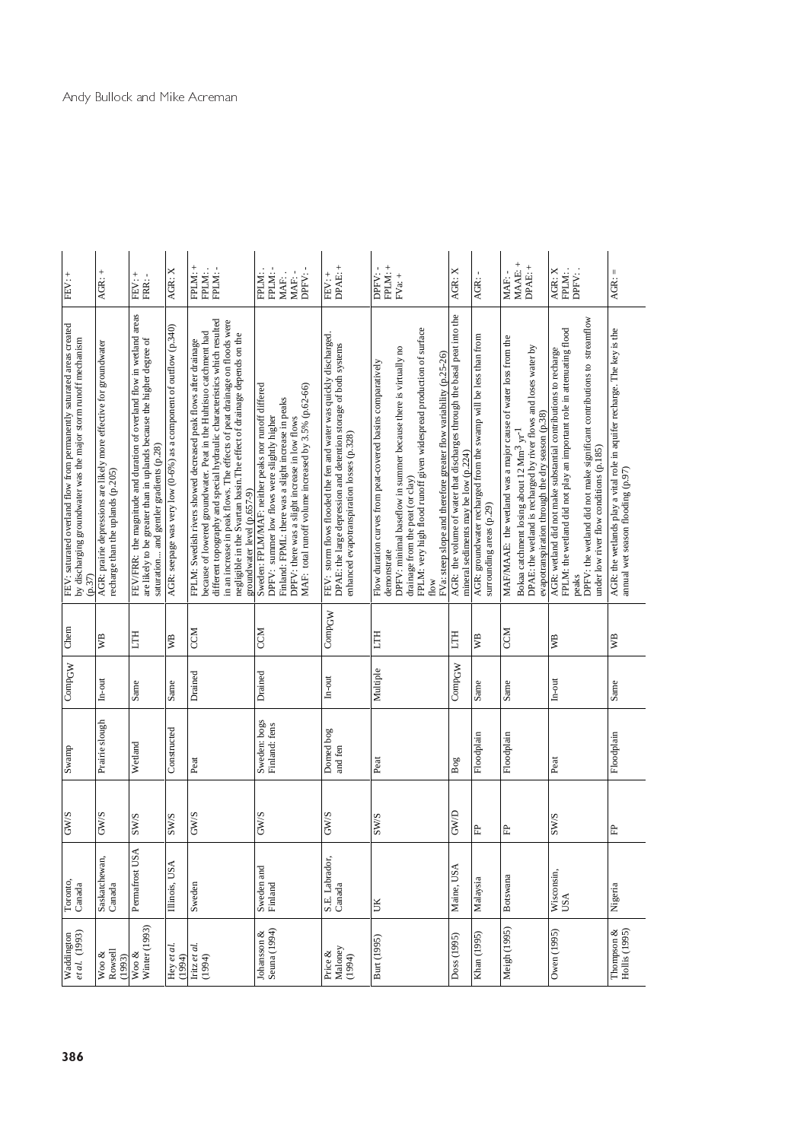| FEV: +                                                                                                                                             | AGR: +                                                                                                                                                                                     | FEV: +<br>FRR:-                                                                                                                                                                           |                                                                    | AGR: X                                                          | FPLM:<br>FPLM:<br>FPLM: -                                                                                                                                                                                                                                                                              | DPFV:-<br>FPLM:<br>FPLM: -<br>MAF: .<br>MAF:                                                                                                                                                                                                                                                       | DPAE: +<br>FEV: +                                                                                                                                                                    | FPLM: +<br>DPFV: -<br>$FVar +$                                                                                                                                                                                                                                  | AGR: X                                                                                                                                        | AGR:                                                                                                                                 | MAAE: +<br>DPAE: +<br>MAF: -                                                                                                                                                                           | AGR: X<br>FPLM:<br>DPFV:                                                                                                                                                                                                                                                                                                   |
|----------------------------------------------------------------------------------------------------------------------------------------------------|--------------------------------------------------------------------------------------------------------------------------------------------------------------------------------------------|-------------------------------------------------------------------------------------------------------------------------------------------------------------------------------------------|--------------------------------------------------------------------|-----------------------------------------------------------------|--------------------------------------------------------------------------------------------------------------------------------------------------------------------------------------------------------------------------------------------------------------------------------------------------------|----------------------------------------------------------------------------------------------------------------------------------------------------------------------------------------------------------------------------------------------------------------------------------------------------|--------------------------------------------------------------------------------------------------------------------------------------------------------------------------------------|-----------------------------------------------------------------------------------------------------------------------------------------------------------------------------------------------------------------------------------------------------------------|-----------------------------------------------------------------------------------------------------------------------------------------------|--------------------------------------------------------------------------------------------------------------------------------------|--------------------------------------------------------------------------------------------------------------------------------------------------------------------------------------------------------|----------------------------------------------------------------------------------------------------------------------------------------------------------------------------------------------------------------------------------------------------------------------------------------------------------------------------|
| FEV: saturated overland flow from permanently saturated areas created<br>by discharging groundwater was the major storm runoff mechanism<br>(p.37) | AGR: prairie depressions are likely more effective for groundwater<br>recharge than the uplands (p.205)                                                                                    | FEV/FRR: the magnitude and duration of overland flow in wetland areas<br>are likely to be greater than in uplands because the higher degree of<br>saturation and gentler gradients (p.28) | AGR: seepage was very low (0-6%) as a component of outflow (p.340) | FPLM: Swedish rivers showed decreased peak flows after drainage | different topography and special hydraulic characteristics which resulted<br>in an increase in peak flows. The effects of peat drainage on floods were<br>because of lowered groundwater. Peat in the Huhtisuo catchment had<br>negligible in the Svartan basin. The effect of drainage depends on the | MAF: total runoff volume increased by 3.5% (p.62-66)<br>Sweden: FPLM/MAF: neither peaks nor runoff differed<br>Finland: FPML: there was a slight increase in peaks<br>DPFV: summer low flows were slightly higher<br>DPFV: there was a slight increase in low flows<br>groundwater level (p.657-9) | FEV: storm flows flooded the fen and water was quickly discharged.<br>DPAE: the large depression and detention storage of both systems<br>enhanced evapotranspiration losses (p.328) | FPLM: very high flood runoff given widespread production of surface<br>DPFV: minimal baseflow in summer because there is virtually no<br>Flow duration curves from peat-covered basins comparatively<br>drainage from the peat (or clay)<br>demonstrate<br>flow | AGR: the volume of water that discharges through the basal peat into the<br>FVa: steep slope and therefore greater flow variability (p.25-26) | AGR: groundwater recharged from the swamp will be less than from<br>mineral sediments may be low (p.224)<br>surrounding areas (p.29) | MAF/MAAE: the wetland was a major cause of water loss from the<br>DPAE: the wetland is recharged by river flows and loses water by<br>Bokaa catchment losing about 12 Mm <sup>3</sup> yr <sup>-1</sup> | DPFV: the wetland did not make significant contributions to streamflow<br>FPLM: the wetland did not play an important role in attenuating flood<br>AGR: wetland did not make substantial contributions to recharge<br>evapotranspiration through the dry season (p.38)<br>under low river flow conditions (p.185)<br>peaks |
| Chem                                                                                                                                               | <b>S</b>                                                                                                                                                                                   | E                                                                                                                                                                                         | $\mathbb{R}$                                                       | <b>CCM</b>                                                      |                                                                                                                                                                                                                                                                                                        | <b>NOO</b>                                                                                                                                                                                                                                                                                         | CompGW                                                                                                                                                                               | Ë                                                                                                                                                                                                                                                               | Ë                                                                                                                                             | P<br>2                                                                                                                               | <b>NCX</b>                                                                                                                                                                                             | $\mathbb{R}$                                                                                                                                                                                                                                                                                                               |
| CompGW                                                                                                                                             | In-out                                                                                                                                                                                     | Same                                                                                                                                                                                      | Same                                                               | Drained                                                         |                                                                                                                                                                                                                                                                                                        | Drained                                                                                                                                                                                                                                                                                            | $In-out$                                                                                                                                                                             | Multiple                                                                                                                                                                                                                                                        | CompGW                                                                                                                                        | Same                                                                                                                                 | Same                                                                                                                                                                                                   | In-out                                                                                                                                                                                                                                                                                                                     |
|                                                                                                                                                    | Prairie slough                                                                                                                                                                             | Wetland                                                                                                                                                                                   | Constructed                                                        | Peat                                                            |                                                                                                                                                                                                                                                                                                        | Sweden: bogs<br>Finland: fens                                                                                                                                                                                                                                                                      | Domed $\log$ and fen                                                                                                                                                                 | Peat                                                                                                                                                                                                                                                            | $_{\rm Bog}$                                                                                                                                  | Floodplain                                                                                                                           | Floodplain                                                                                                                                                                                             | Peat                                                                                                                                                                                                                                                                                                                       |
| GW/S                                                                                                                                               | GW/S                                                                                                                                                                                       | <b>SW/S</b>                                                                                                                                                                               | <b>SW/S</b>                                                        | <b>S/M5</b>                                                     |                                                                                                                                                                                                                                                                                                        | رج<br>š                                                                                                                                                                                                                                                                                            | GW/S                                                                                                                                                                                 | <b>SW/S</b>                                                                                                                                                                                                                                                     | GWD                                                                                                                                           | 出                                                                                                                                    | 出                                                                                                                                                                                                      | <b>SW/S</b>                                                                                                                                                                                                                                                                                                                |
| Toronto,<br>Canada                                                                                                                                 | Saskatchewan,<br>Canada                                                                                                                                                                    | Permafrost US,                                                                                                                                                                            | Illinois, USA                                                      | Sweden                                                          |                                                                                                                                                                                                                                                                                                        | Sweden and<br>Finland                                                                                                                                                                                                                                                                              | S.E. Labrador,<br>Canada                                                                                                                                                             | Э                                                                                                                                                                                                                                                               | Maine, USA                                                                                                                                    | Malaysia                                                                                                                             | Botswana                                                                                                                                                                                               | Wisconsin,<br>USA                                                                                                                                                                                                                                                                                                          |
| Waddington<br>et al. (1993)                                                                                                                        | $\begin{array}{c} \textrm{Woo\ &\textrm{&}\ \textrm{&}\ \textrm{Row}\textrm{&}\ \textrm{&}\ \textrm{Row}\textrm{&}\ \textrm{&}\ \textrm{Row}\textrm{&}\ \textrm{&}\ \end{array}$<br>(1993) | Winter (1993)<br>Woo $\&$                                                                                                                                                                 | Hey et al.<br>(1994)                                               | Iritz et al.<br>(1994)                                          |                                                                                                                                                                                                                                                                                                        | Seuna (1994)<br>Johansson &                                                                                                                                                                                                                                                                        | Maloney<br>(1994)<br>Price &                                                                                                                                                         | Burt (1995)                                                                                                                                                                                                                                                     | Doss (1995)                                                                                                                                   | Khan (1995)                                                                                                                          | Meigh (1995)                                                                                                                                                                                           | Owen (1995)                                                                                                                                                                                                                                                                                                                |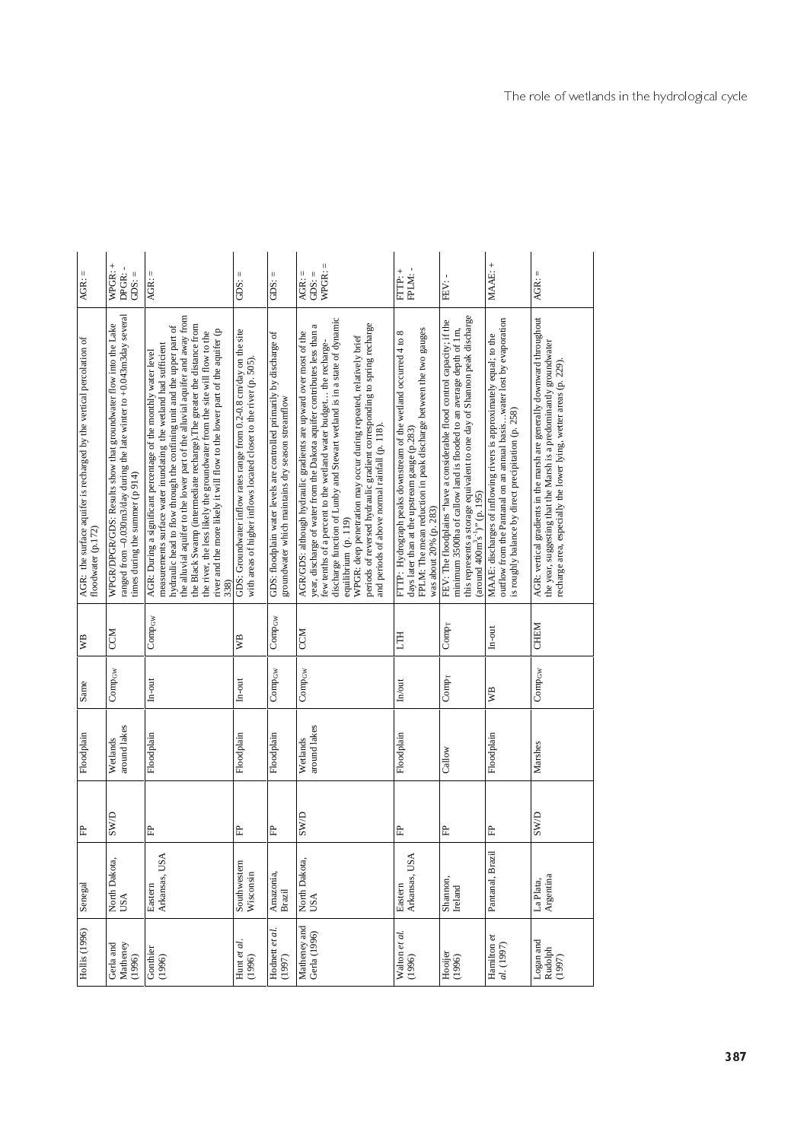| $\vert\vert$<br>AGR:                                                                       | WPGR: +<br>DPGR:-<br>GDS:                                                                                                                                                    | $AGR: =$                                                                                                                                                                                                                                                                                                                                                                                                                                                                                                                                    | $GDS. =$                                                                                                                                  | $GDS. =$                                                                                                                   | $WPCR: =$<br>$AGR: =$<br>GDS:                                                                                                                                                                                                                                                                                                                                                                                                                                                                                             | $FTTP: +$<br>FPLM:-                                                                                                                                                                                              | FEV:-                                                                                                                                                                                                                                                              | MAAE: +                                                                                                                                                                                            | $AGR: =$                                                                                                                                                                                                          |
|--------------------------------------------------------------------------------------------|------------------------------------------------------------------------------------------------------------------------------------------------------------------------------|---------------------------------------------------------------------------------------------------------------------------------------------------------------------------------------------------------------------------------------------------------------------------------------------------------------------------------------------------------------------------------------------------------------------------------------------------------------------------------------------------------------------------------------------|-------------------------------------------------------------------------------------------------------------------------------------------|----------------------------------------------------------------------------------------------------------------------------|---------------------------------------------------------------------------------------------------------------------------------------------------------------------------------------------------------------------------------------------------------------------------------------------------------------------------------------------------------------------------------------------------------------------------------------------------------------------------------------------------------------------------|------------------------------------------------------------------------------------------------------------------------------------------------------------------------------------------------------------------|--------------------------------------------------------------------------------------------------------------------------------------------------------------------------------------------------------------------------------------------------------------------|----------------------------------------------------------------------------------------------------------------------------------------------------------------------------------------------------|-------------------------------------------------------------------------------------------------------------------------------------------------------------------------------------------------------------------|
| AGR: the surface aquifer is recharged by the vertical percolation of<br>floodwater (p.172) | ranged from -0.030m3/day during the late winter to +0.043m3day several<br>WPGR/DPGR/GDS: Results show that groundwater flow into the Lake<br>times during the summer (p 914) | the alluvial aquifer to the lower part of the alluvial aquifer and away from<br>the Black Swamp (intermediate recharge). The greater the distance from<br>hydraulic head to flow through the confining unit and the upper part of<br>river and the more likely it will flow to the lower part of the aquifer (p<br>the river, the less likely the groundwater from the site will flow to the<br>measurements surface water inundating the wetland had sufficient<br>AGR: During a significant percentage of the monthly water level<br>338) | GDS: Groundwater inflow rates range from 0.2-0.8 cm/day on the site<br>with areas of higher inflows located closer to the river (p. 505). | GDS: floodplain water levels are controlled primarily by discharge of<br>groundwater which maintains dry season streamflow | discharge function of Lunby and Stewart wetland is in a state of dynamic<br>periods of reversed hydraulic gradient corresponding to spring recharge<br>year, discharge of water from the Dakota aquifer contributes less than a<br>AGR/GDS: although hydraulic gradients are upward over most of the<br>WPGR: deep penetration may occur during repeated, relatively brief<br>few tenths of a percent to the wetland water budget the recharge-<br>and periods of above normal rainfall (p. 118).<br>equilibrium (p. 119) | days later than at the upstream gauge (p.283)<br>FPLM: The mean reduction in peak discharge between the two gauges<br>FTTP: Hydrograph peaks downstream of the wetland occurred 4 to 8<br>was about 20% (p. 283) | this represents a storage equivalent to one day of Shannon peak discharge<br>FEV: The floodplains "have a considerable flood control capacity; if the<br>minimum 3500ha of callow land is flooded to an average depth of 1m,<br>(around $400m^3s^{-1}$ )" (p. 195) | outflow from the Pantanal on an amual basiswater lost by evaporation<br>MAAE: discharges of inflowing rivers is approximately equal; to the<br>is roughly balance by direct precipitation (p. 258) | AGR: vertical gradients in the marsh are generally downward throughout<br>the year, suggesting that the Marsh is a predominantly groundwater<br>recharge area, especially the lower lying, wetter areas (p. 229). |
| УB                                                                                         | CCM                                                                                                                                                                          | Comp <sub>cw</sub>                                                                                                                                                                                                                                                                                                                                                                                                                                                                                                                          | P<br>2                                                                                                                                    | Comp <sub>cw</sub>                                                                                                         | CCM                                                                                                                                                                                                                                                                                                                                                                                                                                                                                                                       | LTH                                                                                                                                                                                                              | $Comp_T$                                                                                                                                                                                                                                                           | In-out                                                                                                                                                                                             | <b>CHEM</b>                                                                                                                                                                                                       |
| Same                                                                                       | Comp <sub>cw</sub>                                                                                                                                                           | $In-out$                                                                                                                                                                                                                                                                                                                                                                                                                                                                                                                                    | $In-out$                                                                                                                                  | Compow                                                                                                                     | Comp <sub>cw</sub>                                                                                                                                                                                                                                                                                                                                                                                                                                                                                                        | In/out                                                                                                                                                                                                           | Compr                                                                                                                                                                                                                                                              | WB                                                                                                                                                                                                 | Compow                                                                                                                                                                                                            |
| Floodplain                                                                                 | around lakes<br>Wetlands                                                                                                                                                     | Floodplain                                                                                                                                                                                                                                                                                                                                                                                                                                                                                                                                  | Floodplain                                                                                                                                | Floodplain                                                                                                                 | around lakes<br>Wetlands                                                                                                                                                                                                                                                                                                                                                                                                                                                                                                  | Floodplain                                                                                                                                                                                                       | Callow                                                                                                                                                                                                                                                             | Floodplain                                                                                                                                                                                         | Marshes                                                                                                                                                                                                           |
| 出                                                                                          | SWD                                                                                                                                                                          | 出                                                                                                                                                                                                                                                                                                                                                                                                                                                                                                                                           | 出                                                                                                                                         | 出                                                                                                                          | SWD                                                                                                                                                                                                                                                                                                                                                                                                                                                                                                                       | 出                                                                                                                                                                                                                | 出                                                                                                                                                                                                                                                                  | E                                                                                                                                                                                                  | SWD                                                                                                                                                                                                               |
| Senegal                                                                                    | North Dakota,<br>USA                                                                                                                                                         | Arkansas, USA<br>Eastern                                                                                                                                                                                                                                                                                                                                                                                                                                                                                                                    | Southwestern<br>Wisconsin                                                                                                                 | Amazonia,<br>Brazil                                                                                                        | North Dakota,<br>USA                                                                                                                                                                                                                                                                                                                                                                                                                                                                                                      | Arkansas, USA<br>Eastern                                                                                                                                                                                         | Shamon,<br>Ireland                                                                                                                                                                                                                                                 | Pantanal, Brazi                                                                                                                                                                                    | La Plata,<br>Argentina                                                                                                                                                                                            |
| Hollis (1996)                                                                              | Gerla and<br>$\begin{array}{c}\text{Mathency} \\ (1996) \end{array}$                                                                                                         | Gonthier<br>(1996)                                                                                                                                                                                                                                                                                                                                                                                                                                                                                                                          | Hunt et al.<br>(1996)                                                                                                                     | Hodnett et al.<br>(1997)                                                                                                   | Matheney and<br>Gerla (1996)                                                                                                                                                                                                                                                                                                                                                                                                                                                                                              | Walton <i>et al.</i><br>(1996)                                                                                                                                                                                   | Hooijer<br>(1996)                                                                                                                                                                                                                                                  | Hamilton et<br>al. (1997)                                                                                                                                                                          | Logan and<br>Rudolph $(1997)$                                                                                                                                                                                     |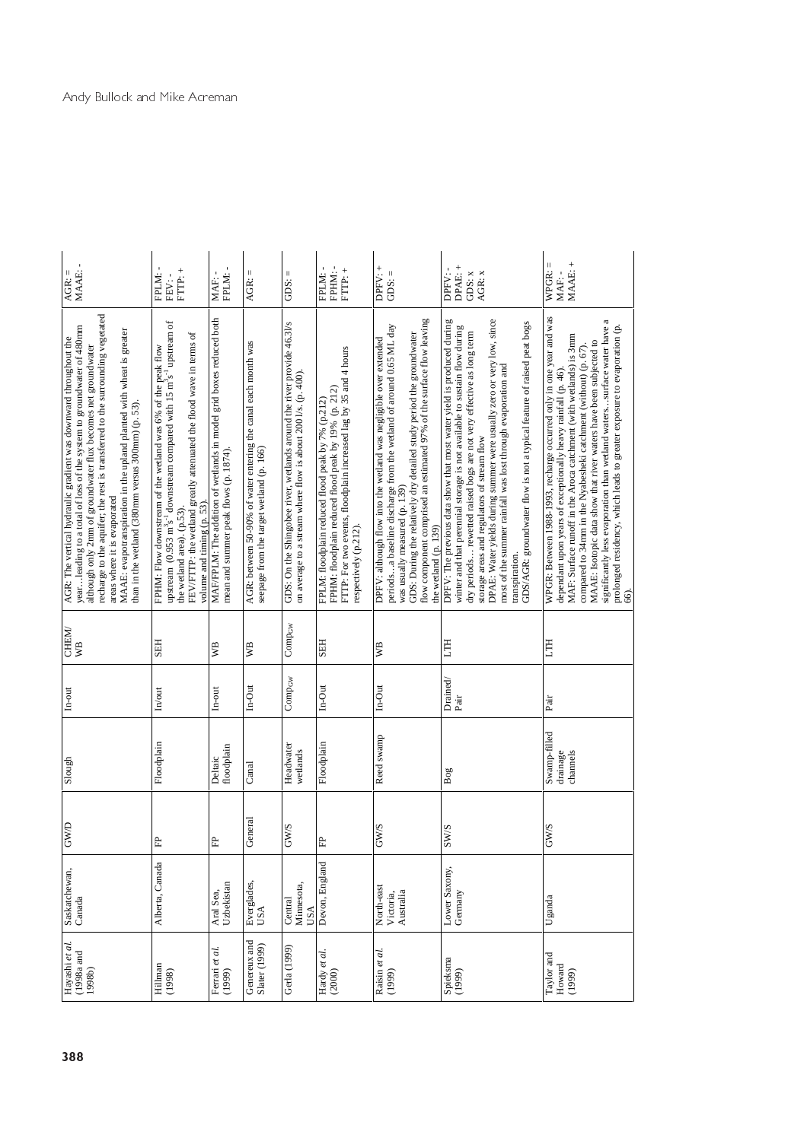| Saskatchewan,<br>Canada | <b>GWD</b>  | Slough                               | $In-out$         | <b>CHEM/</b><br>₿  | recharge to the aquifer; the rest is transferred to the surrounding vegetated<br>yearleading to a total of loss of the system to groundwater of 480mm<br>MAAE: evapotranspiration in the upland planted with wheat is greater<br>AGR: The vertical hydraulic gradient was downward throughout the<br>although only 2mm of groundwater flux becomes net groundwater<br>than in the wetland (380mm versus 300mm) (p. 53).<br>areas where it is evaporated                                                        |
|-------------------------|-------------|--------------------------------------|------------------|--------------------|----------------------------------------------------------------------------------------------------------------------------------------------------------------------------------------------------------------------------------------------------------------------------------------------------------------------------------------------------------------------------------------------------------------------------------------------------------------------------------------------------------------|
|                         | 出           | Floodplain                           | In/out           | <b>SEH</b>         | upstream (0.953 m <sup>3</sup> s <sup>-1</sup> downstream compared with 15 m <sup>3</sup> s <sup>-1</sup> upstream of<br>FEV/FTTP: the wetland greatly attenuated the flood wave in terms of<br>FPHM: Flow downstream of the wetland was 6% of the peak flow<br>volume and timing $(p. 53)$ .<br>the wetland area). (p.53).                                                                                                                                                                                    |
|                         | 出           | floodplain<br>Deltaic                | In-out           | ₿                  | MAF/FPLM: The addition of wetlands in model grid boxes reduced both<br>mean and summer peak flows (p. 1874).                                                                                                                                                                                                                                                                                                                                                                                                   |
|                         | General     | Canal                                | $In-Out$         | WВ                 | AGR: between 50-90% of water entering the canal each month was<br>seepage from the target wetland (p. 166)                                                                                                                                                                                                                                                                                                                                                                                                     |
|                         | GW/S        | Headwater<br>wetlands                | $Comp_{GW}$      | Comp <sub>GW</sub> | GDS: On the Shingobee river, wetlands around the river provide 46.31/s<br>on average to a stream where flow is about 200 l/s. (p. 400).                                                                                                                                                                                                                                                                                                                                                                        |
|                         | È           | Floodplain                           | $In-Out$         | <b>SEH</b>         | FTTP: For two events, floodplain increased lag by 35 and 4 hours<br>FPHM: floodplain reduced flood peak by 19% (p. 212)<br>FPLM: floodplain reduced flood peak by 7% (p.212)<br>respectively (p.212).                                                                                                                                                                                                                                                                                                          |
|                         | GW/S        | Reed swamp                           | $In-Out$         | WВ                 | flow component comprised an estimated 97% of the surface flow leaving<br>periodsa baseline discharge from the wetland of around 0.65 ML day<br>GDS: During the relatively dry detailed study period the groundwater<br>DPFV: although flow into the wetland was negligible over extended<br>was usually measured (p. 139)<br>the wetland (p. 139)                                                                                                                                                              |
|                         | <b>SW/S</b> | Bog                                  | Drained/<br>Pair | ELLI               | DPAE: Water yields during summer were usually zero or very low, since<br>DPFV: The previous data show that most water yield is produced during<br>GDS/AGR: groundwater flow is not a typical feature of raised peat bogs<br>winter and that perennial storage is not available to sustain flow during<br>dry periods rewetted raised bogs are not very effective as long term<br>most of the summer rainfall was lost through evaporation and<br>storage areas and regulators of stream flow<br>transpiration. |
|                         | GW/S        | Swamp-filled<br>channels<br>drainage | Pair             | <b>ETH</b>         | WPGR: Between 1988-1993, recharge occurred only in one year and was<br>significantly less evaporation than wetland waterssurface water have a<br>prolonged residency, which leads to greater exposure to evaporation (p.<br>MAF: Surface runoff in the Aroca catchment (with wetlands) is 3mm<br>MAAE: Isotopic data show that river waters have been subjected to<br>compared to 34mm in the Nyabesheki catchment (without) (p. 67).<br>dependant upon years of exceptionally heavy rainfall (p. 46)<br>66).  |